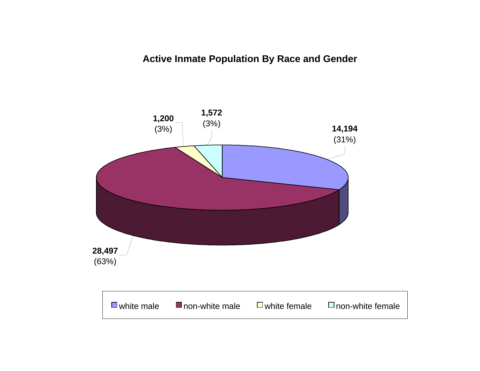# **Active Inmate Population By Race and Gender**

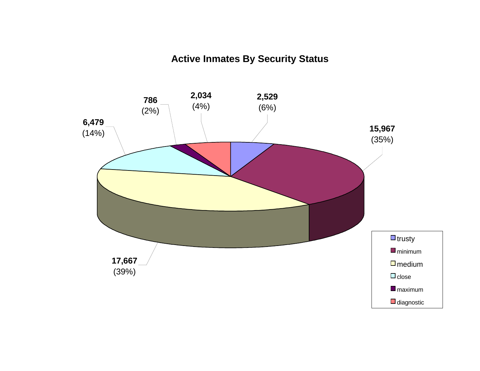# **Active Inmates By Security Status**

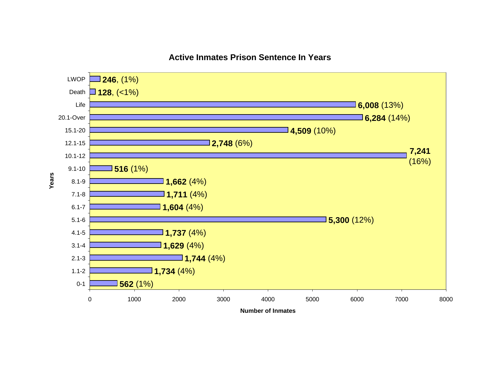

# **Active Inmates Prison Sentence In Years**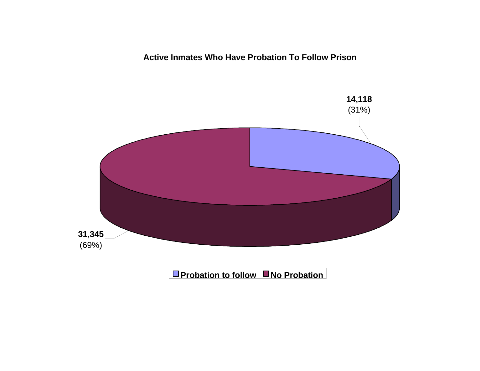**Active Inmates Who Have Probation To Follow Prison**

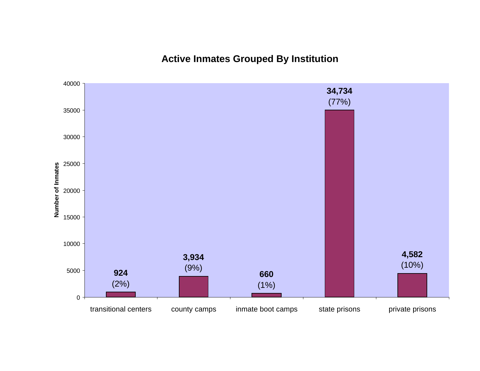**Active Inmates Grouped By Institution**

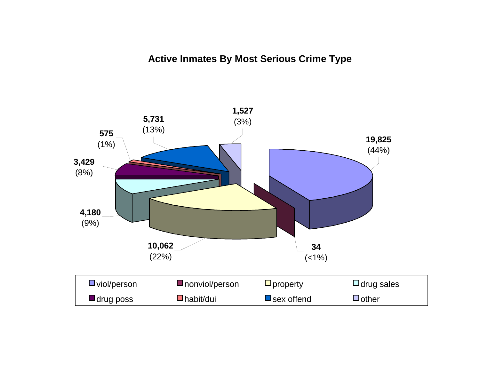# **Active Inmates By Most Serious Crime Type**

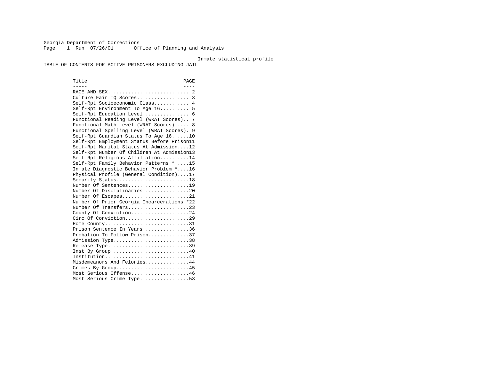Georgia Department of Corrections Page 1 Run 07/26/01 Office of Planning and Analysis

#### Inmate statistical profile

TABLE OF CONTENTS FOR ACTIVE PRISONERS EXCLUDING JAIL

Title PAGE ----- ---- RACE AND SEX............................ 2 Culture Fair IQ Scores.................. 3 Self-Rpt Socioeconomic Class............ 4 Self-Rpt Environment To Age 16.......... 5 Self-Rpt Education Level................ 6 Functional Reading Level (WRAT Scores).. 7 Functional Math Level (WRAT Scores)..... 8 Functional Spelling Level (WRAT Scores). 9 Self-Rpt Guardian Status To Age 16......10 Self-Rpt Employment Status Before Prison11 Self-Rpt Marital Status At Admission....12 Self-Rpt Number Of Children At Admission13 Self-Rpt Religious Affiliation..........14 Self-Rpt Family Behavior Patterns \*.....15 Inmate Diagnostic Behavior Problem \*....16 Physical Profile (General Condition)....17 Security Status...........................18 Number Of Sentences.....................19 Number Of Disciplinaries................20 Number Of Escapes........................21 Number Of Prior Georgia Incarcerations \*22 Number Of Transfers.....................23 County Of Conviction....................24 Circ Of Conviction......................29 Home County................................31 Prison Sentence In Years................36 Probation To Follow Prison..............37Admission Type.............................38 Release Type...............................39 Inst By Group..............................40 Institution................................41 Misdemeanors And Felonies...............44 Crimes By Group...........................45 Most Serious Offense....................46 Most Serious Crime Type.................53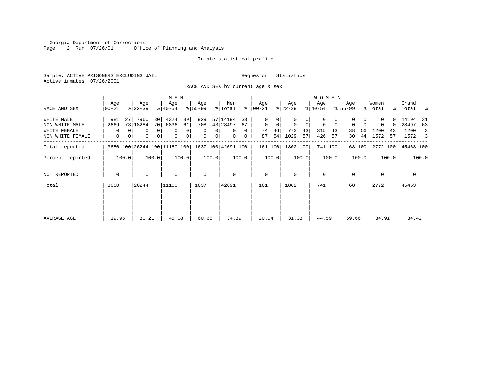Georgia Department of Corrections Page 2 Run 07/26/01 Office of Planning and Analysis

## Inmate statistical profile

Sample: ACTIVE PRISONERS EXCLUDING JAIL **Requestor:** Statistics Active inmates 07/26/2001

RACE AND SEX by current age & sex

|                  |                  |                  | M E N                              |                               |                      |                  |                            | W O M E N                  |                  |                  |                      |
|------------------|------------------|------------------|------------------------------------|-------------------------------|----------------------|------------------|----------------------------|----------------------------|------------------|------------------|----------------------|
| RACE AND SEX     | Age<br>$00 - 21$ | Age<br>$ 22-39 $ | Age<br>$ 40-54 $                   | Age<br>$8 55-99$              | Men<br>% Total<br>ွေ | Age<br>$ 00-21 $ | Age<br>$ 22-39 $           | Age<br>$ 40-54 $           | Age<br>$8 55-99$ | Women<br>% Total | Grand<br>%   Total % |
| WHITE MALE       | 981              | 7960<br>27       | 4324<br>39<br>30                   | 929                           | 57 14194<br>33       | 0                |                            | 0                          |                  | 0                | 14194 31             |
| NON WHITE MALE   | 2669             | 73 18284         | 70 <br>6836<br>61                  | 708                           | 43 28497<br>67       | $\mathbf 0$<br>0 | $\mathbf 0$<br>$\mathbf 0$ | $\mathbf 0$<br>$\mathbf 0$ | $\Omega$<br>0    | $\Omega$         | 28497<br>63          |
| WHITE FEMALE     | 0                | 0                | 0 <sup>1</sup><br>0<br>$\mathbf 0$ | $\Omega$<br>$\Omega$          | $\Omega$<br>$\Omega$ | 46<br>74         | 773<br>43                  | 315<br>43                  | 56<br>38         | 1200<br>43       | 1200<br>3            |
| NON WHITE FEMALE | 0                | 0<br>0           | 0 <br>0<br>0                       | $\mathbf 0$<br>0 <sup>1</sup> | $\mathbf{0}$<br>0    | 54<br>87         | 1029<br>57                 | 426<br>57                  | 44 <br>30        | 1572<br>57       | 1572<br>3            |
| Total reported   |                  |                  | 3650 100 26244 100 11160 100       |                               | 1637 100 42691 100   | 161 100          | 1802 100                   | 741 100                    | 68 100           | 2772 100         | 45463 100            |
| Percent reported | 100.0            | 100.0            | 100.0                              | 100.0                         | 100.0                | 100.0            | 100.0                      | 100.0                      | 100.0            | 100.0            | 100.0                |
| NOT REPORTED     | $\mathbf 0$      | 0                | $\mathbf 0$                        | $\mathbf 0$                   | $\Omega$             | $\mathbf{0}$     | $\Omega$                   | $\mathbf 0$                | $\Omega$         | $\Omega$         | $\mathbf 0$          |
| Total            | 3650             | 26244            | 11160                              | 1637                          | 42691                | 161              | 1802                       | 741                        | 68               | 2772             | 45463                |
|                  |                  |                  |                                    |                               |                      |                  |                            |                            |                  |                  |                      |
|                  |                  |                  |                                    |                               |                      |                  |                            |                            |                  |                  |                      |
| AVERAGE AGE      | 19.95            | 30.21            | 45.08                              | 60.65                         | 34.39                | 20.04            | 31.33                      | 44.59                      | 59.66            | 34.91            | 34.42                |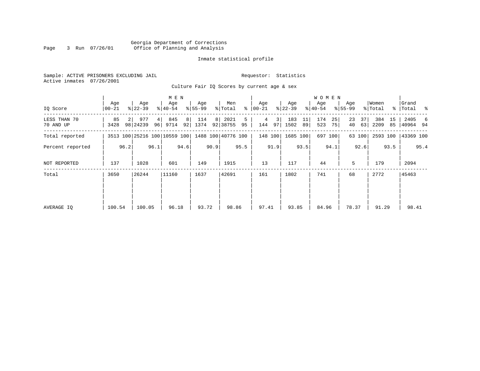# Georgia Department of Corrections Page 3 Run 07/26/01 Office of Planning and Analysis

# Inmate statistical profile

Sample: ACTIVE PRISONERS EXCLUDING JAIL **Requestor:** Statistics Active inmates 07/26/2001

Culture Fair IQ Scores by current age & sex

|                           | M E N           |      |                              |      |                  |          |                  |      |                    |         |                  |          |                  |          | W O M E N        |          |                    |          |                  |          |                    |      |
|---------------------------|-----------------|------|------------------------------|------|------------------|----------|------------------|------|--------------------|---------|------------------|----------|------------------|----------|------------------|----------|--------------------|----------|------------------|----------|--------------------|------|
| IO Score                  | Age<br>$ 00-21$ |      | Age<br>$ 22-39 $             |      | Age<br>$ 40-54 $ |          | Age<br>$ 55-99 $ |      | Men<br>% Total     | ွေ      | Age<br>$ 00-21 $ |          | Age<br>$ 22-39 $ |          | Age<br>$ 40-54 $ |          | Age<br>$8155 - 99$ |          | Women<br>% Total |          | Grand<br>% Total % |      |
| LESS THAN 70<br>70 AND UP | 85<br>3428      |      | 977<br>98 24239              | 4    | 845<br>96 9714   | 8 <br>92 | 114<br>1374      | 8    | 2021<br>92 38755   | 5<br>95 | 4<br>144         | 3 <br>97 | 183<br>1502      | 11<br>89 | 174<br>523       | 25<br>75 | 23<br>40           | 37<br>63 | 384<br>2209      | 15<br>85 | 2405<br>40964 94   | 6    |
| Total reported            |                 |      | 3513 100 25216 100 10559 100 |      |                  |          |                  |      | 1488 100 40776 100 |         | 148 100          |          | 1685 100         |          |                  | 697 100  |                    | 63 100   | 2593 100         |          | 43369 100          |      |
| Percent reported          |                 | 96.2 |                              | 96.1 |                  | 94.6     |                  | 90.9 |                    | 95.5    |                  | 91.9     |                  | 93.5     |                  | 94.1     |                    | 92.6     |                  | 93.5     |                    | 95.4 |
| NOT REPORTED              | 137             |      | 1028                         |      | 601              |          | 149              |      | 1915               |         | 13               |          | 117              |          | 44               |          | 5                  |          | 179              |          | 2094               |      |
| Total                     | 3650            |      | 26244                        |      | 11160            |          | 1637             |      | 42691              |         | 161              |          | 1802             |          | 741              |          | 68                 |          | 2772             |          | 45463              |      |
|                           |                 |      |                              |      |                  |          |                  |      |                    |         |                  |          |                  |          |                  |          |                    |          |                  |          |                    |      |
|                           |                 |      |                              |      |                  |          |                  |      |                    |         |                  |          |                  |          |                  |          |                    |          |                  |          |                    |      |
| AVERAGE IQ                | 100.54          |      | 100.05                       |      | 96.18            |          | 93.72            |      | 98.86              |         | 97.41            |          | 93.85            |          | 84.96            |          | 78.37              |          | 91.29            |          | 98.41              |      |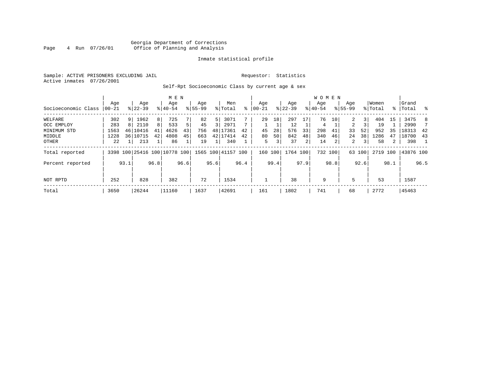# Georgia Department of Corrections<br>4 Run 07/26/01 Office of Planning and Analysis Page 4 Run 07/26/01 Office of Planning and Analysis

## Inmate statistical profile

Sample: ACTIVE PRISONERS EXCLUDING JAIL **Requestor:** Statistics Active inmates 07/26/2001

Self-Rpt Socioeconomic Class by current age & sex

|                     |          |      |           |      | M E N                        |      |             |      |                    |      |           |               |           |      | <b>WOMEN</b> |         |                |        |          |      |           |                  |
|---------------------|----------|------|-----------|------|------------------------------|------|-------------|------|--------------------|------|-----------|---------------|-----------|------|--------------|---------|----------------|--------|----------|------|-----------|------------------|
|                     | Aqe      |      | Age       |      | Age                          |      | Age         |      | Men                |      | Age       |               | Age       |      | Aqe          |         | Age            |        | Women    |      | Grand     |                  |
| Socioeconomic Class | $ 00-21$ |      | $8 22-39$ |      | $8 40-54$                    |      | $8155 - 99$ |      | % Total            | ి    | $00 - 21$ | $\frac{1}{6}$ | $22 - 39$ |      | $8 40-54$    |         | $8155 - 99$    |        | % Total  |      | %   Total | $\sim$ $\approx$ |
| WELFARE             | 302      | 9    | 1962      | 8    | 725                          |      | 82          | 5    | 3071               |      | 29        | 18            | 297       | 17   | 76           | 10      |                | 3      | 404      | 15   | 3475      | 8                |
| OCC EMPLOY          | 283      |      | 2110      | 8    | 533                          | 5    | 45          |      | 2971               |      |           |               | 12        |      | 4            |         | $\overline{a}$ |        | 19       |      | 2990      |                  |
| MINIMUM STD         | 1563     | 46   | 10416     | 41   | 4626                         | 43   | 756         | 48   | 17361              | 42   | 45        | 28            | 576       | 33   | 298          | 41      | 33             | 52     | 952      | 35   | 18313     | 42               |
| MIDDLE              | 1228     |      | 36 10715  | 42   | 4808                         | 45   | 663         |      | 42 17414           | 42   | 80        | 50            | 842       | 48   | 340          | 46      | 24             | 38     | 1286     | 47   | 18700     | 43               |
| OTHER               | 22       |      | 213       |      | 86                           |      | 19          |      | 340                |      | 5         | 3             | 37        | 2    | 14           | 2       | 2              | 3      | 58       | 2    | 398       | -1               |
| Total reported      |          |      |           |      | 3398 100 25416 100 10778 100 |      |             |      | 1565 100 41157 100 |      | 160 100   |               | 1764 100  |      |              | 732 100 |                | 63 100 | 2719 100 |      | 43876 100 |                  |
| Percent reported    |          | 93.1 |           | 96.8 |                              | 96.6 |             | 95.6 |                    | 96.4 |           | 99.4          |           | 97.9 |              | 98.8    |                | 92.6   |          | 98.1 |           | 96.5             |
| NOT RPTD            | 252      |      | 828       |      | 382                          |      | 72          |      | 1534               |      |           |               | 38        |      | 9            |         | 5              |        | 53       |      | 1587      |                  |
| Total               | 3650     |      | 26244     |      | 11160                        |      | 1637        |      | 42691              |      | 161       |               | 1802      |      | 741          |         | 68             |        | 2772     |      | 45463     |                  |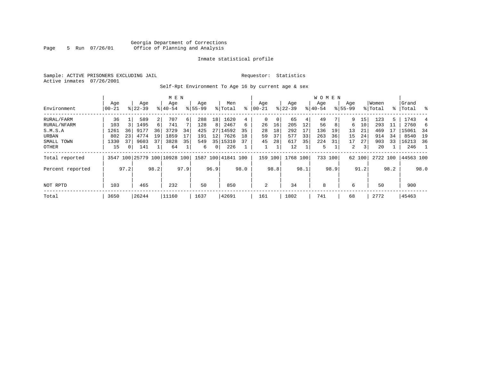# Georgia Department of Corrections Page 5 Run 07/26/01 Office of Planning and Analysis

## Inmate statistical profile

Sample: ACTIVE PRISONERS EXCLUDING JAIL **Requestor:** Statistics Active inmates 07/26/2001

Self-Rpt Environment To Age 16 by current age & sex

|                  | M E N            |                |                    |      |                         |          |                    |              |                    |      |                 |      |                  |      | WOMEN            |      |                    |        |                  |      |                |      |
|------------------|------------------|----------------|--------------------|------|-------------------------|----------|--------------------|--------------|--------------------|------|-----------------|------|------------------|------|------------------|------|--------------------|--------|------------------|------|----------------|------|
| Environment      | Age<br>$00 - 21$ |                | Age<br>$8122 - 39$ |      | Age<br>$8140 - 54$      |          | Age<br>$8155 - 99$ |              | Men<br>% Total     | ႜ    | Age<br>$ 00-21$ |      | Age<br>$ 22-39 $ |      | Age<br>$8 40-54$ |      | Age<br>$8155 - 99$ |        | Women<br>% Total | ႜ    | Grand<br>Total | ွေ   |
| RURAL/FARM       | 36               |                | 589                | 2    | 707                     | $6 \mid$ | 288                | 18           | 1620               | 4    | $\mathbf 0$     | 0    | 65               | 4    | 49               |      | 9                  | 15     | 123              | 5    | 1743           | 4    |
| RURAL/NFARM      | 103              |                | 1495               | 6    | 741                     |          | 128                | 8            | 2467               | 6    | 26              | 16   | 205              | 12   | 56               | 8    | 6                  | 10     | 293              | 11   | 2760           |      |
| S.M.S.A          | 1261             | 36             | 9177               | 36   | 3729                    | 34       | 425                | 27           | 14592              | 35   | 28              | 18   | 292              | 17   | 136              | 19   | 13                 | 21     | 469              | 17   | 15061          | - 34 |
| URBAN            | 802              | 23             | 4774               | 19   | 1859                    | 17       | 191                | 12           | 7626               | 18   | 59              | 37   | 577              | 33   | 263              | 36   | 15                 | 24     | 914              | 34   | 8540           | 19   |
| SMALL TOWN       | 1330             | 37             | 9603               | 37   | 3828                    | 35       | 549                | 35           | 15310              | 37   | 45              | 28   | 617              | 35   | 224              | 31   | 17                 | 27     | 903              | 33   | 16213          | 36   |
| OTHER            | 15               | 0 <sup>1</sup> | 141                |      | 64                      |          | 6                  | $\mathbf{0}$ | 226                |      |                 |      | 12               |      | 5                |      | 2                  | 3      | 20               |      | 246            |      |
| Total reported   | 3547             |                |                    |      | 100 25779 100 10928 100 |          |                    |              | 1587 100 41841 100 |      | 159             | 100  | 1768 100         |      | 733 100          |      |                    | 62 100 | 2722 100         |      | 44563 100      |      |
| Percent reported |                  | 97.2           |                    | 98.2 |                         | 97.9     |                    | 96.9         |                    | 98.0 |                 | 98.8 |                  | 98.1 |                  | 98.9 |                    | 91.2   |                  | 98.2 |                | 98.0 |
| NOT RPTD         | 103              |                | 465                |      | 232                     |          | 50                 |              | 850                |      | 2               |      | 34               |      | 8                |      | 6                  |        | 50               |      | 900            |      |
| Total            | 3650             |                | 26244              |      | 11160                   |          | 1637               |              | 42691              |      | 161             |      | 1802             |      | 741              |      | 68                 |        | 2772             |      | 45463          |      |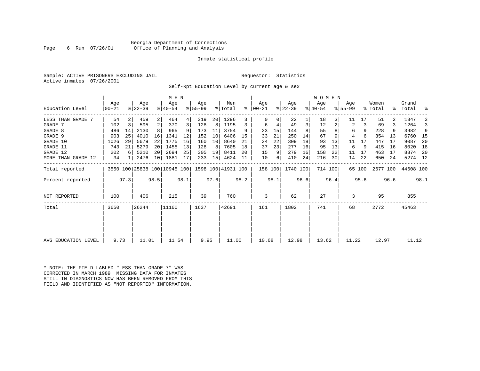# Georgia Department of Corrections Page 6 Run 07/26/01 Office of Planning and Analysis

## Inmate statistical profile

Sample: ACTIVE PRISONERS EXCLUDING JAIL **Requestor:** Statistics Active inmates 07/26/2001

Self-Rpt Education Level by current age & sex

|                     |                |      |                              |                 | M E N              |      |                  |      |                    |      |                      |      |                  |      | WOMEN            |         |                  |        |                  |      |                    |      |
|---------------------|----------------|------|------------------------------|-----------------|--------------------|------|------------------|------|--------------------|------|----------------------|------|------------------|------|------------------|---------|------------------|--------|------------------|------|--------------------|------|
| Education Level     | Age<br>  00-21 |      | Age<br>$ 22-39 $             |                 | Age<br>$8140 - 54$ |      | Age<br>$8 55-99$ |      | Men<br>% Total     |      | Age<br>$8   00 - 21$ |      | Age<br>$ 22-39 $ |      | Age<br>$ 40-54 $ |         | Age<br>$8 55-99$ |        | Women<br>% Total |      | Grand<br>%   Total | ್ಠಿ  |
| LESS THAN GRADE 7   | 54             |      | 459                          | $\overline{2}$  | 464                | 4    | 319              | 20   | 1296               |      |                      | 0    | 22               |      | 18               |         | 11               | 17     | 51               |      | 1347               |      |
| GRADE 7             | 102            | 3    | 595                          | 2               | 370                | 3    | 128              | 8    | 1195               | 3    | 6                    | 4    | 49               | 3    | 12               |         | 2                | 3      | 69               |      | 1264               |      |
| GRADE 8             | 486            | 14   | 2130                         |                 | 965                | 9    | 173              | 11   | 3754               | 9    | 23                   | 15   | 144              |      | 55               |         | 6                | 9      | 228              |      | 3982               | 9    |
| GRADE 9             | 903            | 25   | 4010                         | 16              | 1341               | 12   | 152              | 10   | 6406               | 15   | 33                   | 21   | 250              | 14   | 67               | 9       | 4                |        | 354              | 13   | 6760               | - 15 |
| GRADE 10            | 1026           | 29   | 5679                         | 22              | 1775               | 16   | 160              | 10   | 8640               | 21   | 34                   | 22   | 309              | 18   | 93               | 13      | 11               | 17     | 447              | 17   | 9087               | 20   |
| GRADE 11            | 743            | 21   | 5279                         | 20              | 1455               | 13   | 128              | 8    | 7605               | 18   | 37                   | 23   | 277              | 16   | 95               | 13      | 6                | 9      | 415              | 16   | 8020               | 18   |
| GRADE 12            | 202            | 6    | 5210                         | 20 <sup>1</sup> | 2694               | 25   | 305              | 19   | 8411               | 20   | 15                   | 9    | 279              | 16   | 158              | 22      | 11               | 17     | 463              | 17   | 8874               | -20  |
| MORE THAN GRADE 12  | 34             |      | 2476                         | 10              | 1881               | 17   | 233              | 15   | 4624               | 11   | 10                   | 6    | 410              | 24   | 216              | 30      | 14               | 22     | 650              | 24   | 5274 12            |      |
| Total reported      |                |      | 3550 100 25838 100 10945 100 |                 |                    |      |                  |      | 1598 100 41931 100 |      | 158 100              |      | 1740 100         |      |                  | 714 100 |                  | 65 100 | 2677 100         |      | 44608 100          |      |
| Percent reported    |                | 97.3 |                              | 98.5            |                    | 98.1 |                  | 97.6 |                    | 98.2 |                      | 98.1 |                  | 96.6 |                  | 96.4    |                  | 95.6   |                  | 96.6 |                    | 98.1 |
| NOT REPORTED        | 100            |      | 406                          |                 | 215                |      | 39               |      | 760                |      | 3                    |      | 62               |      | 27               |         | 3                |        | 95               |      | 855                |      |
| Total               | 3650           |      | 26244                        |                 | 11160              |      | 1637             |      | 42691              |      | 161                  |      | 1802             |      | 741              |         | 68               |        | 2772             |      | 45463              |      |
|                     |                |      |                              |                 |                    |      |                  |      |                    |      |                      |      |                  |      |                  |         |                  |        |                  |      |                    |      |
| AVG EDUCATION LEVEL | 9.73           |      | 11.01                        |                 | 11.54              |      | 9.95             |      | 11.00              |      | 10.68                |      | 12.98            |      | 13.62            |         | 11.22            |        | 12.97            |      | 11.12              |      |
|                     |                |      |                              |                 |                    |      |                  |      |                    |      |                      |      |                  |      |                  |         |                  |        |                  |      |                    |      |

\* NOTE: THE FIELD LABLED "LESS THAN GRADE 7" WAS CORRECTED IN MARCH 1989: MISSING DATA FOR INMATES STILL IN DIAGNOSTICS NOW HAS BEEN REMOVED FROM THIS FIELD AND IDENTIFIED AS "NOT REPORTED" INFORMATION.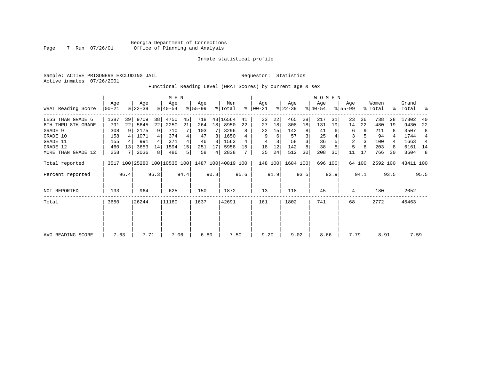Sample: ACTIVE PRISONERS EXCLUDING JAIL **Requestor:** Statistics Active inmates 07/26/2001

Functional Reading Level (WRAT Scores) by current age & sex

|                     |                |      |                              |      | M E N            |      |                 |      |                    |      |                    |      |                  |      | W O M E N        |         |                    |        |                  |      |                 |      |
|---------------------|----------------|------|------------------------------|------|------------------|------|-----------------|------|--------------------|------|--------------------|------|------------------|------|------------------|---------|--------------------|--------|------------------|------|-----------------|------|
| WRAT Reading Score  | Age<br>  00-21 |      | Age<br>$ 22-39 $             |      | Age<br>$ 40-54 $ |      | Age<br>$ 55-99$ |      | Men<br>% Total     | ႜ    | Age<br>$ 00 - 21 $ |      | Age<br>$ 22-39 $ |      | Age<br>$ 40-54 $ |         | Age<br>$8155 - 99$ |        | Women<br>% Total | ႜႂ   | Grand<br> Total | ႜ    |
| LESS THAN GRADE 6   | 1387           | 39   | 9709                         | 38   | 4750             | 45   | 718             |      | 48 16564           | 41   | 33                 | 22   | 465              | 28   | 217              | 31      | 23                 | 36     | 738              | 28   | 17302           | 40   |
| 6TH THRU 8TH GRADE  | 791            | 22   | 5645                         | 22   | 2250             | 21   | 264             | 18   | 8950               | 22   | 27                 | 18   | 308              | 18   | 131              | 19      | 14                 | 22     | 480              | 19   | 9430            | 22   |
| GRADE 9             | 308            | -9   | 2175                         | 9    | 710              |      | 103             |      | 3296               |      | 22                 | 15   | 142              | 8    | 41               |         | 6                  | 9      | 211              |      | 3507            | 8    |
| GRADE 10            | 158            |      | 1071                         |      | 374              |      | 47              | 3    | 1650               |      | 9                  | 6    | 57               |      | 25               |         | 3                  |        | 94               |      | 1744            | 4    |
| GRADE 11            | 155            |      | 991                          |      | 371              |      | 46              | 3    | 1563               |      | 4                  |      | 58               |      | 36               |         | $\overline{2}$     |        | 100              |      | 1663            | 4    |
| GRADE 12            | 460            | 13   | 3653                         | 14   | 1594             | 15   | 251             | 17   | 5958               | 15   | 18                 | 12   | 142              |      | 38               |         | 5                  | 8      | 203              |      | 6161 14         |      |
| MORE THAN GRADE 12  | 258            |      | 2036                         | 8    | 486              | 5    | 58              | 4    | 2838               |      | 35                 | 24   | 512              | 30   | 208              | 30      | 11                 | 17     | 766              | 30   | 3604            | -8   |
| Total reported      |                |      | 3517 100 25280 100 10535 100 |      |                  |      |                 |      | 1487 100 40819 100 |      | 148 100            |      | 1684 100         |      |                  | 696 100 |                    | 64 100 | 2592 100         |      | 43411 100       |      |
| Percent reported    |                | 96.4 |                              | 96.3 |                  | 94.4 |                 | 90.8 |                    | 95.6 |                    | 91.9 |                  | 93.5 |                  | 93.9    |                    | 94.1   |                  | 93.5 |                 | 95.5 |
| <b>NOT REPORTED</b> | 133            |      | 964                          |      | 625              |      | 150             |      | 1872               |      | 13                 |      | 118              |      | 45               |         | 4                  |        | 180              |      | 2052            |      |
| Total               | 3650           |      | 26244                        |      | 11160            |      | 1637            |      | 42691              |      | 161                |      | 1802             |      | 741              |         | 68                 |        | 2772             |      | 45463           |      |
|                     |                |      |                              |      |                  |      |                 |      |                    |      |                    |      |                  |      |                  |         |                    |        |                  |      |                 |      |
| AVG READING SCORE   | 7.63           |      | 7.71                         |      | 7.06             |      | 6.80            |      | 7.50               |      | 9.20               |      | 9.02             |      | 8.66             |         | 7.79               |        | 8.91             |      | 7.59            |      |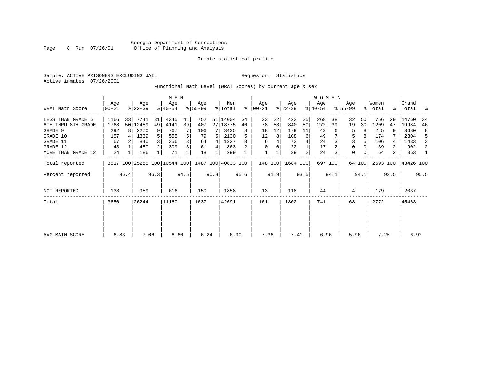Sample: ACTIVE PRISONERS EXCLUDING JAIL **Requestor:** Statistics Active inmates 07/26/2001

Functional Math Level (WRAT Scores) by current age & sex

|                     |                  |      |                  |                | M E N                        |      |                  |      |                    |      |                    |      |                  |                | <b>WOMEN</b>     |         |                    |          |                  |                |                 |      |
|---------------------|------------------|------|------------------|----------------|------------------------------|------|------------------|------|--------------------|------|--------------------|------|------------------|----------------|------------------|---------|--------------------|----------|------------------|----------------|-----------------|------|
| WRAT Math Score     | Age<br>$00 - 21$ |      | Age<br>$ 22-39 $ |                | Age<br>$ 40-54 $             |      | Age<br>$8 55-99$ |      | Men<br>% Total     | ៖    | Age<br>$ 00 - 21 $ |      | Age<br>$ 22-39 $ |                | Age<br>$ 40-54 $ |         | Age<br>$8155 - 99$ |          | Women<br>% Total | ွေ             | Grand<br> Total | ႜ    |
| LESS THAN GRADE 6   | 1166             | 33   | 7741             | 31             | 4345                         | 41   | 752              |      | 51 14004           | 34   | 33                 | 22   | 423              | 25             | 268              | 38      | 32                 | 50       | 756              | 29             | 14760           | -34  |
| 6TH THRU 8TH GRADE  | 1768             |      | 50 12459         | 49             | 4141                         | 39   | 407              |      | 27 18775           | 46   | 78                 | 53   | 840              | 50             | 272              | 39      | 19                 | 30       | 1209             | 47             | 19984           | 46   |
| GRADE 9             | 292              | 8 I  | 2270             | 9              | 767                          |      | 106              |      | 3435               |      | 18                 | 12   | 179              | 11             | 43               |         | 5                  | 8        | 245              |                | 3680            | 8    |
| GRADE 10            | 157              |      | 1339             |                | 555                          |      | 79               |      | 2130               |      | 12                 | 8    | 108              | 6              | 49               |         | 5                  | 8        | 174              |                | 2304            | 5    |
| GRADE 11            | 67               |      | 840              |                | 356                          | 3    | 64               | 4    | 1327               |      | 6                  |      | 73               |                | 24               |         | 3                  |          | 106              | 4              | 1433            |      |
| GRADE 12            | 43               |      | 450              | $\overline{2}$ | 309                          | 3    | 61               | 4    | 863                |      |                    |      | 22               |                | 17               |         | $\Omega$           |          | 39               |                | 902             | 2    |
| MORE THAN GRADE 12  | 24               |      | 186              |                | 71                           |      | 18               |      | 299                |      |                    |      | 39               | $\overline{2}$ | 24               |         | $\Omega$           | $\Omega$ | 64               | $\overline{2}$ | 363             |      |
| Total reported      |                  |      |                  |                | 3517 100 25285 100 10544 100 |      |                  |      | 1487 100 40833 100 |      | 148 100            |      | 1684 100         |                |                  | 697 100 |                    | 64 100   | 2593 100         |                | 43426 100       |      |
| Percent reported    |                  | 96.4 |                  | 96.3           |                              | 94.5 |                  | 90.8 |                    | 95.6 |                    | 91.9 |                  | 93.5           |                  | 94.1    |                    | 94.1     |                  | 93.5           |                 | 95.5 |
| <b>NOT REPORTED</b> | 133              |      | 959              |                | 616                          |      | 150              |      | 1858               |      | 13                 |      | 118              |                | 44               |         | 4                  |          | 179              |                | 2037            |      |
| Total               | 3650             |      | 26244            |                | 11160                        |      | 1637             |      | 42691              |      | 161                |      | 1802             |                | 741              |         | 68                 |          | 2772             |                | 45463           |      |
|                     |                  |      |                  |                |                              |      |                  |      |                    |      |                    |      |                  |                |                  |         |                    |          |                  |                |                 |      |
|                     |                  |      |                  |                |                              |      |                  |      |                    |      |                    |      |                  |                |                  |         |                    |          |                  |                |                 |      |
| AVG MATH SCORE      | 6.83             |      | 7.06             |                | 6.66                         |      | 6.24             |      | 6.90               |      | 7.36               |      | 7.41             |                | 6.96             |         | 5.96               |          | 7.25             |                | 6.92            |      |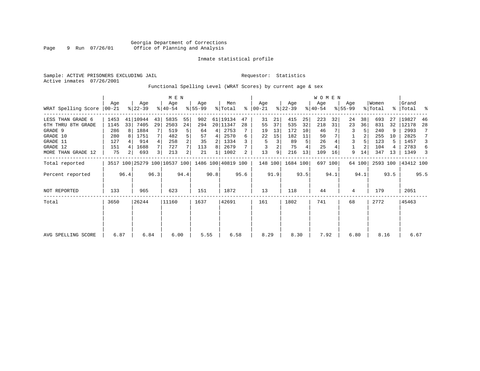Sample: ACTIVE PRISONERS EXCLUDING JAIL **Requestor:** Statistics Active inmates 07/26/2001

# Functional Spelling Level (WRAT Scores) by current age & sex

|                             |      |                |                              |      | M E N            |                |                  |      |                    |      |                  |      |                  |      | WOMEN            |         |                  |        |                  |      |                    |      |
|-----------------------------|------|----------------|------------------------------|------|------------------|----------------|------------------|------|--------------------|------|------------------|------|------------------|------|------------------|---------|------------------|--------|------------------|------|--------------------|------|
| WRAT Spelling Score   00-21 | Age  |                | Age<br>$ 22-39 $             |      | Age<br>$ 40-54 $ |                | Aqe<br>$ 55-99 $ |      | Men<br>% Total     | ፠    | Age<br>$ 00-21 $ |      | Age<br>$ 22-39 $ |      | Age<br>$ 40-54 $ |         | Aqe<br>$8 55-99$ |        | Women<br>% Total |      | Grand<br>%   Total |      |
| LESS THAN GRADE 6           | 1453 |                | 41   10944                   | 43   | 5835             | 55             | 902              |      | 61 19134           | 47   | 31               | 21   | 415              | 25   | 223              | 32      | 24               | 38     | 693              | 27   | 19827              | 46   |
| 6TH THRU 8TH GRADE          | 1145 | 33             | 7405                         | 29   | 2503             | 24             | 294              |      | 20 11347           | 28   | 55               | 37   | 535              | 32   | 218              | 31      | 23               | 36     | 831              | 32   | 12178              | 28   |
| GRADE 9                     | 286  | 8              | 1884                         |      | 519              | 5              | 64               | 4    | 2753               |      | 19               | 13   | 172              | 10   | 46               |         |                  |        | 240              |      | 2993               | 7    |
| GRADE 10                    | 280  |                | 1751                         | 7    | 482              | 5 <sub>1</sub> | 57               | 4    | 2570               | 6    | 22               | 15   | 182              | 11   | 50               |         |                  |        | 255              | 10   | 2825               | 7    |
| GRADE 11                    | 127  |                | 914                          | 4    | 258              | $\overline{a}$ | 35               | 2    | 1334               |      | 5                | 3    | 89               | 5    | 26               |         | 3                |        | 123              |      | 1457               | 3    |
| GRADE 12                    | 151  |                | 1688                         | 7    | 727              |                | 113              | 8    | 2679               |      |                  |      | 75               |      | 25               |         |                  |        | 104              |      | 2783               | 6    |
| MORE THAN GRADE 12          | 75   | 2 <sup>1</sup> | 693                          | 3    | 213              | $\overline{a}$ | 21               | 1    | 1002               | 2    | 13               | 9    | 216              | 13   | 109              | 16      | 9                | 14     | 347              | 13   | 1349               | 3    |
| Total reported              |      |                | 3517 100 25279 100 10537 100 |      |                  |                |                  |      | 1486 100 40819 100 |      | 148 100          |      | 1684 100         |      |                  | 697 100 |                  | 64 100 | 2593 100         |      | 43412 100          |      |
| Percent reported            |      | 96.4           |                              | 96.3 |                  | 94.4           |                  | 90.8 |                    | 95.6 |                  | 91.9 |                  | 93.5 |                  | 94.1    |                  | 94.1   |                  | 93.5 |                    | 95.5 |
| <b>NOT REPORTED</b>         | 133  |                | 965                          |      | 623              |                | 151              |      | 1872               |      | 13               |      | 118              |      | 44               |         | 4                |        | 179              |      | 2051               |      |
| Total                       | 3650 |                | 26244                        |      | 11160            |                | 1637             |      | 42691              |      | 161              |      | 1802             |      | 741              |         | 68               |        | 2772             |      | 45463              |      |
|                             |      |                |                              |      |                  |                |                  |      |                    |      |                  |      |                  |      |                  |         |                  |        |                  |      |                    |      |
|                             |      |                |                              |      |                  |                |                  |      |                    |      |                  |      |                  |      |                  |         |                  |        |                  |      |                    |      |
| AVG SPELLING SCORE          | 6.87 |                | 6.84                         |      | 6.00             |                | 5.55             |      | 6.58               |      | 8.29             |      | 8.30             |      | 7.92             |         | 6.80             |        | 8.16             |      | 6.67               |      |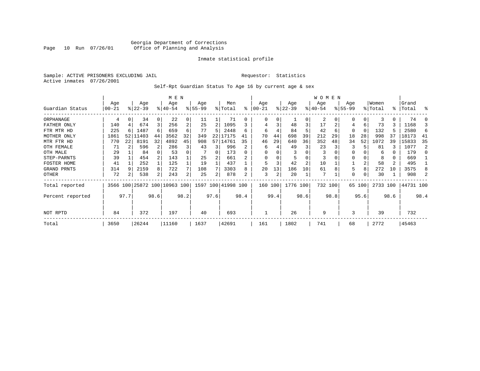# Georgia Department of Corrections Page 10 Run 07/26/01 Office of Planning and Analysis

## Inmate statistical profile

Sample: ACTIVE PRISONERS EXCLUDING JAIL **Requestor:** Statistics Active inmates 07/26/2001

# Self-Rpt Guardian Status To Age 16 by current age & sex

|                  |           |      |                              |                |           |                | <b>WOMEN</b> |      |           |           |            |      |           |                |          |         |          |      |          |      |           |      |
|------------------|-----------|------|------------------------------|----------------|-----------|----------------|--------------|------|-----------|-----------|------------|------|-----------|----------------|----------|---------|----------|------|----------|------|-----------|------|
|                  | Age       |      | Age                          |                | Age       |                | Age          |      | Men       |           | Age        |      | Age       |                | Age      |         | Age      |      | Women    |      | Grand     |      |
| Guardian Status  | $ 00-21$  |      | $ 22-39 $                    |                | $8 40-54$ |                | $8 55-99$    |      | % Total   | $\approx$ | $ 00 - 21$ |      | $ 22-39 $ |                | $ 40-54$ |         | $ 55-99$ |      | % Total  |      | %   Total | ႜ    |
| ORPHANAGE        | 4         |      | 34                           | 0              | 22        | 0              | 11           |      | 71        | 0         |            |      |           | 0              | 2        |         |          |      | २        | 0    | 74        |      |
| FATHER ONLY      | 140       |      | 674                          | 3 <sub>1</sub> | 256       | $\overline{a}$ | 25           | 2    | 1095      |           |            |      | 48        | $\overline{3}$ | 17       |         | 4        | 6    | 73       |      | 1168      | 3    |
| FTR MTR HD       | 225       |      | 1487                         | 6              | 659       | 6              | 77           | 5    | 2448      | 6         | 6          |      | 84        | 5              | 42       | 6       | 0        | 0    | 132      |      | 2580      | 6    |
| MOTHER ONLY      | 1861      |      | 52 11403                     | 44             | 3562      | 32             | 349          | 22   | 17175     | 41        | 70         | 44   | 698       | 39             | 212      | 29      | 18       | 28   | 998      | 37   | 18173     | 41   |
| MTR FTR HD       | 770       | 22   | 8191                         | 32             | 4892      | 45             | 908          | 57   | 14761     | 35        | 46         | 29   | 640       | 36             | 352      | 48      | 34       | 52   | 1072     | 39   | 15833     | 35   |
| OTH FEMALE       | 71        |      | 596                          | 2              | 286       | 3              | 43           | 3    | 996       |           | 6          |      | 49        | 3              | 23       |         |          |      | 81       |      | 1077      | 2    |
| OTH MALE         | 29        |      | 84                           |                | 53        |                |              | 0    | 173       | 0         |            |      |           |                |          |         |          |      | 6        |      | 179       |      |
| STEP-PARNTS      | 39        |      | 454                          |                | 143       |                | 25           | 2    | 661       |           |            |      | 5         | 0              | 3        |         | 0        |      | 8        | 0    | 669       |      |
| FOSTER HOME      | 41        |      | 252                          |                | 125       |                | 19           |      | 437       |           |            |      | 42        | $\overline{a}$ | 10       |         |          | 2    | 58       | 2    | 495       |      |
| GRAND PRNTS      | 314       |      | 2159                         | 8              | 722       |                | 108          |      | 3303      | 8         | 20         | 13   | 186       | 10             | 61       | 8       | 5        | 8    | 272      | 10   | 3575      |      |
| OTHER            | 72        |      | 538                          | 2              | 243       | 2              | 25           | 2    | 878       |           | 3          | 2    | 20        |                | 7        |         | 0        |      | 30       |      | 908       |      |
| Total reported   |           |      | 3566 100 25872 100 10963 100 |                |           |                | 1597         | 100  | 41998 100 |           | 160 100    |      | 1776 100  |                |          | 732 100 | 65       | 100  | 2733 100 |      | 44731 100 |      |
| Percent reported |           | 97.7 |                              | 98.6           |           | 98.2           |              | 97.6 |           | 98.4      |            | 99.4 |           | 98.6           |          | 98.8    |          | 95.6 |          | 98.6 |           | 98.4 |
| NOT RPTD         | 372<br>84 |      |                              |                | 197       |                | 40           |      | 693       |           |            |      | 26        |                | 9        |         | 3        |      | 39       |      | 732       |      |
| Total            | 3650      |      | 26244                        |                | 11160     |                | 1637         |      | 42691     |           | 161        |      | 1802      |                | 741      |         | 68       |      | 2772     |      | 45463     |      |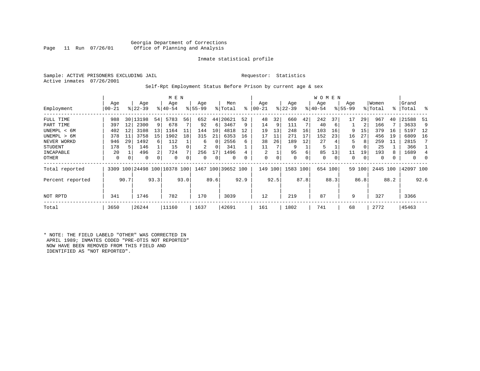# Georgia Department of Corrections Office of Planning and Analysis

## Inmate statistical profile

Sample: ACTIVE PRISONERS EXCLUDING JAIL **Requestor:** Statistics Active inmates 07/26/2001

## Self-Rpt Employment Status Before Prison by current age & sex

|                  |           |      |           |      | M E N                        |      |             |          |                    |      |                |      |             |      | W O M E N |      |             |        |          |      |           |      |
|------------------|-----------|------|-----------|------|------------------------------|------|-------------|----------|--------------------|------|----------------|------|-------------|------|-----------|------|-------------|--------|----------|------|-----------|------|
|                  | Age       |      | Age       |      | Age                          |      | Age         |          | Men                |      | Age            |      | Age         |      | Age       |      | Age         |        | Women    |      | Grand     |      |
| Employment       | $00 - 21$ |      | $ 22-39 $ |      | $8 40-54$                    |      | $8155 - 99$ |          | % Total            | ి    | $00 - 21$      |      | $ 22 - 39 $ |      | $ 40-54 $ |      | $8155 - 99$ |        | % Total  |      | %   Total | ႜ    |
| FULL TIME        | 988       |      | 30 13198  | 54   | 5783                         | 56   | 652         | 44       | 20621              | 52   | 48             | 32   | 660         | 42   | 242       | 37   | 17          | 29     | 967      | 40   | 21588     | 51   |
| PART TIME        | 397       | 12   | 2300      | 9    | 678                          |      | 92          | 6        | 3467               | 9    | 14             | 9    | 111         |      | 40        | 6    |             | 2      | 166      |      | 3633      | 9    |
| UNEMPL < 6M      | 402       | 12   | 3108      | 13   | 1164                         | 11   | 144         | 10       | 4818               | 12   | 19             | 13   | 248         | 16   | 103       | 16   | 9           | 15     | 379      | 16   | 5197      | 12   |
| UNEMPL > 6M      | 378       | 11   | 3758      | 15   | 1902                         | 18   | 315         | 21       | 6353               | 16   | 17             | 11   | 271         | 17   | 152       | 23   | 16          | 27     | 456      | 19   | 6809      | 16   |
| NEVER WORKD      | 946       | 29   | 1492      | 6    | 112                          |      | 6           | $\Omega$ | 2556               | 6    | 38             | 26   | 189         | 12   | 27        |      | 5           | 8      | 259      | 11   | 2815      |      |
| <b>STUDENT</b>   | 178       | 5    | 146       |      | 15                           |      | 2           | 0        | 341                |      | 11             |      | 9           |      | 5         |      | 0           | 0      | 25       |      | 366       |      |
| INCAPABLE        | 20        |      | 496       | 2    | 724                          |      | 256         | 17       | 1496               |      | $\overline{2}$ |      | 95          | 6    | 85        | 13   | 11          | 19     | 193      | 8    | 1689      | 4    |
| OTHER            | 0         | 0    | 0         | 0    | 0                            |      | 0           | 0        | 0                  |      | 0              | 0    | $\mathbf 0$ | 0    | 0         | 0    | 0           | 0      | 0        |      | $\Omega$  |      |
| Total reported   |           |      |           |      | 3309 100 24498 100 10378 100 |      |             |          | 1467 100 39652 100 |      | 149            | 100  | 1583 100    |      | 654 100   |      |             | 59 100 | 2445 100 |      | 42097 100 |      |
| Percent reported |           | 90.7 |           | 93.3 |                              | 93.0 |             | 89.6     |                    | 92.9 |                | 92.5 |             | 87.8 |           | 88.3 |             | 86.8   |          | 88.2 |           | 92.6 |
| NOT RPTD         | 341       |      | 1746      |      | 782                          |      | 170         |          | 3039               |      | 12             |      | 219         |      | 87        |      | 9           |        | 327      |      | 3366      |      |
| Total            | 3650      |      | 26244     |      | 11160                        |      | 1637        |          | 42691              |      | 161            |      | 1802        |      | 741       |      | 68          |        | 2772     |      | 45463     |      |

\* NOTE: THE FIELD LABELD "OTHER" WAS CORRECTED IN APRIL 1989; INMATES CODED "PRE-OTIS NOT REPORTED" NOW HAVE BEEN REMOVED FROM THIS FIELD AND IDENTIFIED AS "NOT REPORTED".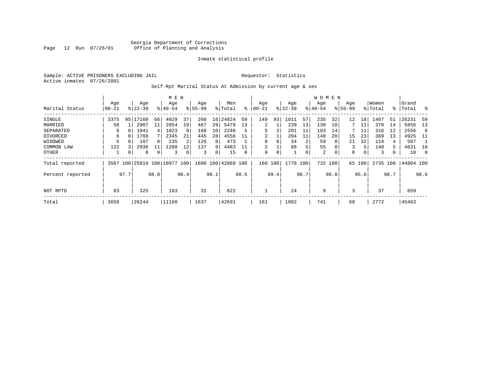Sample: ACTIVE PRISONERS EXCLUDING JAIL **Requestor:** Statistics Active inmates 07/26/2001

# Self-Rpt Marital Status At Admission by current age & sex

|                  |           | M E N    |                         |          |             |      |           |      |                    |      |          |      |             |          | W O M E N |             |             |          |          |      |           |               |
|------------------|-----------|----------|-------------------------|----------|-------------|------|-----------|------|--------------------|------|----------|------|-------------|----------|-----------|-------------|-------------|----------|----------|------|-----------|---------------|
|                  | Age       |          | Age                     |          | Age         |      | Age       |      | Men                |      | Age      |      | Age         |          | Age       |             | Age         |          | Women    |      | Grand     |               |
| Marital Status   | $00 - 21$ |          | $8122 - 39$             |          | $8140 - 54$ |      | $8 55-99$ |      | % Total            | ⊱    | $ 00-21$ |      | $ 22 - 39 $ |          | $ 40-54 $ |             | $8155 - 99$ |          | % Total  |      | %  Total  | $\frac{1}{6}$ |
| SINGLE           | 3375      | 95       | 17160                   | 66       | 4029        | 37   | 260       | 16   | 24824              | 59   | 149      | 93   | 1011        | 57       | 235       | 32          | 12          | 18       | 1407     | 51   | 26231     | -59           |
| MARRIED          | 50        |          | 2907                    | 11       | 2054        | 19   | 467       | 29   | 5478               | 13   | 2        |      | 239         | 13       | 130       | 18          |             | 11       | 378      | 14   | 5856      | 13            |
| SEPARATED        | 8         | $\Omega$ | 1041                    | 4        | 1023        | 9    | 168       | 10   | 2240               | 5    | 5        | 3    | 201         | 11       | 103       | 14          |             | 11       | 316      | 12   | 2556      | -6            |
| DIVORCED         | 6         |          | 1760                    |          | 2345        | 21   | 445       | 28   | 4556               | 11   | 2        |      | 204         | 11       | 148       | 20          | 15          | 23       | 369      | 13   | 4925      | - 11          |
| WIDOWED          |           |          | 107                     | $\Omega$ | 235         | 2    | 126       | 8    | 473                |      |          | 0    | 34          |          | 59        | 8           | 21          | 32       | 114      | 4    | 587       |               |
| COMMON LAW       | 122       |          | 2936                    | 11       | 1288        | ւ 2  | 137       | 9    | 4483               |      | 2        |      | 88          | 5        | 55        | 8           | 3           | 5        | 148      | 5    | 4631      | 10            |
| OTHER            |           | 0        | 8                       |          | 3           |      | 3         | 0    | 15                 | 0    | 0        | 0    |             | $\Omega$ | 2         | $\mathbf 0$ | 0           | $\Omega$ | 3        |      | 18        | - 0           |
| Total reported   | 3567      |          | 100 25919 100 10977 100 |          |             |      |           |      | 1606 100 42069 100 |      | 160      | 100  | 1778 100    |          |           | 732 100     | 65          | 100      | 2735 100 |      | 44804 100 |               |
| Percent reported |           | 97.7     |                         | 98.8     |             | 98.4 |           | 98.1 |                    | 98.5 |          | 99.4 |             | 98.7     |           | 98.8        |             | 95.6     |          | 98.7 |           | 98.6          |
|                  |           |          |                         |          |             |      |           |      |                    |      |          |      |             |          |           |             |             |          |          |      |           |               |
| NOT RPTD         | 83        |          | 325                     |          | 183         |      | 31        |      | 622                |      |          |      | 24          |          | 9         |             | 3           |          | 37       |      | 659       |               |
| Total            | 3650      |          | 26244                   |          | 11160       |      | 1637      |      | 42691              |      | 161      |      | 1802        |          | 741       |             | 68          |          | 2772     |      | 45463     |               |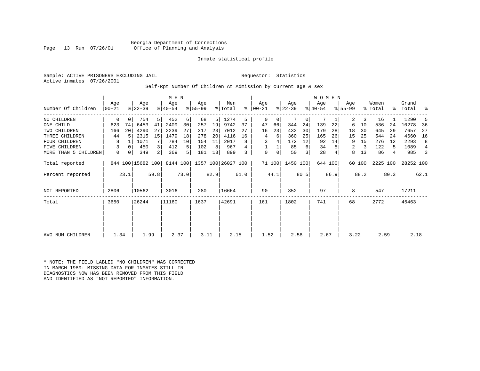Georgia Department of Corrections<br>Page 13 Run 07/26/01 Office of Planning and Analysis Office of Planning and Analysis

## Inmate statistical profile

Sample: ACTIVE PRISONERS EXCLUDING JAIL **Requestor:** Statistics Active inmates 07/26/2001

## Self-Rpt Number Of Children At Admission by current age & sex

|                      |           |          |                   |                | M E N     |      |             |      |                    |      |           |        |           |      | <b>WOMEN</b> |         |             |        |          |      |           |      |
|----------------------|-----------|----------|-------------------|----------------|-----------|------|-------------|------|--------------------|------|-----------|--------|-----------|------|--------------|---------|-------------|--------|----------|------|-----------|------|
|                      | Age       |          | Age               |                | Age       |      | Age         |      | Men                |      | Age       |        | Age       |      | Age          |         | Age         |        | Women    |      | Grand     |      |
| Number Of Children   | $00 - 21$ |          | $8 22-39$         |                | $ 40-54 $ |      | $8155 - 99$ |      | % Total            | ⊱    | $ 00-21 $ |        | $ 22-39 $ |      | $ 40-54 $    |         | $8155 - 99$ |        | % Total  |      | %   Total | ႜ    |
| NO CHILDREN          | 0         | 0        | 754               | 5              | 452       | 6    | 68          | 5    | 1274               | 5    | 0         | 0      |           | 0    |              |         | 2           | 3      | 16       |      | 1290      | 5    |
| ONE CHILD            | 623       | 74       | 6453              | 41             | 2409      | 30   | 257         | 19   | 9742               | 37   | 47        | 66     | 344       | 24   | 139          | 22      | 6           | 10     | 536      | 24   | 10278     | 36   |
| TWO CHILDREN         | 166       | 20       | 4290              | 27             | 2239      | 27   | 317         | 23   | 7012               | 27   | 16        | 23     | 432       | 30   | 179          | 28      | 18          | 30     | 645      | 29   | 7657      | 27   |
| THREE CHILDREN       | 44        | .5       | 2315              | 15             | 1479      | 18   | 278         | 20   | 4116               | 16   | 4         | 6      | 360       | 25   | 165          | 26      | 15          | 25     | 544      | 24   | 4660      | 16   |
| <b>FOUR CHILDREN</b> | 8         |          | 1071              |                | 784       | 10   | 154         | 11   | 2017               |      | 3         |        | 172       | 12   | 92           | 14      | 9           | 15     | 276      | 12   | 2293      | 8    |
| FIVE CHILDREN        | 3         | $\Omega$ | 450               | $\overline{3}$ | 412       | 5    | 102         | 8    | 967                | 4    |           |        | 85        | 6    | 34           |         | 2           | 3      | 122      | 5    | 1089      | 4    |
| MORE THAN 5 CHILDREN | 0         | 0        | 349               | $\overline{2}$ | 369       | 5    | 181         | 13   | 899                |      | 0         | 0      | 50        | 3    | 28           |         | 8           | 13     | 86       | 4    | 985       | 3    |
| Total reported       |           |          | 844 100 15682 100 |                | 8144 100  |      |             |      | 1357 100 26027 100 |      |           | 71 100 | 1450 100  |      |              | 644 100 |             | 60 100 | 2225 100 |      | 28252 100 |      |
| Percent reported     |           | 23.1     |                   | 59.8           |           | 73.0 |             | 82.9 |                    | 61.0 |           | 44.1   |           | 80.5 |              | 86.9    |             | 88.2   |          | 80.3 |           | 62.1 |
| <b>NOT REPORTED</b>  | 2806      |          | 10562             |                | 3016      |      | 280         |      | 16664              |      | 90        |        | 352       |      | 97           |         | 8           |        | 547      |      | 17211     |      |
| Total                | 3650      |          | 26244             |                | 11160     |      | 1637        |      | 42691              |      | 161       |        | 1802      |      | 741          |         | 68          |        | 2772     |      | 45463     |      |
|                      |           |          |                   |                |           |      |             |      |                    |      |           |        |           |      |              |         |             |        |          |      |           |      |
|                      |           |          |                   |                |           |      |             |      |                    |      |           |        |           |      |              |         |             |        |          |      |           |      |
| AVG NUM CHILDREN     | 1.34      |          | 1.99              |                | 2.37      |      | 3.11        |      | 2.15               |      | 1.52      |        | 2.58      |      | 2.67         |         | 3.22        |        | 2.59     |      | 2.18      |      |

\* NOTE: THE FIELD LABLED "NO CHILDREN" WAS CORRECTED IN MARCH 1989: MISSING DATA FOR INMATES STILL IN DIAGNOSTICS NOW HAS BEEN REMOVED FROM THIS FIELD AND IDENTIFIED AS "NOT REPORTED" INFORMATION.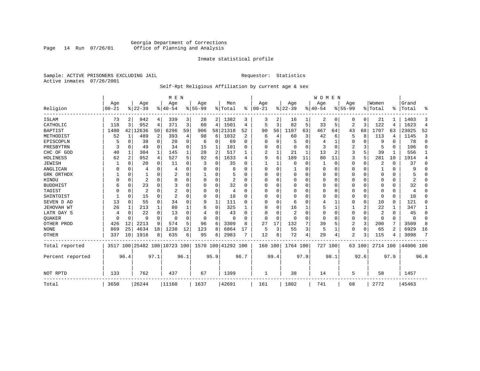# Georgia Department of Corrections Page 14 Run 07/26/01 Office of Planning and Analysis

## Inmate statistical profile

Sample: ACTIVE PRISONERS EXCLUDING JAIL **Requestor:** Statistics Active inmates 07/26/2001

# Self-Rpt Religious Affiliation by current age & sex

|                  |                  |                |                              |              | M E N           |          |                  |                |                    |              |                 |              |                 |      | <b>WOMEN</b>    |                |                  |             |                  |                |                |             |
|------------------|------------------|----------------|------------------------------|--------------|-----------------|----------|------------------|----------------|--------------------|--------------|-----------------|--------------|-----------------|------|-----------------|----------------|------------------|-------------|------------------|----------------|----------------|-------------|
| Religion         | Age<br>$00 - 21$ |                | Age<br>$8 22-39$             |              | Age<br>$ 40-54$ |          | Age<br>$8 55-99$ |                | Men<br>% Total     | %            | Age<br>$ 00-21$ |              | Age<br>$ 22-39$ |      | Aqe<br>$ 40-54$ |                | Age<br>$8 55-99$ |             | Women<br>% Total | ፠              | Grand<br>Total | ዱ           |
|                  |                  |                |                              |              |                 |          |                  |                |                    |              |                 |              |                 |      |                 |                |                  |             |                  |                |                |             |
| ISLAM            | 73               | 2              | 942                          | 4            | 339             | 3        | 28               |                | 2 1382             | 3            | 3               | 2            | 16              |      | 2               | 0              | 0                | 0           | 21               |                | 1403           | 3           |
| CATHOLIC         | 118              | 3              | 952                          | 4            | 371             | 3        | 60               | 4              | 1501               | 4            | 5               | 3            | 82              | 5    | 33              | 5              | 2                | 3           | 122              | 4              | 1623           | 4           |
| <b>BAPTIST</b>   | 1480             | 42             | 12636                        | 50           | 6296            | 59       | 906              | 58             | 21318              | 52           | 90              | 56           | 1107            | 63   | 467             | 64             | 43               | 68          | 1707             | 63             | 23025          | 52          |
| METHODIST        | 52               | 1              | 489                          | 2            | 393             | 4        | 98               | 6              | 1032               | 2            | 6               | 4            | 60              | 3    | 42              | 6              | 5                | 8           | 113              | 4              | 1145           | 3           |
| EPISCOPLN        | 5                | 0              | 38                           | $\mathbf 0$  | 20              | 0        | 6                | 0              | 69                 | $\Omega$     | 0               | O            | 5               | 0    |                 | 1              | 0                | 0           | 9                | $\Omega$       | 78             | $\mathbf 0$ |
| PRESBYTRN        | 3                | 0              | 49                           | $\Omega$     | 34              | $\Omega$ | 15               | 1              | 101                | O            | U               | $\Omega$     | $\mathbf 0$     | O    | 3               | 0              | 2                | 3           | 5                | $\Omega$       | 106            | $\Omega$    |
| CHC OF GOD       | 40               | 1              | 304                          | $\mathbf{1}$ | 145             |          | 28               | $\overline{a}$ | 517                |              | 2               |              | 21              | 1    | 13              | $\overline{c}$ | 3                | 5           | 39               |                | 556            | 1           |
| HOLINESS         | 62               | $\overline{2}$ | 952                          | 4            | 527             | 5        | 92               | 6              | 1633               | 4            | 9               | 6            | 189             | 11   | 80              | 11             | 3                | 5           | 281              | 10             | 1914           | 4           |
| <b>JEWISH</b>    |                  | $\Omega$       | 20                           | $\Omega$     | 11              | O        | 3                | 0              | 35                 |              |                 |              | $\Omega$        | 0    |                 | $\Omega$       | 0                | 0           | 2                | $\Omega$       | 37             | $\Omega$    |
| ANGLICAN         |                  | 0              | 4                            | 0            | 4               |          |                  | U              | 8                  | U            | 0               | <sup>0</sup> |                 | 0    | $\Omega$        | 0              | 0                | 0           |                  | 0              | 9              | 0           |
| GRK ORTHDX       |                  | 0              |                              | $\Omega$     | 2               | $\Omega$ |                  | 0              |                    | <sup>0</sup> | $\Omega$        | O            | $\Omega$        | O    | $\Omega$        | $\Omega$       | 0                | $\Omega$    | $\Omega$         | $\Omega$       |                | $\Omega$    |
| HINDU            |                  | $\Omega$       | 2                            | $\Omega$     | $\Omega$        | $\Omega$ |                  | $\Omega$       | 2                  | $\Omega$     | $\Omega$        |              | $\Omega$        | 0    | $\Omega$        | $\Omega$       | 0                | $\Omega$    | $\Omega$         | $\Omega$       | 2              | $\Omega$    |
| <b>BUDDHIST</b>  | 6                | $\Omega$       | 23                           | $\Omega$     | 3               | $\Omega$ | U                | 0              | 32                 | O            | U               | U            | $\Omega$        | 0    | $\Omega$        | $\Omega$       | 0                | $\Omega$    | $\Omega$         | $\Omega$       | 32             | $\Omega$    |
| TAOIST           |                  | 0              | $\overline{2}$               | $\Omega$     | $\overline{c}$  |          |                  | $\Omega$       | 4                  | O            | U               |              | $\Omega$        | 0    | 0               | $\Omega$       | 0                | $\Omega$    | $\Omega$         | $\Omega$       | 4              | $\Omega$    |
| SHINTOIST        |                  | $\Omega$       | 15                           | $\Omega$     | $\overline{2}$  |          | O                | $\Omega$       | 18                 | O            | U               | $\cap$       | $\Omega$        | O    | O               | $\Omega$       | 0                | $\Omega$    | $\Omega$         | $\Omega$       | 18             | $\Omega$    |
| SEVEN D AD       | 13               | $\Omega$       | 55                           | $\Omega$     | 34              |          | 9                | 1              | 111                | ∩            | U               | O            | 6               | O    | 4               | 1              | 0                | 0           | 10               | $\Omega$       | 121            | $\Omega$    |
| JEHOVAH WT       | 26               | 1              | 213                          | 1            | 80              |          | 6                | 0              | 325                |              | $\Omega$        | $\Omega$     | 16              |      | 5               | 1              |                  | 2           | 22               |                | 347            | 1           |
| LATR DAY S       | 4                | $\Omega$       | 22                           | $\Omega$     | 13              |          |                  | 0              | 43                 |              | U               |              | $\overline{2}$  | 0    | $\Omega$        | $\Omega$       | 0                | 0           | 2                | $\Omega$       | 45             | $\Omega$    |
| <b>OUAKER</b>    |                  | 0              | O                            | $\Omega$     | $\Omega$        | $\Omega$ | U                | 0              | n                  | U            | $\Omega$        | $\cap$       | $\Omega$        | 0    | $\Omega$        | $\Omega$       | 0                | $\mathbf 0$ | $\Omega$         | $\Omega$       | $\Omega$       | 0           |
| OTHER PROD       | 426              | 12             | 2213                         | 9            | 574             | 5        | 96               | 6              | 3309               | 8            | 27              | 17           | 132             | 7    | 39              | 5              | 2                | 3           | 200              | 7              | 3509           | 8           |
| <b>NONE</b>      | 869              | 25             | 4634                         | 18           | 1238            | 12       | 123              | 8              | 6864               | 17           | 5               | 3            | 55              | 3    | 5               | 1              | 0                | $\Omega$    | 65               | $\mathfrak{D}$ | 6929           | 16          |
| <b>OTHER</b>     | 337              | 10             | 1916                         | 8            | 635             | 6        | 95               | 6              | 2983               |              | 12              | 8            | 72              | 4    | 29              | 4              | 2                | 3           | 115              | 4              | 3098           | 7           |
| Total reported   |                  |                | 3517 100 25482 100 10723 100 |              |                 |          |                  |                | 1570 100 41292 100 |              | 160 100         |              | 1764 100        |      | 727 100         |                |                  | 63 100      | 2714 100         |                | 44006 100      |             |
| Percent reported |                  | 96.4           |                              | 97.1         |                 | 96.1     |                  | 95.9           |                    | 96.7         |                 | 99.4         |                 | 97.9 |                 | 98.1           |                  | 92.6        |                  | 97.9           |                | 96.8        |
| NOT RPTD         | 133              |                | 762                          |              | 437             |          | 67               |                | 1399               |              | 1               |              | 38              |      | 14              |                | 5                |             | 58               |                | 1457           |             |
|                  |                  |                |                              |              |                 |          |                  |                |                    |              |                 |              |                 |      |                 |                |                  |             |                  |                |                |             |
| Total            | 3650             |                | 26244                        |              | 11160           |          | 1637             |                | 42691              |              | 161             |              | 1802            |      | 741             |                | 68               |             | 2772             |                | 45463          |             |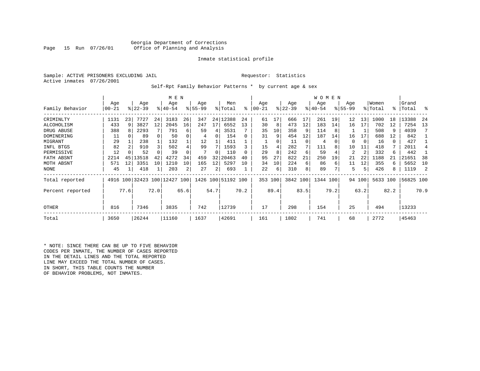Georgia Department of Corrections<br>Page 15 Run 07/26/01 Office of Planning and Analysis Office of Planning and Analysis

## Inmate statistical profile

Sample: ACTIVE PRISONERS EXCLUDING JAIL **Requestor:** Statistics Active inmates 07/26/2001

Self-Rpt Family Behavior Patterns \* by current age & sex

|                  |           |      |                              |      | M E N       |      |          |              |                    |      |          |      |           |          | WOMEN    |      |             |        |          |      |           |      |
|------------------|-----------|------|------------------------------|------|-------------|------|----------|--------------|--------------------|------|----------|------|-----------|----------|----------|------|-------------|--------|----------|------|-----------|------|
|                  | Age       |      | Age                          |      | Age         |      | Age      |              | Men                |      | Age      |      | Age       |          | Age      |      | Age         |        | Women    |      | Grand     |      |
| Family Behavior  | $00 - 21$ |      | $8 22-39$                    |      | $8140 - 54$ |      | $ 55-99$ |              | % Total            | ⊱    | $ 00-21$ |      | $ 22-39 $ |          | $ 40-54$ |      | $8155 - 99$ |        | % Total  | °≈   | Total     | ႜ    |
| CRIMINLTY        | 1131      | 23   | 7727                         | 24   | 3183        | 26   | 347      |              | 24 12388           | 24   | 61       | 17   | 666       | 17       | 261      | 19   | 12          | 13     | 1000     | 18   | 13388     | 24   |
| ALCOHOLISM       | 433       | 9    | 3827                         | 12   | 2045        | 16   | 247      | 17           | 6552               | 13   | 30       | 8    | 473       | 12       | 183      | 14   | 16          | 17     | 702      | 12   | 7254      | 13   |
| DRUG ABUSE       | 388       |      | 2293                         |      | 791         | 6    | 59       | 4            | 3531               |      | 35       | 10   | 358       | -9       | 114      |      |             |        | 508      | 9    | 4039      |      |
| DOMINERING       | 11        |      | 89                           |      | 50          | 0    | 4        | 0            | 154                |      | 31       | 9    | 454       | 12       | 187      | 14   | 16          |        | 688      | 12   | 842       |      |
| MIGRANT          | 29        |      | 238                          |      | 132         |      | 12       |              | 411                |      |          | 0    | 11        | $\Omega$ | 4        |      | 0           | 0      | 16       | 0    | 427       |      |
| INFL BTGS        | 82        |      | 910                          |      | 502         |      | 99       |              | 1593               |      | 15       |      | 282       |          | 111      |      | 10          | 11     | 418      | 7    | 2011      |      |
| PERMISSIVE       | 12        |      | 52                           |      | 39          |      |          | <sup>0</sup> | 110                |      | 29       | 8    | 242       | 6        | 59       |      | 2           | 2      | 332      | 6    | 442       |      |
| FATH ABSNT       | 2214      | 45   | 13518                        | 42   | 4272        | 34   | 459      | 32           | 20463              | 40   | 95       | 27   | 822       | 21       | 250      | 19   | 21          | 22     | 1188     |      | 21651     | 38   |
| MOTH ABSNT       | 571       | 12   | 3351                         | 10   | 1210        | 10   | 165      | 12           | 5297               | 10   | 34       | 10   | 224       | 6        | 86       | 6    | 11          | 12     | 355      | 6    | 5652      | 10   |
| <b>NONE</b>      | 45        |      | 418                          |      | 203         | 2    | 27       | 2            | 693                |      | 22       | 6    | 310       | 8        | 89       |      | 5           | 5      | 426      | 8    | 1119      |      |
| Total reported   |           |      | 4916 100 32423 100 12427 100 |      |             |      |          |              | 1426 100 51192 100 |      | 353 100  |      | 3842 100  |          | 1344 100 |      |             | 94 100 | 5633 100 |      | 56825 100 |      |
| Percent reported |           | 77.6 |                              | 72.0 |             | 65.6 |          | 54.7         |                    | 70.2 |          | 89.4 |           | 83.5     |          | 79.2 |             | 63.2   |          | 82.2 |           | 70.9 |
| OTHER            | 816       |      | 7346                         |      | 3835        |      | 742      |              | 12739              |      | 17       |      | 298       |          | 154      |      | 25          |        | 494      |      | 13233     |      |
| Total            | 3650      |      | 26244                        |      | 11160       |      | 1637     |              | 42691              |      | 161      |      | 1802      |          | 741      |      | 68          |        | 2772     |      | 45463     |      |

\* NOTE: SINCE THERE CAN BE UP TO FIVE BEHAVIOR CODES PER INMATE, THE NUMBER OF CASES REPORTED IN THE DETAIL LINES AND THE TOTAL REPORTED LINE MAY EXCEED THE TOTAL NUMBER OF CASES. IN SHORT, THIS TABLE COUNTS THE NUMBER OF BEHAVIOR PROBLEMS, NOT INMATES.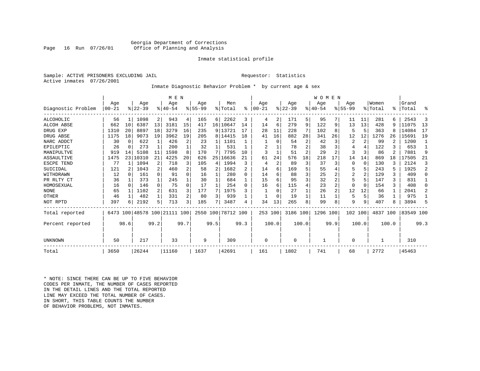## Georgia Department of Corrections Office of Planning and Analysis

## Inmate statistical profile

Sample: ACTIVE PRISONERS EXCLUDING JAIL **Requestor:** Statistics Active inmates 07/26/2001

# Inmate Diagnostic Behavior Problem \* by current age & sex

|                    |          |          |          |              | M E N                        |      |           |                 |           |                |           |       |          |       | <b>WOMEN</b> |                |           |       |          |       |           |          |
|--------------------|----------|----------|----------|--------------|------------------------------|------|-----------|-----------------|-----------|----------------|-----------|-------|----------|-------|--------------|----------------|-----------|-------|----------|-------|-----------|----------|
|                    | Age      |          | Age      |              | Age                          |      | Age       |                 | Men       |                | Age       |       | Age      |       | Age          |                | Age       |       | Women    |       | Grand     |          |
| Diagnostic Problem | $ 00-21$ |          | $ 22-39$ |              | $ 40-54$                     |      | $8 55-99$ |                 | % Total   | ႜ              | $00 - 21$ |       | $ 22-39$ |       | $ 40-54$     |                | $8 55-99$ |       | % Total  | ፠     | Total     | ႜ        |
| <b>ALCOHOLIC</b>   | 56       | 1        | 1098     | 2            | 943                          | 4    | 165       | 6               | 2262      | 3              | 4         | 2     | 171      | 5     | 95           | 7              | 11        | 11    | 281      | 6     | 2543      | 3        |
| <b>ALCOH ABSE</b>  | 662      | 10       | 6387     | 13           | 3181                         | 15   | 417       | 16 <sup>1</sup> | 10647     | 14             | 14        | 6     | 279      | 9     | 122          | 9              | 13        | 13    | 428      | 9     | 11075     | 13       |
| DRUG EXP           | 1310     | 20       | 8897     | 18           | 3279                         | 16   | 235       |                 | 9 13721   | 17             | 28        | 11    | 228      |       | 102          | 8              | 5         | 5     | 363      | 8     | 14084     | 17       |
| DRUG ABSE          | 1175     | 18       | 9073     | 19           | 3962                         | 19   | 205       |                 | 8 14415   | 18             | 41        | 16    | 882      | 28    | 341          | 26             | 12        | 12    | 1276     | 26    | 15691     | 19       |
| NARC ADDCT         | 30       | 0        | 622      |              | 426                          |      | 23        |                 | 1101      |                |           | U     | 54       | 2     | 42           | 3              | 2         | 2     | 99       |       | 1200      |          |
| EPILEPTIC          | 26       | 0        | 273      | $\mathbf{1}$ | 200                          |      | 32        |                 | 531       |                | 2         |       | 78       | 2     | 38           | 3              |           | 4     | 122      |       | 653       |          |
| MANIPULTVE         | 919      | 14       | 5108     | 11           | 1598                         | 8    | 170       |                 | 7795      | 10             |           |       | 51       | 2     | 29           | 2              |           | 3     | 86       |       | 7881      | 9        |
| ASSAULTIVE         | 1475     |          | 23 10310 | 21           | 4225                         | 20   | 626       | 25              | 16636     | 21             | 61        | 24    | 576      | 18    | 218          | 17             | 14        | 14    | 869      | 18    | 17505     | 21       |
| ESCPE TEND         | 77       |          | 1094     | 2            | 718                          |      | 105       | 4               | 1994      | 3              | 4         | 2     | 89       | 3     | 37           | 3              | $\Omega$  | 0     | 130      | ζ     | 2124      | 3        |
| SUICIDAL           | 121      |          | 1043     | 2            | 460                          |      | 58        | 2               | 1682      | $\overline{c}$ | 14        | 6     | 169      | 5     | 55           | 4              |           | 5     | 243      |       | 1925      | 2        |
| WITHDRAWN          | 12       | $\Omega$ | 161      | $\Omega$     | 91                           |      | 16        |                 | 280       | <sup>0</sup>   | 14        | б     | 88       | 3     | 25           | 2              | 2         | 2     | 129      | ζ     | 409       | $\Omega$ |
| PR RLTY CT         | 36       |          | 373      | 1            | 245                          |      | 30        |                 | 684       |                | 15        | 6     | 95       | 3     | 32           |                |           | 5     | 147      | 3     | 831       |          |
| HOMOSEXUAL         | 16       | 0        | 146      | $\Omega$     | 75                           | 0    | 17        |                 | 254       | 0              | 16        | 6     | 115      | 4     | 23           | $\overline{2}$ | $\Omega$  | 0     | 154      | ζ     | 408       | $\Omega$ |
| <b>NONE</b>        | 65       |          | 1102     | 2            | 631                          |      | 177       | 7               | 1975      | 3              |           |       | 27       |       | 26           | 2              | 12        | 12    | 66       |       | 2041      | 2        |
| OTHER              | 46       |          | 482      | 1            | 331                          |      | 80        | 3               | 939       |                |           |       | 19       |       | 11           |                | 5         | 5     | 36       |       | 975       |          |
| NOT RPTD           | 397      | 6        | 2192     | 5            | 713                          | 3    | 185       | 7               | 3487      | 4              | 34        | 13    | 265      | 8     | 99           | 8              | 9         | 9     | 407      | 8     | 3894      | 5        |
| Total reported     |          |          |          |              | 6473 100 48578 100 21111 100 |      | 2550 100  |                 | 78712 100 |                | 253 100   |       | 3186 100 |       | 1296 100     |                | 102 100   |       | 4837 100 |       | 83549 100 |          |
| Percent reported   |          | 98.6     |          | 99.2         |                              | 99.7 |           | 99.5            |           | 99.3           |           | 100.0 |          | 100.0 |              | 99.9           |           | 100.0 |          | 100.0 |           | 99.3     |
|                    |          |          |          |              |                              |      |           |                 |           |                |           |       |          |       |              |                |           |       |          |       |           |          |
| UNKNOWN            | 50       |          | 217      |              | 33                           |      | 9         |                 | 309       |                | 0         |       | 0        |       | 1            |                | $\Omega$  |       |          |       | 310       |          |
| Total              | 3650     |          | 26244    |              | 11160                        |      | 1637      |                 | 42691     |                | 161       |       | 1802     |       | 741          |                | 68        |       | 2772     |       | 45463     |          |

\* NOTE: SINCE THERE CAN BE UP TO FIVE BEHAVIOR CODES PER INMATE, THE NUMBER OF CASES REPORTED IN THE DETAIL LINES AND THE TOTAL REPORTED LINE MAY EXCEED THE TOTAL NUMBER OF CASES.IN SHORT, THIS TABLE COUNTS THE NUMBER OF BEHAVIOR PROBLEMS, NOT INMATES.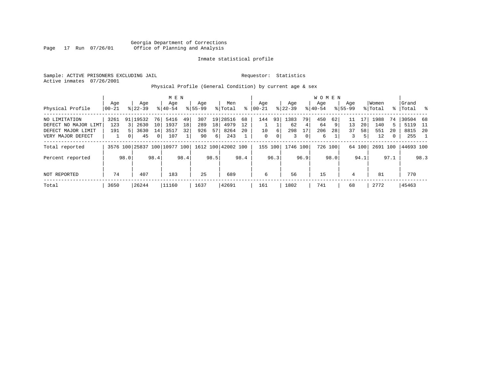Georgia Department of Corrections Page 17 Run 07/26/01 Office of Planning and Analysis

# Inmate statistical profile

Sample: ACTIVE PRISONERS EXCLUDING JAIL **Requestor:** Statistics Active inmates 07/26/2001

Physical Profile (General Condition) by current age & sex

|                      |       |                |            |                 | M E N                        |      |             |                 |                    |      |              |      |           |             | W O M E N |         |             |        |          |              |           |      |
|----------------------|-------|----------------|------------|-----------------|------------------------------|------|-------------|-----------------|--------------------|------|--------------|------|-----------|-------------|-----------|---------|-------------|--------|----------|--------------|-----------|------|
|                      | Age   |                | Age        |                 | Age                          |      | Age         |                 | Men                |      | Aqe          |      | Age       |             | Aqe       |         | Aqe         |        | Women    |              | Grand     |      |
| Physical Profile     | 00-21 |                | $8 22-39$  |                 | $8 40-54$                    |      | $8155 - 99$ |                 | % Total            | ွေ   | $00 - 21$    |      | $ 22-39 $ |             | $8 40-54$ |         | $8155 - 99$ |        | % Total  | ွေ           | Total     | ိ    |
| NO LIMITATION        | 3261  |                | 91   19532 | 76 I            | 5416                         | 49   | 307         |                 | 19 28516           | 68   | 144          | 931  | 1383      | 79          | 450       | 62      | 11          | 17     | 1988     | 74           | 30504     | 68   |
| DEFECT NO MAJOR LIMT | 123   | $\overline{3}$ | 2630       | 10 <sup>1</sup> | 1937                         | 18   | 289         | 18 <sup>1</sup> | 4979               | 12   |              |      | 62        | 4           | 64        | 9       | 13          | 20     | 140      | 5            | 5119      | - 11 |
| DEFECT MAJOR LIMIT   | 191   |                | 3630       | 14              | 3517                         | 32   | 926         | 57              | 8264               | 20   | 10           | 6    | 298       | 17          | 206       | 28      | 37          | 58     | 551      | 20           | 8815      | 20   |
| VERY MAJOR DEFECT    |       |                | 45         | $\overline{0}$  | 107                          |      | 90          | 6               | 243                |      | $\mathbf{0}$ | 0    | 3         | $\mathbf 0$ | 6         |         | 3           | 51     | 12       | $\mathbf{0}$ | 255       |      |
| Total reported       |       |                |            |                 | 3576 100 25837 100 10977 100 |      |             |                 | 1612 100 42002 100 |      | 155 100      |      | 1746 100  |             |           | 726 100 |             | 64 100 | 2691 100 |              | 44693 100 |      |
| Percent reported     |       | 98.0           |            | 98.4            |                              | 98.4 |             | 98.5            |                    | 98.4 |              | 96.3 |           | 96.9        |           | 98.0    |             | 94.1   |          | 97.1         |           | 98.3 |
| NOT REPORTED         | 74    |                | 407        |                 | 183                          |      | 25          |                 | 689                |      | 6            |      | 56        |             | 15        |         | 4           |        | 81       |              | 770       |      |
| Total                | 3650  |                | 26244      |                 | 11160                        |      | 1637        |                 | 42691              |      | 161          |      | 1802      |             | 741       |         | 68          |        | 2772     |              | 45463     |      |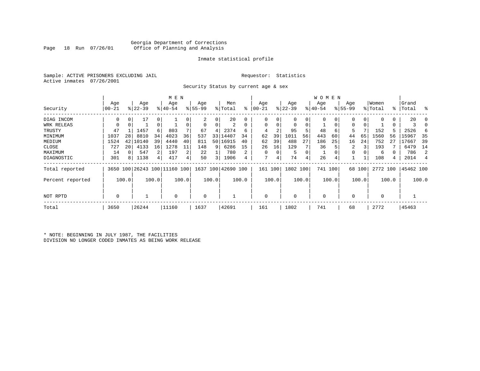# Georgia Department of Corrections Office of Planning and Analysis

## Inmate statistical profile

Sample: ACTIVE PRISONERS EXCLUDING JAIL **Requestor:** Statistics Active inmates 07/26/2001

Security Status by current age & sex

|                  |          |       |           |             | M E N     |       |          |       |                                                 |       |          |          |             |       | W O M E N   |       |             |          |             |       |           |       |
|------------------|----------|-------|-----------|-------------|-----------|-------|----------|-------|-------------------------------------------------|-------|----------|----------|-------------|-------|-------------|-------|-------------|----------|-------------|-------|-----------|-------|
|                  | Age      |       | Age       |             | Age       |       | Age      |       | Men                                             |       | Age      |          | Age         |       | Age         |       | Age         |          | Women       |       | Grand     |       |
| Security         | $ 00-21$ |       | $ 22-39 $ |             | $8 40-54$ |       | $ 55-99$ |       | % Total                                         | ៖     | 00-21    |          | $ 22-39 $   |       | $ 40-54 $   |       | $8155 - 99$ |          | % Total     |       | %   Total | ႜ     |
| DIAG INCOM       | $\Omega$ |       | 17        | 0           |           |       | 2        | 0     | 20                                              |       | 0        |          | 0           | 0     |             |       |             | $\Omega$ |             | 0     | 20        |       |
| WRK RELEAS       | 0        | 0     |           | $\mathbf 0$ |           |       | 0        | 0     | 2                                               | 0     | $\Omega$ |          | $\mathbf 0$ | 0     |             | 0     | 0           | 0        |             | 0     |           |       |
| TRUSTY           | 47       |       | 1457      | 6           | 803       |       | 67       | 4     | 2374                                            | 6     | 4        |          | 95          | 5     | 48          | 6     | 5           |          | 152         |       | 2526      | 6     |
| MINIMUM          | 1037     | 28    | 8810      | 34          | 4023      | 36    | 537      | 33    | 14407                                           | 34    | 62       | 39       | 1011        | 56    | 443         | 60    | 44          | 65       | 1560        | 56    | 15967     | 35    |
| MEDIUM           | 1524     | 42    | 10140     | 39          | 4440      | 40    | 811      |       | 50   16915                                      | 40    | 62       | 39       | 488         | 27    | 186         | 25    | 16          | 24       | 752         | 27    | 17667     | 39    |
| CLOSE            | 727      | 20    | 4133      | 16          | 1278      | 11    | 148      | 9     | 6286                                            | 15    | 26       | 16       | 129         |       | 36          |       | 2           |          | 193         |       | 6479      | 14    |
| MAXIMUM          | 14       |       | 547       |             | 197       | 2     | 22       |       | 780                                             | 2     | $\Omega$ | $\Omega$ | 5           | 0     |             |       | 0           |          | 6           |       | 786       | 2     |
| DIAGNOSTIC       | 301      | 8     | 1138      | 4           | 417       |       | 50       | 3     | 1906                                            | 4     | 7        | 4        | 74          | 4     | 26          |       |             |          | 108         | 4     | 2014      |       |
| Total reported   |          |       |           |             |           |       |          |       | 3650 100 26243 100 11160 100 1637 100 42690 100 |       | 161      | 100      | 1802 100    |       | 741 100     |       |             | 68 100   | 2772 100    |       | 45462 100 |       |
| Percent reported |          | 100.0 |           | 100.0       |           | 100.0 |          | 100.0 |                                                 | 100.0 |          | 100.0    |             | 100.0 |             | 100.0 |             | 100.0    |             | 100.0 |           | 100.0 |
| NOT RPTD         | 0        |       |           |             | $\Omega$  |       | 0        |       |                                                 |       | $\Omega$ |          | $\mathbf 0$ |       | $\mathbf 0$ |       | 0           |          | $\mathbf 0$ |       |           |       |
| Total            | 3650     |       | 26244     |             | 11160     |       | 1637     |       | 42691                                           |       | 161      |          | 1802        |       | 741         |       | 68          |          | 2772        |       | 45463     |       |

\* NOTE: BEGINNING IN JULY 1987, THE FACILITIES DIVISION NO LONGER CODED INMATES AS BEING WORK RELEASE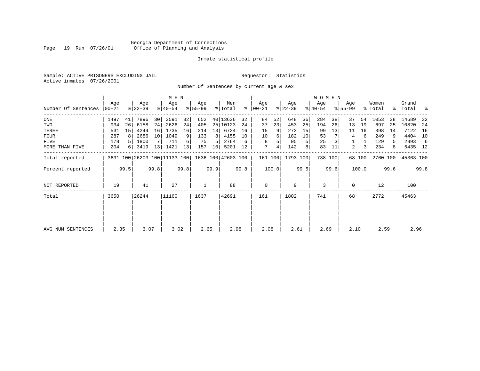# Georgia Department of Corrections Page 19 Run 07/26/01 Office of Planning and Analysis

## Inmate statistical profile

Sample: ACTIVE PRISONERS EXCLUDING JAIL **Requestor:** Statistics Active inmates 07/26/2001

Number Of Sentences by current age & sex

|                     |           |      |           |      | M E N                        |      |           |      |                    |      |               |       |           |      | <b>WOMEN</b> |      |             |        |          |      |           |      |
|---------------------|-----------|------|-----------|------|------------------------------|------|-----------|------|--------------------|------|---------------|-------|-----------|------|--------------|------|-------------|--------|----------|------|-----------|------|
|                     | Age       |      | Age       |      | Age                          |      | Age       |      | Men                |      | Age           |       | Age       |      | Age          |      | Age         |        | Women    |      | Grand     |      |
| Number Of Sentences | $00 - 21$ |      | $ 22-39 $ |      | $ 40-54 $                    |      | $8 55-99$ |      | % Total            |      | $8   00 - 21$ |       | $ 22-39 $ |      | $ 40-54 $    |      | $8155 - 99$ |        | % Total  |      | %   Total | ႜ    |
| ONE                 | 1497      | 41   | 7896      | 30   | 3591                         | 32   | 652       |      | 40 13636           | 32   | 84            | 52    | 648       | 36   | 284          | 38   | 37          | 54     | 1053     | 38   | 14689     | 32   |
| TWO                 | 934       | 26   | 6158      | 24   | 2626                         | 24   | 405       | 25   | 10123              | 24   | 37            | 23    | 453       | 25   | 194          | 26   | 13          | 19     | 697      | 25   | 10820     | 24   |
| THREE               | 531       | 15   | 4244      | 16   | 1735                         | 16   | 214       | 13   | 6724               | 16   | 15            |       | 273       | 15   | 99           | 13   | 11          | 16     | 398      | 14   | 7122      | 16   |
| <b>FOUR</b>         | 287       | 8    | 2686      | 10   | 1049                         | 9    | 133       | 8    | 4155               | 10   | 10            | 6     | 182       | 10   | 53           |      | 4           | 6      | 249      | 9    | 4404      | 10   |
| <b>FIVE</b>         | 178       |      | 1800      |      | 711                          | 6    | 75        | 5    | 2764               | 6    | 8             |       | 95        | 5    | 25           |      |             |        | 129      | 5.   | 2893      | -6   |
| MORE THAN FIVE      | 204       | 6    | 3419      | 13   | 1421                         | 13   | 157       | 10   | 5201               | 12   | 7             | 4     | 142       | 8    | 83           | 11   | 2           | 3      | 234      | 8    | 5435 12   |      |
| Total reported      |           |      |           |      | 3631 100 26203 100 11133 100 |      |           |      | 1636 100 42603 100 |      | 161 100       |       | 1793 100  |      | 738 100      |      |             | 68 100 | 2760 100 |      | 45363 100 |      |
| Percent reported    |           | 99.5 |           | 99.8 |                              | 99.8 |           | 99.9 |                    | 99.8 |               | 100.0 |           | 99.5 |              | 99.6 |             | 100.0  |          | 99.6 |           | 99.8 |
| NOT REPORTED        | 19        |      | 41        |      | 27                           |      |           |      | 88                 |      | $\mathbf 0$   |       | 9         |      | 3            |      | $\Omega$    |        | 12       |      | 100       |      |
| Total               | 3650      |      | 26244     |      | 11160                        |      | 1637      |      | 42691              |      | 161           |       | 1802      |      | 741          |      | 68          |        | 2772     |      | 45463     |      |
|                     |           |      |           |      |                              |      |           |      |                    |      |               |       |           |      |              |      |             |        |          |      |           |      |
|                     |           |      |           |      |                              |      |           |      |                    |      |               |       |           |      |              |      |             |        |          |      |           |      |
| AVG NUM SENTENCES   | 2.35      |      | 3.07      |      | 3.02                         |      | 2.65      |      | 2.98               |      | 2.08          |       | 2.61      |      | 2.69         |      | 2.10        |        | 2.59     |      | 2.96      |      |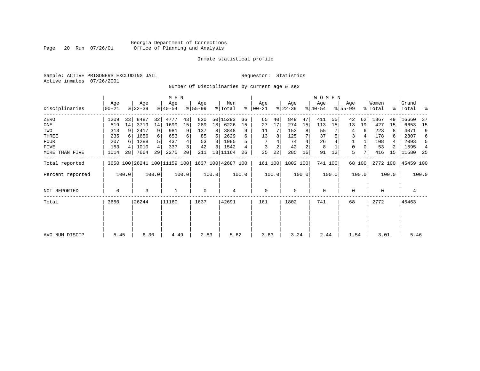# Georgia Department of Corrections<br>Page 20 Run 07/26/01 Office of Planning and Analysis Page 20 Run 07/26/01 Office of Planning and Analysis

# Inmate statistical profile

Sample: ACTIVE PRISONERS EXCLUDING JAIL **Requestor:** Statistics Active inmates 07/26/2001

Number Of Disciplinaries by current age & sex

|                  |                |       |                  |       | M E N            |                 |                 |       |                                                 |       |                 |       |                  |       | WOMEN            |         |                  |        |                  |       |                      |       |
|------------------|----------------|-------|------------------|-------|------------------|-----------------|-----------------|-------|-------------------------------------------------|-------|-----------------|-------|------------------|-------|------------------|---------|------------------|--------|------------------|-------|----------------------|-------|
| Disciplinaries   | Age<br>  00-21 |       | Age<br>$ 22-39 $ |       | Age<br>$8 40-54$ |                 | Age<br>$ 55-99$ |       | Men<br>% Total                                  | ∻     | Age<br>$ 00-21$ |       | Age<br>$ 22-39 $ |       | Aqe<br>$ 40-54 $ |         | Age<br>$8 55-99$ |        | Women<br>% Total |       | Grand<br>%   Total % |       |
| ZERO             | 1209           | 33    | 8487             | 32    | 4777             | 43              | 820             | 50    | 15293                                           | 36    | 65              | 40    | 849              | 47    | 411              | 55      | 42               | 62     | 1367             | 49    | 16660                | -37   |
| ONE              | 519            | 14    | 3719             | 14    | 1699             | 15              | 289             | 18    | 6226                                            | 15    | 27              | 17    | 274              | 15    | 113              | 15      | 13               | 19     | 427              | 15    | 6653                 | 15    |
| TWO              | 313            | 9     | 2417             | 9     | 981              |                 | 137             | 8     | 3848                                            | 9     | 11              |       | 153              | 8     | 55               |         | 4                | 6      | 223              | 8     | 4071                 | 9     |
| THREE            | 235            | 6     | 1656             | 6     | 653              |                 | 85              | 5.    | 2629                                            |       | 13              | 8     | 125              |       | 37               |         | 3                |        | 178              | 6     | 2807                 | 6     |
| <b>FOUR</b>      | 207            | 6     | 1288             | 5     | 437              |                 | 53              | 3     | 1985                                            |       |                 |       | 74               |       | 26               |         |                  |        | 108              | 4     | 2093                 | -5    |
| FIVE             | 153            | 4     | 1010             | 4     | 337              |                 | 42              | 3     | 1542                                            | 4     | 3               |       | 42               | 2     | 8                |         | 0                |        | 53               | 2     | 1595                 | 4     |
| MORE THAN FIVE   | 1014           | 28    | 7664             | 29    | 2275             | 20 <sup>1</sup> | 211             | 13    | 11164                                           | 26    | 35              | 22    | 285              | 16    | 91               | 12      | 5                |        | 416              | 15    | 11580                | -25   |
| Total reported   |                |       |                  |       |                  |                 |                 |       | 3650 100 26241 100 11159 100 1637 100 42687 100 |       | 161 100         |       | 1802 100         |       |                  | 741 100 |                  | 68 100 | 2772 100         |       | 45459 100            |       |
| Percent reported |                | 100.0 |                  | 100.0 |                  | 100.0           |                 | 100.0 |                                                 | 100.0 |                 | 100.0 |                  | 100.0 |                  | 100.0   |                  | 100.0  |                  | 100.0 |                      | 100.0 |
| NOT REPORTED     | 0              |       | 3                |       |                  |                 | 0               |       | 4                                               |       | 0               |       | $\mathbf 0$      |       | 0                |         | 0                |        | 0                |       | 4                    |       |
| Total            | 3650           |       | 26244            |       | 11160            |                 | 1637            |       | 42691                                           |       | 161             |       | 1802             |       | 741              |         | 68               |        | 2772             |       | 45463                |       |
|                  |                |       |                  |       |                  |                 |                 |       |                                                 |       |                 |       |                  |       |                  |         |                  |        |                  |       |                      |       |
|                  |                |       |                  |       |                  |                 |                 |       |                                                 |       |                 |       |                  |       |                  |         |                  |        |                  |       |                      |       |
| AVG NUM DISCIP   | 5.45           |       | 6.30             |       | 4.49             |                 | 2.83            |       | 5.62                                            |       | 3.63            |       | 3.24             |       | 2.44             |         | 1.54             |        | 3.01             |       | 5.46                 |       |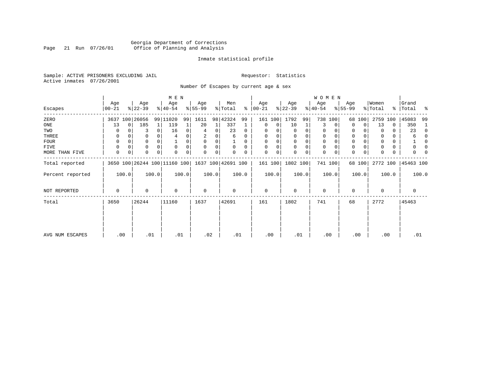# Georgia Department of Corrections Page 21 Run 07/26/01 Office of Planning and Analysis

## Inmate statistical profile

Sample: ACTIVE PRISONERS EXCLUDING JAIL **Requestor:** Statistics Active inmates 07/26/2001

Number Of Escapes by current age & sex

|                  |                  |          |                  |              | M E N                        |       |                 |       |                    |          |                   |             |                  |       | WOMEN            |          |                  |             |                  |       |                    |          |
|------------------|------------------|----------|------------------|--------------|------------------------------|-------|-----------------|-------|--------------------|----------|-------------------|-------------|------------------|-------|------------------|----------|------------------|-------------|------------------|-------|--------------------|----------|
| Escapes          | Age<br>$00 - 21$ |          | Age<br>$ 22-39 $ |              | Age<br>$ 40-54 $             |       | Age<br>$ 55-99$ |       | Men<br>% Total     | ွေ       | Age<br>$ 00 - 21$ |             | Age<br>$ 22-39 $ |       | Age<br>$ 40-54 $ |          | Age<br>$8 55-99$ |             | Women<br>% Total |       | Grand<br>%   Total | ႜ        |
| ZERO             | 3637             |          | 100 26056        |              | 99 11020                     | 99    | 1611            |       | 98 42324           | 99       | 161               | 100         | 1792             | 99    | 738              | 100      | 68               | 100         | 2759             | 100   | 45083              | 99       |
| ONE              | 13               | $\Omega$ | 185              | $\mathbf{1}$ | 119                          |       | 20              | 1     | 337                |          | 0                 | 0           | 10               | 1     | 3                | $\Omega$ | $\Omega$         | $\Omega$    | 13               | 0     | 350                | -1       |
| TWO              | 0                |          | 3                | 0            | 16                           |       |                 | 0     | 23                 | 0        | $\Omega$          |             | 0                | 0     | 0                |          | 0                |             | $\Omega$         | 0     | 23                 | 0        |
| THREE            | 0                |          |                  |              |                              |       |                 |       | 6                  | 0        | $\Omega$          |             | 0                |       | 0                |          | 0                |             |                  | 0     | 6                  | $\Omega$ |
| FOUR             | $\Omega$         | $\Omega$ | 0                | $\Omega$     |                              | 0     | 0               | 0     |                    | $\Omega$ | $\Omega$          | 0           | $\Omega$         | 0     | 0                | $\cap$   | 0                |             | <sup>0</sup>     | 0     |                    | 0        |
| FIVE             | $\Omega$         |          | 0                |              | $\Omega$                     |       | $\Omega$        | 0     | $\Omega$           | $\Omega$ | $\Omega$          | 0           | $\Omega$         | 0     | 0                | $\Omega$ | 0                |             |                  | 0     | 0                  |          |
| MORE THAN FIVE   | $\mathbf 0$      | 0        | 0                | 0            | $\Omega$                     | 0     | $\Omega$        | 0     |                    | 0        | $\Omega$          | $\mathbf 0$ | 0                | 0     | $\mathbf 0$      | 0        | $\mathbf 0$      | $\mathbf 0$ |                  | 0     | U                  |          |
| Total reported   |                  |          |                  |              | 3650 100 26244 100 11160 100 |       |                 |       | 1637 100 42691 100 |          | 161 100           |             | 1802 100         |       |                  | 741 100  |                  | 68 100      | 2772 100         |       | 45463 100          |          |
| Percent reported |                  | 100.0    |                  | 100.0        |                              | 100.0 |                 | 100.0 |                    | 100.0    |                   | 100.0       |                  | 100.0 |                  | 100.0    |                  | 100.0       |                  | 100.0 |                    | 100.0    |
| NOT REPORTED     | 0                |          | 0                |              | $\Omega$                     |       | $\mathbf 0$     |       | 0                  |          | $\mathbf 0$       |             | 0                |       | $\mathbf 0$      |          | 0                |             | $\Omega$         |       | 0                  |          |
| Total            | 3650             |          | 26244            |              | 11160                        |       | 1637            |       | 42691              |          | 161               |             | 1802             |       | 741              |          | 68               |             | 2772             |       | 45463              |          |
|                  |                  |          |                  |              |                              |       |                 |       |                    |          |                   |             |                  |       |                  |          |                  |             |                  |       |                    |          |
| AVG NUM ESCAPES  | .00              |          | .01              |              | .01                          |       | .02             |       | .01                |          | .00               |             | .01              |       | .00              |          |                  | .00         | .00              |       | .01                |          |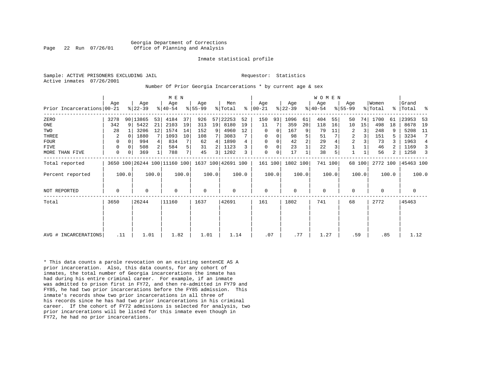Georgia Department of Corrections Page 22 Run 07/26/01 Office of Planning and Analysis

#### Inmate statistical profile

Sample: ACTIVE PRISONERS EXCLUDING JAIL **Requestor:** Statistics Active inmates 07/26/2001

Number Of Prior Georgia Incarcerations \* by current age & sex

|                            |             |             |                  |       | M E N            |       |                  |                |                                                 |       |                      |          |                  |                | <b>WOMEN</b>     |       |                  |        |                  |       |                 |       |
|----------------------------|-------------|-------------|------------------|-------|------------------|-------|------------------|----------------|-------------------------------------------------|-------|----------------------|----------|------------------|----------------|------------------|-------|------------------|--------|------------------|-------|-----------------|-------|
| Prior Incarcerations 00-21 | Age         |             | Age<br>$ 22-39 $ |       | Age<br>$ 40-54 $ |       | Age<br>$8 55-99$ |                | Men<br>% Total                                  |       | Age<br>$8   00 - 21$ |          | Age<br>$ 22-39 $ |                | Age<br>$ 40-54 $ |       | Age<br>$8 55-99$ |        | Women<br>% Total | ႜၟ    | Grand<br> Total | ႜ     |
|                            |             |             |                  |       |                  |       |                  |                |                                                 |       |                      |          |                  |                |                  |       |                  |        |                  |       |                 |       |
| ZERO                       | 3278        | 9           | 90 13865         | 53    | 4184             | 37    | 926              |                | 57 22253                                        | 52    | 150                  | 93       | 1096             | 61             | 404              | 55    | 50               | 74     | 1700             | 61    | 23953           | -53   |
| ONE                        | 342         |             | 5422             | 21    | 2103             | 19    | 313              | 19             | 8180                                            | 19    | 11                   | 7        | 359              | 20             | 118              | 16    | 10               | 15     | 498              | 18    | 8678            | 19    |
| TWO                        | 28          |             | 3206             | 12    | 1574             | 14    | 152              | 9              | 4960                                            | 12    | $\Omega$             | $\Omega$ | 167              | 9 <sup>1</sup> | 79               | 11    | 2                | 3      | 248              | 9     | 5208            | 11    |
| THREE                      | 2           | $\Omega$    | 1880             |       | 1093             | 10    | 108              |                | 3083                                            |       | 0                    | 0        | 98               | 5              | 51               |       | 2                | 3      | 151              | 5     | 3234            |       |
| <b>FOUR</b>                | 0           | $\Omega$    | 994              |       | 834              | 7     | 62               | 4              | 1890                                            |       | $\Omega$             | 0        | 42               | $\overline{a}$ | 29               |       | $\overline{c}$   |        | 73               | 3     | 1963            | 4     |
| <b>FIVE</b>                | 0           | $\Omega$    | 508              |       | 584              | 5     | 31               | 2 <sub>1</sub> | 1123                                            |       | 0                    | 0        | 23               |                | 22               |       |                  |        | 46               |       | 1169            |       |
| MORE THAN FIVE             | $\mathbf 0$ | $\mathbf 0$ | 369              |       | 788              | 7     | 45               | 3 I            | 1202                                            | 3     | 0                    | 0        | 17               |                | 38               |       |                  |        | 56               | 2     | 1258            |       |
| Total reported             |             |             |                  |       |                  |       |                  |                | 3650 100 26244 100 11160 100 1637 100 42691 100 |       |                      |          | 161 100 1802 100 |                | 741 100          |       |                  | 68 100 | 2772 100         |       | 45463 100       |       |
| Percent reported           |             | 100.0       |                  | 100.0 |                  | 100.0 |                  | 100.0          |                                                 | 100.0 |                      | 100.0    |                  | 100.0          |                  | 100.0 |                  | 100.0  |                  | 100.0 |                 | 100.0 |
| <b>NOT REPORTED</b>        | 0           |             | 0                |       | $\Omega$         |       | $\mathbf 0$      |                | 0                                               |       | 0                    |          | $\Omega$         |                | $\mathbf 0$      |       | 0                |        | $\Omega$         |       | 0               |       |
| Total                      | 3650        |             | 26244            |       | 11160            |       | 1637             |                | 42691                                           |       | 161                  |          | 1802             |                | 741              |       | 68               |        | 2772             |       | 45463           |       |
|                            |             |             |                  |       |                  |       |                  |                |                                                 |       |                      |          |                  |                |                  |       |                  |        |                  |       |                 |       |
|                            |             |             |                  |       |                  |       |                  |                |                                                 |       |                      |          |                  |                |                  |       |                  |        |                  |       |                 |       |
| AVG # INCARCERATIONS       | .11         |             | 1.01             |       | 1.82             |       | 1.01             |                | 1.14                                            |       | .07                  |          | .77              |                | 1.27             |       | .59              |        | .85              |       | 1.12            |       |

\* This data counts a parole revocation on an existing sentenCE AS A prior incarceration. Also, this data counts, for any cohort of inmates, the total number of Georgia incarcerations the inmate has had during his entire criminal career. For example, if an inmate was admitted to prison first in FY72, and then re-admitted in FY79 and FY85, he had two prior incarcerations before the FY85 admission. This inmate's records show two prior incarcerations in all three of his records since he has had two prior incarcerations in his criminal career. If the cohort of FY72 admissions is selected for analysis, two prior incarcerations will be listed for this inmate even though in FY72, he had no prior incarcerations.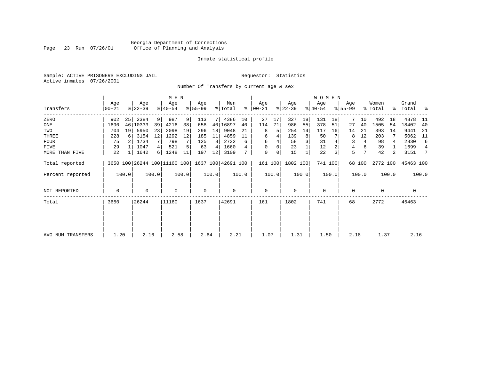# Georgia Department of Corrections Page 23 Run 07/26/01 Office of Planning and Analysis

## Inmate statistical profile

Sample: ACTIVE PRISONERS EXCLUDING JAIL **Requestor:** Statistics Active inmates 07/26/2001

Number Of Transfers by current age & sex

|                   |                |       |                  |       | M E N            |       |                 |       |                                                 |       |                  |       |                  |       | WOMEN            |         |                  |        |                  |       |                      |                |
|-------------------|----------------|-------|------------------|-------|------------------|-------|-----------------|-------|-------------------------------------------------|-------|------------------|-------|------------------|-------|------------------|---------|------------------|--------|------------------|-------|----------------------|----------------|
| Transfers         | Age<br>  00-21 |       | Age<br>$ 22-39 $ |       | Age<br>$8 40-54$ |       | Age<br>$ 55-99$ |       | Men<br>% Total                                  | ∻     | Age<br>$ 00-21 $ |       | Age<br>$ 22-39 $ |       | Age<br>$ 40-54 $ |         | Age<br>$ 55-99 $ |        | Women<br>% Total |       | Grand<br>%   Total % |                |
| ZERO              | 902            | 25    | 2384             | 9     | 987              | 9     | 113             | 7     | 4386                                            | 10    | 27               | 17    | 327              | 18    | 131              | 18      | 7                | 10     | 492              | 18    | 4878                 | - 11           |
| ONE               | 1690           |       | 46   10333       | 39    | 4216             | 38    | 658             | 40    | 16897                                           | 40    | 114              | 71    | 986              | 55    | 378              | 51      | 27               | 40     | 1505             | 54    | 18402                | 40             |
| TWO               | 704            | 19    | 5950             | 23    | 2098             | 19    | 296             | 18    | 9048                                            | 21    | 8                | 5     | 254              | 14    | 117              | 16      | 14               | 21     | 393              | 14    | 9441                 | -21            |
| THREE             | 228            | 6     | 3154             | 12    | 1292             | 12    | 185             | 11    | 4859                                            |       | 6                |       | 139              | 8     | 50               |         | 8                | 12     | 203              |       | 5062                 | - 11           |
| <b>FOUR</b>       | 75             |       | 1734             | 7     | 798              |       | 125             | 8     | 2732                                            | 6     | 6                |       | 58               |       | 31               |         | 3                | 4      | 98               |       | 2830                 | 6              |
| FIVE              | 29             |       | 1047             | 4     | 521              |       | 63              | 4     | 1660                                            | 4     | $\Omega$         |       | 23               |       | 12               |         | 4                |        | 39               |       | 1699                 | $\overline{4}$ |
| MORE THAN FIVE    | 22             |       | 1642             | 6     | 1248             | 11    | 197             | 12    | 3109                                            |       | 0                | 0     | 15               |       | 22               | 3       | 5                |        | 42               | 2     | 3151                 | 7              |
| Total reported    |                |       |                  |       |                  |       |                 |       | 3650 100 26244 100 11160 100 1637 100 42691 100 |       | 161 100          |       | 1802 100         |       |                  | 741 100 |                  | 68 100 | 2772 100         |       | 45463 100            |                |
| Percent reported  |                | 100.0 |                  | 100.0 |                  | 100.0 |                 | 100.0 |                                                 | 100.0 |                  | 100.0 |                  | 100.0 |                  | 100.0   |                  | 100.0  |                  | 100.0 |                      | 100.0          |
| NOT REPORTED      | 0              |       | $\Omega$         |       | $\Omega$         |       | 0               |       | 0                                               |       | $\mathbf 0$      |       | $\mathbf 0$      |       | $\mathbf{0}$     |         | 0                |        | 0                |       | 0                    |                |
| Total             | 3650           |       | 26244            |       | 11160            |       | 1637            |       | 42691                                           |       | 161              |       | 1802             |       | 741              |         | 68               |        | 2772             |       | 45463                |                |
|                   |                |       |                  |       |                  |       |                 |       |                                                 |       |                  |       |                  |       |                  |         |                  |        |                  |       |                      |                |
|                   |                |       |                  |       |                  |       |                 |       |                                                 |       |                  |       |                  |       |                  |         |                  |        |                  |       |                      |                |
| AVG NUM TRANSFERS | 1.20           |       | 2.16             |       | 2.58             |       | 2.64            |       | 2.21                                            |       | 1.07             |       | 1.31             |       | 1.50             |         | 2.18             |        | 1.37             |       | 2.16                 |                |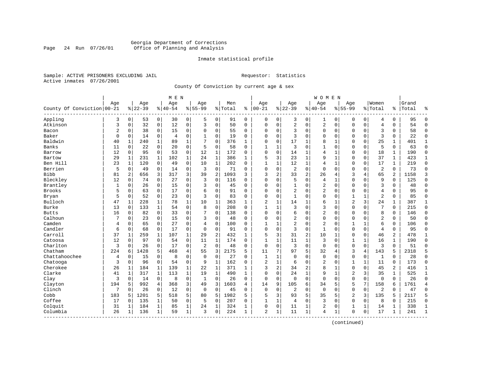# Georgia Department of Corrections Page 24 Run 07/26/01 Office of Planning and Analysis

## Inmate statistical profile

Sample: ACTIVE PRISONERS EXCLUDING JAIL **Requestor:** Statistics Active inmates 07/26/2001

County Of Conviction by current age & sex

|                            |          |                |           |              | M E N    |                |                |                |         |              |                |              |                |              | W O M E N      |              |                |                |                |              |       |                |
|----------------------------|----------|----------------|-----------|--------------|----------|----------------|----------------|----------------|---------|--------------|----------------|--------------|----------------|--------------|----------------|--------------|----------------|----------------|----------------|--------------|-------|----------------|
|                            | Age      |                | Age       |              | Age      |                | Age            |                | Men     |              | Age            |              | Age            |              | Age            |              | Age            |                | Women          |              | Grand |                |
| County Of Conviction 00-21 |          |                | $8 22-39$ |              | $ 40-54$ |                | $8155 - 99$    |                | % Total | ႜ            | $ 00-21$       |              | $8 22-39$      |              | $8140 - 54$    |              | $8155 - 99$    |                | % Total        | ႜ            | Total | နွ             |
| Appling                    | 3        | $\overline{0}$ | 53        | 0            | 30       | 0              | 5              | 0              | 91      | $\mathbf 0$  | 0              | $\mathbf 0$  | 3              | 0            | 1              | 0            | 0              | 0              | 4              | 0            | 95    | $\Omega$       |
| Atkinson                   | 3        | 0              | 32        | $\mathbf 0$  | 12       | 0              | 3              | $\mathbf 0$    | 50      | $\Omega$     | $\mathbf 0$    | $\mathbf 0$  | $\overline{2}$ | $\mathbf 0$  | $\overline{c}$ | $\mathsf 0$  | $\Omega$       | $\mathbf 0$    | $\overline{4}$ | $\Omega$     | 54    | $\Omega$       |
| Bacon                      | 2        | 0              | 38        | 0            | 15       | 0              | $\Omega$       | 0              | 55      | $\Omega$     | $\mathbf 0$    | 0            | 3              | $\mathbf 0$  | $\Omega$       | 0            | $\Omega$       | $\mathbf 0$    | 3              | 0            | 58    | $\mathbf{0}$   |
| Baker                      | $\Omega$ | 0              | 14        | 0            | 4        | 0              |                | 0              | 19      | 0            | $\mathbf 0$    | 0            | 3              | $\mathbf 0$  | $\Omega$       | 0            | $\Omega$       | 0              | $\overline{3}$ | 0            | 22    | $\mathbf 0$    |
| Baldwin                    | 40       | 1              | 240       | $\mathbf{1}$ | 89       | 1              |                | 0              | 376     | 1            | $\mathbf 0$    | 0            | 17             | 1            | 8              | 1            | $\Omega$       | $\Omega$       | 25             | 1            | 401   | 1              |
| Banks                      | 11       | $\Omega$       | 22        | 0            | 20       | 0              | 5              | $\mathbf 0$    | 58      | $\Omega$     | 1              | 1            | 3              | 0            | 1              | 0            | $\Omega$       | 0              | 5              | 0            | 63    | $\Omega$       |
| Barrow                     | 12       | 0              | 95        | 0            | 53       | 0              | 12             | 1              | 172     | 0            | $\mathbf 0$    | $\mathbf 0$  | 14             | $\mathbf{1}$ | 4              | 1            | $\Omega$       | $\mathbf 0$    | 18             | 1            | 190   | $\mathbf 0$    |
| Bartow                     | 29       | $\mathbf{1}$   | 231       | $\mathbf{1}$ | 102      | $\mathbf{1}$   | 24             | $\mathbf{1}$   | 386     | $\mathbf{1}$ | 5              | 3            | 23             | $\mathbf{1}$ | 9              | $\mathbf{1}$ | $\Omega$       | $\mathbf 0$    | 37             | $\mathbf{1}$ | 423   | $\mathbf{1}$   |
| Ben Hill                   | 23       | $\mathbf{1}$   | 120       | 0            | 49       | $\mathbf 0$    | 10             | 1              | 202     | $\Omega$     | $\mathbf{1}$   | $\mathbf{1}$ | 12             | $\mathbf 1$  | $\overline{4}$ | $\mathbf{1}$ | $\mathbf 0$    | $\mathbf 0$    | 17             | 1            | 219   | $\mathbf 0$    |
| Berrien                    | 5        | 0              | 49        | 0            | 14       | 0              | 3              | $\mathbf 0$    | 71      | $\Omega$     | $\mathbf 0$    | $\mathbf 0$  | $\sqrt{2}$     | $\mathsf 0$  | $\mathbf 0$    | $\mathbf 0$  | $\Omega$       | 0              | $\overline{2}$ | 0            | 73    | $\mathbf 0$    |
| <b>Bibb</b>                | 81       | 2              | 656       | 3            | 317      | 3              | 39             | $\overline{2}$ | 1093    | 3            | 3              | 2            | 33             | 2            | 26             | 4            | 3              | 4              | 65             | 2            | 1158  | 3              |
| Bleckley                   | 12       | $\Omega$       | 74        | $\Omega$     | 27       | 0              | 3              | $\Omega$       | 116     | $\Omega$     | $\mathbf 0$    | $\Omega$     | 5              | $\mathbf 0$  | 4              | 1            | $\mathbf 0$    | $\Omega$       | 9              | $\mathbf 0$  | 125   | $\mathbf 0$    |
| Brantley                   | 1        | 0              | 26        | 0            | 15       | 0              | 3              | $\mathbf 0$    | 45      | $\mathbf 0$  | $\mathbf 0$    | $\mathbf 0$  | $\mathbf{1}$   | $\mathbf 0$  | $\overline{2}$ | $\mathbf 0$  | $\Omega$       | $\mathbf 0$    | $\overline{3}$ | 0            | 48    | $\Omega$       |
| <b>Brooks</b>              | 5        | $\Omega$       | 63        | $\Omega$     | 17       | 0              | 6              | 0              | 91      | $\Omega$     | $\mathbf 0$    | $\Omega$     | $\overline{2}$ | 0            | 2              | 0            | $\Omega$       | 0              | $\overline{4}$ | $\Omega$     | 95    | $\Omega$       |
| Bryan                      | 5        | 0              | 52        | 0            | 23       | 0              | 3              | 0              | 83      | 0            | $\mathbf 0$    | 0            | 1              | 0            | 0              | 0            | 1              | 1              | $\overline{2}$ | 0            | 85    | $\mathbf 0$    |
| Bulloch                    | 47       | 1              | 228       | 1            | 78       | $\mathbf 1$    | 10             | 1              | 363     | 1            | $\overline{2}$ | $\mathbf{1}$ | 14             | 1            | 6              | 1            | $\overline{2}$ | 3              | 24             | 1            | 387   | 1              |
| Burke                      | 13       | $\Omega$       | 133       | $\mathbf{1}$ | 54       | 0              | 8              | $\Omega$       | 208     | $\Omega$     | $\mathbf{1}$   | $\mathbf{1}$ | 3              | $\Omega$     | 3              | $\Omega$     | $\Omega$       | $\Omega$       | 7              | $\Omega$     | 215   | $\Omega$       |
| <b>Butts</b>               | 16       | $\Omega$       | 82        | $\Omega$     | 33       | 0              | 7              | $\Omega$       | 138     | $\Omega$     | $\mathbf 0$    | $\Omega$     | 6              | $\mathbf 0$  | $\overline{2}$ | $\mathbf 0$  | $\Omega$       | $\Omega$       | 8              | 0            | 146   | $\Omega$       |
| Calhoun                    | 7        | 0              | 23        | $\Omega$     | 15       | 0              | 3              | $\mathbf 0$    | 48      | $\Omega$     | $\Omega$       | $\mathbf 0$  | $\overline{2}$ | $\mathbf 0$  | $\Omega$       | $\mathbf 0$  | $\Omega$       | $\mathbf 0$    | $\overline{2}$ | $\Omega$     | 50    | $\Omega$       |
| Camden                     | 4        | 0              | 65        | $\Omega$     | 27       | 0              | 4              | $\mathbf 0$    | 100     | $\Omega$     | $\mathbf{1}$   | 1            | $\overline{2}$ | $\mathbf 0$  | $\overline{2}$ | $\mathbf 0$  | $\mathbf{1}$   | $\mathbf{1}$   | 6              | $\Omega$     | 106   | $\Omega$       |
| Candler                    | 6        | 0              | 68        | 0            | 17       | 0              | $\Omega$       | $\mathbf 0$    | 91      | 0            | $\mathbf 0$    | $\mathbf 0$  | 3              | $\mathbf 0$  | $\mathbf{1}$   | 0            | $\mathbf 0$    | $\mathbf 0$    | $\overline{4}$ | 0            | 95    | $\mathbf 0$    |
| Carroll                    | 37       | 1              | 259       | 1            | 107      | 1              | 29             | $\overline{2}$ | 432     | 1            | 5              | 3            | 31             | 2            | 10             | 1            | 0              | 0              | 46             | 2            | 478   | 1              |
| Catoosa                    | 12       | $\Omega$       | 97        | $\Omega$     | 54       | $\Omega$       | 11             | $\mathbf{1}$   | 174     | 0            | $\mathbf{1}$   | $\mathbf{1}$ | 11             | $\mathbf{1}$ | 3              | $\Omega$     | $\mathbf{1}$   | $\mathbf{1}$   | 16             | $\mathbf{1}$ | 190   | $\Omega$       |
| Charlton                   | 3        | $\Omega$       | 26        | $\Omega$     | 17       | $\Omega$       | $\overline{2}$ | $\Omega$       | 48      | $\Omega$     | $\mathbf 0$    | $\Omega$     | 3              | $\Omega$     | $\Omega$       | $\mathbf 0$  | $\mathbf 0$    | $\Omega$       | 3              | $\Omega$     | 51    | $\Omega$       |
| Chatham                    | 224      | 6              | 1428      | 5            | 468      | $\overline{4}$ | 55             | 3              | 2175    | 5            | 11             | 7            | 97             | 5            | 32             | 4            | 3              | $\overline{4}$ | 143            | 5            | 2318  | 5              |
| Chattahoochee              | 4        | $\Omega$       | 15        | $\Omega$     | 8        | 0              | $\Omega$       | $\Omega$       | 27      | $\Omega$     | $\mathbf{1}$   | $\mathbf{1}$ | $\Omega$       | $\Omega$     | $\Omega$       | $\mathbf 0$  | $\mathbf 0$    | $\mathbf 0$    | $\mathbf{1}$   | $\Omega$     | 28    | $\Omega$       |
| Chatooga                   | 3        | 0              | 96        | $\mathbf 0$  | 54       | 0              | 9              | $\mathbf{1}$   | 162     | 0            | $\overline{2}$ | 1            | 6              | $\mathbf 0$  | $\overline{2}$ | 0            | 1              | $\mathbf{1}$   | 11             | 0            | 173   | $\mathbf 0$    |
| Cherokee                   | 26       | 1              | 184       | 1            | 139      | 1              | 22             | 1              | 371     | 1            | 3              | 2            | 34             | 2            | 8              | 1            | 0              | $\mathbf 0$    | 45             | 2            | 416   | 1              |
| Clarke                     | 41       | 1              | 317       | 1            | 113      | $\mathbf 1$    | 19             | 1              | 490     | $\mathbf{1}$ | $\Omega$       | $\Omega$     | 24             | $\mathbf{1}$ | 9              | 1            | $\overline{2}$ | 3              | 35             | 1            | 525   | 1              |
| Clay                       | 3        | 0              | 14        | $\mathbf 0$  | 8        | 0              | 1              | $\mathbf 0$    | 26      | 0            | $\mathbf 0$    | $\mathbf 0$  | $\mathbf 0$    | $\mathbf 0$  | $\mathbf 0$    | 0            | $\mathbf 0$    | $\mathbf 0$    | $\mathbf 0$    | $\mathbf 0$  | 26    | $\mathbf 0$    |
| Clayton                    | 194      | 5              | 992       | 4            | 368      | 3              | 49             | 3              | 1603    | 4            | 14             | 9            | 105            | 6            | 34             | 5            | 5              | 7              | 158            | 6            | 1761  | $\overline{4}$ |
| Clinch                     | 7        | $\Omega$       | 26        | $\Omega$     | 12       | 0              | $\Omega$       | $\Omega$       | 45      | $\Omega$     | $\Omega$       | $\Omega$     | 2              | $\Omega$     | $\Omega$       | $\mathbf 0$  | $\mathbf 0$    | $\mathbf 0$    | $\overline{2}$ | $\Omega$     | 47    | $\Omega$       |
| Cobb                       | 183      | 5              | 1201      | 5            | 518      | 5              | 80             | 5              | 1982    | 5            | 5              | 3            | 93             | 5            | 35             | 5            | $\overline{2}$ | 3              | 135            | 5            | 2117  | 5              |
| Coffee                     | 17       | 0              | 135       | 1            | 50       | 0              | 5              | $\mathbf 0$    | 207     | 0            | 1              | 1            | 4              | $\mathbf 0$  | 3              | 0            | $\mathbf 0$    | 0              | 8              | $\Omega$     | 215   | 0              |
| Colquit                    | 31       | 1              | 184       | 1            | 85       | $\mathbf 1$    | 24             | 1              | 324     | 1            | $\mathbf 0$    | 0            | 11             | $\mathbf 1$  | 2              | 0            | 1              | $\mathbf 1$    | 14             | 1            | 338   | 1              |
| Columbia                   | 26       | 1              | 136       | 1            | 59       | $\mathbf{1}$   | 3              | $\mathbf 0$    | 224     | $\mathbf{1}$ | $\overline{a}$ | $\mathbf 1$  | 11             | $\mathbf{1}$ | 4              | 1            | $\Omega$       | $\mathbf 0$    | 17             | 1            | 241   | 1              |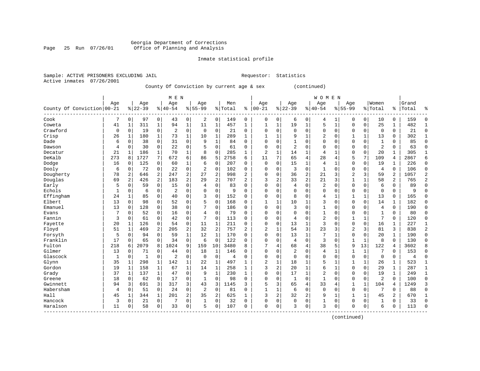# Georgia Department of Corrections Office of Planning and Analysis

# Inmate statistical profile

|                           | Sample: ACTIVE PRISONERS EXCLUDING JAIL | Requestor: Statistics |  |
|---------------------------|-----------------------------------------|-----------------------|--|
| Active inmates 07/26/2001 |                                         |                       |  |

# County Of Conviction by current age & sex (continued)

|                            |             |              |           |              | M E N          |              |                |                |                |                |                |              |                |              | WOMEN          |              |             |              |                |              |       |                |
|----------------------------|-------------|--------------|-----------|--------------|----------------|--------------|----------------|----------------|----------------|----------------|----------------|--------------|----------------|--------------|----------------|--------------|-------------|--------------|----------------|--------------|-------|----------------|
|                            | Age         |              | Age       |              | Age            |              | Age            |                | Men            |                | Age            |              | Age            |              | Age            |              | Age         |              | Women          |              | Grand |                |
| County Of Conviction 00-21 |             |              | $8 22-39$ |              | $8 40-54$      |              | $8155 - 99$    |                | % Total        | ి              | $ 00 - 21$     |              | $8 22-39$      |              | $8140 - 54$    |              | $8155 - 99$ |              | % Total        | ႜၟ           | Total | ႜ              |
| Cook                       |             | $\mathbf 0$  | 97        | 0            | 43             | 0            | 2              | 0              | 149            | 0              | $\mathbf 0$    | 0            | 6              | 0            | 4              |              | 0           | 0            | 10             | 0            | 159   | 0              |
| Coweta                     | 41          | 1            | 311       | 1            | 94             | $\mathbf{1}$ | 11             | 1              | 457            | 1              | $\mathbf{1}$   | 1            | 19             | $\mathbf 1$  | 5              | $\mathbf{1}$ | 0           | 0            | 25             | 1            | 482   | $\mathbf{1}$   |
| Crawford                   | $\mathbf 0$ | $\Omega$     | 19        | 0            | 2              | $\Omega$     | $\mathbf 0$    | $\Omega$       | 21             | $\Omega$       | $\Omega$       | $\Omega$     | $\Omega$       | $\Omega$     | $\Omega$       | $\Omega$     | $\Omega$    | $\Omega$     | $\Omega$       | $\Omega$     | 21    | $\Omega$       |
| Crisp                      | 26          | $\mathbf{1}$ | 180       | $\mathbf{1}$ | 73             | $\mathbf{1}$ | 10             | $\mathbf 1$    | 289            | $\mathbf{1}$   |                | 1            | 9              | 1            | 2              | $\Omega$     |             | 1            | 13             | $\Omega$     | 302   | $\mathbf{1}$   |
| Dade                       | б           | $\mathbf 0$  | 38        | 0            | 31             | 0            | 9              | $\mathbf 1$    | 84             | $\Omega$       | $\Omega$       | $\Omega$     | $\mathbf{1}$   | 0            |                | $\Omega$     | $\Omega$    | $\Omega$     | $\mathbf{1}$   | $\Omega$     | 85    | $\mathbf 0$    |
| Dawson                     | 4           | $\mathbf 0$  | 30        | 0            | 22             | 0            | 5              | $\mathbf 0$    | 61             | 0              | $\Omega$       | $\Omega$     | $\overline{2}$ | $\Omega$     |                | $\Omega$     | $\Omega$    | $\Omega$     | $\overline{2}$ | $\Omega$     | 63    | $\mathbf 0$    |
| Decatur                    | 21          | 1            | 186       | $\mathbf 1$  | 70             | $\mathbf{1}$ | 8              | $\mathbf 0$    | 285            | 1              | $\overline{2}$ | $\mathbf{1}$ | 14             | 1            | 4              | 1            | $\Omega$    | $\Omega$     | 20             | 1            | 305   | $\mathbf{1}$   |
| DeKalb                     | 273         | 8            | 1727      | 7            | 672            | б.           | 86             | 5              | 2758           | 6              | 11             | 7            | 65             | 4            | 28             | 4            | 5           | 7            | 109            | 4            | 2867  | 6              |
| Dodge                      | 16          | $\mathbf 0$  | 125       | 0            | 60             | 1            | 6              | $\mathbf 0$    | 207            | 0              | $\Omega$       | $\Omega$     | 15             | 1            | 4              | $\mathbf{1}$ | 0           | 0            | 19             |              | 226   | 0              |
| Dooly                      | 6           | 0            | 72        | 0            | 22             | 0            | 2              | 0              | 102            | 0              | $\Omega$       | $\Omega$     | 3              | 0            | $\mathbf{1}$   | $\Omega$     | 0           | 0            | $\overline{4}$ | $\Omega$     | 106   | 0              |
| Dougherty                  | 78          | 2            | 646       | 2            | 247            | 2            | 27             | 2              | 998            | 2              | $\Omega$       | $\Omega$     | 36             | 2            | 21             | 3            | 2           | 3            | 59             | 2            | 1057  | $\overline{2}$ |
| Douglas                    | 69          | 2            | 426       | 2            | 183            | 2            | 29             | $\overline{a}$ | 707            | $\mathbf{2}$   | 3              | 2            | 33             | 2            | 21             | 3            | 1           | $\mathbf{1}$ | 58             | 2            | 765   | $\overline{2}$ |
| Early                      | 5           | $\Omega$     | 59        | $\mathbf 0$  | 15             | 0            | 4              | $\mathbf 0$    | 83             | $\Omega$       | $\Omega$       | $\Omega$     | 4              | $\Omega$     | 2              | $\Omega$     | 0           | $\Omega$     | 6              | $\Omega$     | 89    | $\mathbf 0$    |
| Echols                     | 1           | 0            | 6         | 0            | 2              | 0            | $\Omega$       | $\mathbf 0$    | 9              | $\Omega$       | $\Omega$       | $\Omega$     | $\mathbf 0$    | $\Omega$     | $\Omega$       | 0            | $\Omega$    | $\mathbf 0$  | $\Omega$       | $\Omega$     | 9     | $\Omega$       |
| Effingham                  | 24          | 1            | 85        | 0            | 40             | 0            | 3              | 0              | 152            | $\Omega$       | $\Omega$       | $\Omega$     | 8              | 0            | 4              | 1            |             | $\mathbf{1}$ | 13             | $\Omega$     | 165   | $\Omega$       |
| Elbert                     | 13          | $\mathbf 0$  | 98        | 0            | 52             | 0            | 5              | $\mathbf 0$    | 168            | 0              | $\mathbf{1}$   | $\mathbf{1}$ | 10             | 1            | 3              | $\Omega$     | 0           | 0            | 14             | 1            | 182   | $\mathbf 0$    |
| Emanuel                    | 13          | $\mathbf 0$  | 128       | 0            | 38             | 0            | 7              | $\mathbf 0$    | 186            | 0              | $\Omega$       | $\Omega$     | 3              | 0            | 1              | 0            | $\Omega$    | 0            | 4              | $\mathbf 0$  | 190   | 0              |
| Evans                      | 7           | 0            | 52        | 0            | 16             | 0            | 4              | $\mathbf 0$    | 79             | 0              | $\Omega$       | $\Omega$     | $\mathbf 0$    | 0            |                | 0            | 0           | 0            |                | $\Omega$     | 80    | 0              |
| Fannin                     | 3           | $\Omega$     | 61        | 0            | 42             | 0            |                | 0              | 113            | 0              | $\Omega$       | $\Omega$     | 4              | 0            | 2              | $\Omega$     | 1           | $\mathbf{1}$ | 7              | $\Omega$     | 120   | 0              |
| Fayette                    | 20          | $\mathbf{1}$ | 126       | 0            | 54             | 0            | 11             | $\mathbf{1}$   | 211            | 0              | $\Omega$       | $\Omega$     | 13             | $\mathbf 1$  | 3              | $\Omega$     | 0           | $\Omega$     | 16             | 1            | 227   | 1              |
| Floyd                      | 51          | $\mathbf{1}$ | 469       | 2            | 205            | 2            | 32             | 2              | 757            | $\overline{a}$ | $\overline{2}$ | $\mathbf{1}$ | 54             | 3            | 23             | 3            | 2           | 3            | 81             | 3            | 838   | 2              |
| Forsyth                    | 5           | $\mathbf 0$  | 94        | $\Omega$     | 59             | $\mathbf 1$  | 12             | $\mathbf{1}$   | 170            | 0              | $\Omega$       | $\Omega$     | 13             | $\mathbf{1}$ |                | 1            | 0           | $\mathbf 0$  | 20             | 1            | 190   | $\mathbf 0$    |
| Franklin                   | 17          | $\mathbf 0$  | 65        | 0            | 34             | 0            | 6              | $\mathbf 0$    | 122            | 0              | $\Omega$       | $\Omega$     | $\overline{4}$ | 0            | 3              | $\mathbf 0$  |             | 1            | 8              | $\mathbf 0$  | 130   | $\mathbf 0$    |
| Fulton                     | 218         | 6            | 2079      | 8            | 1024           | 9            | 159            | 10             | 3480           | 8              |                | 4            | 68             | 4            | 38             | 5            | 9           | 13           | 122            | 4            | 3602  | 8              |
| Gilmer                     | 13          | $\mathbf 0$  | 71        | 0            | 44             | 0            | 18             | $\mathbf 1$    | 146            | 0              | $\Omega$       | $\Omega$     | $\overline{c}$ | 0            | 4              | 1            | 1           | $\mathbf{1}$ | 7              | $\Omega$     | 153   | $\mathbf 0$    |
| Glascock                   | 1           | $\mathbf 0$  | 1         | 0            | $\overline{2}$ | 0            | $\mathbf 0$    | $\mathbf 0$    | $\overline{4}$ | 0              | $\Omega$       | 0            | $\mathbf 0$    | 0            | $\Omega$       | 0            | 0           | $\mathbf 0$  | $\mathbf 0$    | 0            | 4     | $\mathbf 0$    |
| Glynn                      | 35          | 1            | 298       | 1            | 142            | $\mathbf 1$  | 22             | 1              | 497            | 1              | $\overline{c}$ | $\mathbf{1}$ | 18             | 1            | 5              | 1            |             | 1            | 26             |              | 523   | $\mathbf{1}$   |
| Gordon                     | 19          | 1            | 158       | 1            | 67             | 1            | 14             | 1              | 258            | 1              | 3              | 2            | 20             | $\mathbf{1}$ | 6              | 1            | $\Omega$    | $\Omega$     | 29             | $\mathbf{1}$ | 287   | $\mathbf{1}$   |
| Grady                      | 37          | $\mathbf{1}$ | 137       | $\mathbf{1}$ | 47             | $\Omega$     | 9              | $\mathbf{1}$   | 230            | 1              | $\Omega$       | $\Omega$     | 17             | $\mathbf 1$  | $\overline{c}$ | $\Omega$     | $\Omega$    | $\Omega$     | 19             | $\mathbf{1}$ | 249   | $\mathbf{1}$   |
| Greene                     | 18          | $\Omega$     | 62        | 0            | 17             | 0            | 1              | $\mathbf 0$    | 98             | $\Omega$       | $\Omega$       | $\Omega$     | -1             | $\Omega$     | $\mathbf{1}$   | $\Omega$     | 0           | $\Omega$     | $\overline{2}$ | $\Omega$     | 100   | $\Omega$       |
| Gwinnett                   | 94          | 3            | 691       | 3            | 317            | 3            | 43             | 3              | 1145           | 3              | 5              | 3            | 65             | 4            | 33             | 4            |             | 1            | 104            | 4            | 1249  | 3              |
| Habersham                  | 4           | 0            | 51        | 0            | 24             | 0            | $\overline{c}$ | 0              | 81             | 0              | $\mathbf{1}$   | 1            | 6              | 0            | $\Omega$       | $\mathbf 0$  | $\Omega$    | $\Omega$     | 7              | $\Omega$     | 88    | $\mathbf 0$    |
| Hall                       | 45          | 1            | 344       | $\mathbf{1}$ | 201            | 2            | 35             | 2              | 625            | 1              | 3              | 2            | 32             | 2            | 9              | 1            | 1           | 1            | 45             | 2            | 670   | $\mathbf{1}$   |
| Hancock                    | 3           | $\Omega$     | 21        | 0            | 7              | 0            | 1              | $\mathbf 0$    | 32             | 0              | $\Omega$       | 0            | $\mathbf 0$    | 0            | 1              | 0            | $\Omega$    | 0            | 1              | $\Omega$     | 33    | $\Omega$       |
| Haralson                   | 11          | $\mathbf 0$  | 58        | 0            | 33             | 0            | 5              | 0              | 107            | $\Omega$       | $\Omega$       | 0            | ζ              | 0            | ζ              | 0            | $\Omega$    | 0            | 6              | $\Omega$     | 113   | $\Omega$       |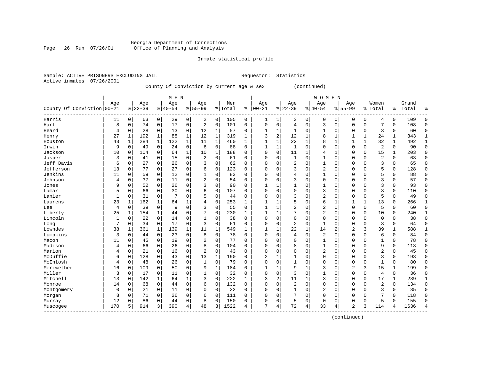# Georgia Department of Corrections Page 26 Run 07/26/01 Office of Planning and Analysis

## Inmate statistical profile

|  |                           | Sample: ACTIVE PRISONERS EXCLUDING JAIL |  | Requestor: Statistics |
|--|---------------------------|-----------------------------------------|--|-----------------------|
|  | Active inmates 07/26/2001 |                                         |  |                       |

# County Of Conviction by current age & sex (continued)

|                            |     |             |           |              | M E N     |              |                |              |         | <b>WOMEN</b> |                |                |                |              |                |              |                |              |                |              |       |              |
|----------------------------|-----|-------------|-----------|--------------|-----------|--------------|----------------|--------------|---------|--------------|----------------|----------------|----------------|--------------|----------------|--------------|----------------|--------------|----------------|--------------|-------|--------------|
|                            | Age |             | Age       |              | Age       |              | Age            |              | Men     |              | Age            |                | Age            |              | Age            |              | Age            |              | Women          |              | Grand |              |
| County Of Conviction 00-21 |     |             | $8 22-39$ |              | $8 40-54$ |              | $8155 - 99$    |              | % Total | ి            | $00 - 21$      |                | $8 22-39$      |              | $8140 - 54$    |              | $8155 - 99$    |              | % Total        | ႜၟ           | Total | ៖            |
| Harris                     | 11  | 0           | 63        | 0            | 29        | 0            | 2              | 0            | 105     | 0            | 1              | 1              | 3              | 0            | $\mathbf 0$    | $\mathbf 0$  | 0              | 0            | 4              | 0            | 109   | $\Omega$     |
| Hart                       | 8   | $\Omega$    | 74        | $\mathbf 0$  | 17        | 0            | $\overline{2}$ | $\mathbf 0$  | 101     | 0            | $\mathbf 0$    | $\mathbf 0$    | 4              | $\mathbf 0$  | 3              | $\mathbf 0$  | $\Omega$       | $\mathbf 0$  | 7              | $\mathbf 0$  | 108   | $\Omega$     |
| Heard                      | 4   | 0           | 28        | $\Omega$     | 13        | 0            | 12             | 1            | 57      | 0            | 1              | 1              | -1             | 0            | 1              | $\Omega$     | 0              | $\Omega$     | 3              | $\Omega$     | 60    | $\Omega$     |
| Henry                      | 27  | 1           | 192       | 1            | 88        | $\mathbf{1}$ | 12             | $\mathbf{1}$ | 319     | 1            | 3              | $\overline{2}$ | 12             | 1            | 8              | 1            | 1              | $\mathbf{1}$ | 24             | 1            | 343   | 1            |
| Houston                    | 43  | 1           | 284       | $\mathbf{1}$ | 122       | $\mathbf{1}$ | 11             | 1            | 460     | $\mathbf{1}$ | $\mathbf{1}$   | $\mathbf{1}$   | 22             | $\mathbf{1}$ | 8              | $\mathbf{1}$ | $\mathbf{1}$   | $\mathbf{1}$ | 32             | $\mathbf{1}$ | 492   | 1            |
| Irwin                      | 9   | $\mathbf 0$ | 49        | $\mathbf 0$  | 24        | 0            | 6              | 0            | 88      | $\Omega$     | $\mathbf{1}$   | 1              | $\mathbf{1}$   | 0            | O              | $\mathbf 0$  | 0              | $\mathbf 0$  | $\overline{2}$ | $\Omega$     | 90    | $\mathbf 0$  |
| Jackson                    | 10  | $\mathbf 0$ | 104       | 0            | 64        | $\mathbf{1}$ | 10             | 1            | 188     | $\Omega$     | $\Omega$       | $\mathbf 0$    | 11             | 1            | 4              | 1            | 0              | 0            | 15             | 1            | 203   | $\mathbf{0}$ |
| Jasper                     | 3   | $\mathbf 0$ | 41        | $\mathbf 0$  | 15        | 0            | 2              | 0            | 61      | 0            | $\Omega$       | 0              | $\mathbf{1}$   | 0            |                | $\mathbf 0$  | 0              | $\mathbf 0$  | $\overline{2}$ | 0            | 63    | $\mathbf{0}$ |
| Jeff Davis                 | 6   | 0           | 27        | 0            | 26        | 0            | 3              | 0            | 62      | 0            | $\Omega$       | $\Omega$       | 2              | 0            |                | $\mathbf 0$  | 0              | 0            | 3              | $\Omega$     | 65    | $\mathbf 0$  |
| Jefferson                  | 13  | $\Omega$    | 77        | 0            | 27        | 0            | 6              | $\Omega$     | 123     | U            | $\Omega$       | 0              | 3              | O            | $\overline{2}$ | $\mathbf 0$  | $\Omega$       | $\mathbf 0$  | 5              | $\mathbf 0$  | 128   | $\Omega$     |
| Jenkins                    | 11  | $\Omega$    | 59        | 0            | 12        | 0            |                | $\Omega$     | 83      | O            | $\cap$         | $\Omega$       | 4              | O            | $\mathbf{1}$   | $\Omega$     | 0              | $\Omega$     | 5              | $\Omega$     | 88    | $\Omega$     |
| Johnson                    | 4   | $\mathbf 0$ | 37        | $\mathbf 0$  | 11        | 0            | 2              | 0            | 54      | 0            | $\Omega$       | $\Omega$       | 3              | 0            | $\Omega$       | $\mathbf 0$  | 0              | $\mathbf 0$  | 3              | 0            | 57    | $\Omega$     |
| Jones                      | 9   | $\mathbf 0$ | 52        | $\mathbf 0$  | 26        | 0            | 3              | 0            | 90      | 0            |                | $\mathbf{1}$   | $\mathbf{1}$   | 0            |                | $\mathbf 0$  | 0              | $\mathbf 0$  | $\overline{3}$ | 0            | 93    | $\Omega$     |
| Lamar                      | 5   | $\mathbf 0$ | 66        | 0            | 30        | 0            | 6              | 0            | 107     | 0            | $\Omega$       | $\mathbf 0$    | $\mathbf 0$    | 0            | 3              | $\mathbf 0$  | 0              | $\mathbf 0$  | 3              | $\mathbf 0$  | 110   | $\Omega$     |
| Lanier                     | 1   | $\mathbf 0$ | 31        | $\mathbf 0$  | 7         | 0            | 5              | 0            | 44      | 0            | $\Omega$       | 0              | 3              | 0            | $\overline{2}$ | 0            | 0              | $\mathbf 0$  | 5              | $\Omega$     | 49    | $\Omega$     |
| Laurens                    | 23  | 1           | 162       | $\mathbf{1}$ | 64        | 1            | 4              | 0            | 253     | 1            | -1             | 1              | 5              | 0            | 6              | 1            | $\mathbf{1}$   | $\mathbf{1}$ | 13             | $\Omega$     | 266   | 1            |
| Lee                        | 4   | $\mathbf 0$ | 39        | $\Omega$     | 9         | 0            | 3              | $\Omega$     | 55      | $\Omega$     | -1             | $\mathbf{1}$   | 2              | 0            | $\overline{2}$ | $\mathbf 0$  | 0              | $\mathbf 0$  | 5              | 0            | 60    | $\mathbf 0$  |
| Liberty                    | 25  | 1           | 154       |              | 44        | 0            |                | $\Omega$     | 230     | 1            |                |                | 7              | 0            | $\overline{2}$ | $\mathbf 0$  | 0              | $\mathbf 0$  | 10             | $\Omega$     | 240   | 1            |
| Lincoln                    | 1   | $\Omega$    | 22        | $\Omega$     | 14        | 0            |                | $\Omega$     | 38      | $\Omega$     | $\Omega$       | 0              | 0              | 0            | $\Omega$       | $\mathbf 0$  | 0              | 0            | $\mathbf 0$    | $\Omega$     | 38    | $\Omega$     |
| Long                       | 7   | 0           | 34        | $\Omega$     | 17        | 0            | 3              | $\Omega$     | 61      | 0            | $\Omega$       | $\Omega$       | 2              | $\Omega$     | $\mathbf{1}$   | $\Omega$     | 0              | $\Omega$     | 3              | $\Omega$     | 64    | $\Omega$     |
| Lowndes                    | 38  | -1          | 361       | 1            | 139       | 1            | 11             | 1            | 549     | $\mathbf{1}$ | -1             | 1              | 22             | $\mathbf{1}$ | 14             | 2            | 2              | 3            | 39             | 1            | 588   | 1            |
| Lumpkins                   | 3   | $\mathbf 0$ | 44        | $\mathbf 0$  | 23        | 0            | 8              | 0            | 78      | 0            | $\Omega$       | $\Omega$       | $\overline{4}$ | $\mathbf 0$  | $\overline{2}$ | $\Omega$     | $\Omega$       | $\mathbf 0$  | 6              | 0            | 84    | $\Omega$     |
| Macon                      | 11  | $\Omega$    | 45        | $\mathbf 0$  | 19        | 0            | $\overline{2}$ | $\mathbf 0$  | 77      | 0            | $\Omega$       | $\mathbf 0$    | $\Omega$       | 0            | 1              | $\mathbf 0$  | $\Omega$       | $\mathbf 0$  | $\mathbf{1}$   | $\mathbf 0$  | 78    | $\Omega$     |
| Madison                    | 4   | $\Omega$    | 66        | $\mathbf 0$  | 26        | 0            | 8              | 0            | 104     | 0            | $\Omega$       | $\mathbf 0$    | 8              | 0            |                | $\mathbf 0$  | $\Omega$       | $\mathbf 0$  | 9              | $\mathbf 0$  | 113   | $\Omega$     |
| Marion                     | 4   | 0           | 21        | $\mathbf 0$  | 16        | 0            | $\overline{2}$ | $\mathbf 0$  | 43      | 0            | $\Omega$       | 0              | $\Omega$       | 0            | 2              | 0            | 0              | 0            | $\overline{2}$ | 0            | 45    | $\mathbf 0$  |
| McDuffie                   | 6   | 0           | 128       | 0            | 43        | 0            | 13             | 1            | 190     | 0            | $\overline{2}$ | 1              | 1              | 0            | $\Omega$       | 0            | 0              | 0            | 3              | 0            | 193   | $\mathbf 0$  |
| McIntosh                   | 4   | 0           | 48        | 0            | 26        | 0            | 1              | 0            | 79      | 0            | $\Omega$       | $\mathbf 0$    | $\mathbf{1}$   | 0            | $\Omega$       | $\mathbf 0$  | $\Omega$       | $\mathbf 0$  | $\mathbf{1}$   | $\Omega$     | 80    | $\mathbf 0$  |
| Meriwether                 | 16  | $\Omega$    | 109       | $\Omega$     | 50        | 0            | 9              | 1            | 184     | 0            |                | 1              | 9              | 1            | 3              | $\mathbf 0$  | $\overline{2}$ | 3            | 15             | 1            | 199   | $\Omega$     |
| Miller                     | 3   | $\Omega$    | 17        | $\Omega$     | 11        | 0            |                | $\Omega$     | 32      | 0            | $\Omega$       | $\Omega$       | 3              | 0            |                | $\Omega$     | $\Omega$       | $\Omega$     | $\overline{4}$ | $\Omega$     | 36    | $\Omega$     |
| Mitchell                   | 13  | $\Omega$    | 142       | $\mathbf{1}$ | 64        | 1            | 3              | $\Omega$     | 222     | 1            | 3              | 2              | 11             | 1            | 3              | $\Omega$     | 0              | $\Omega$     | 17             | 1            | 239   | 1            |
| Monroe                     | 14  | 0           | 68        | $\mathbf 0$  | 44        | 0            | 6              | 0            | 132     | 0            | $\Omega$       | $\Omega$       | $\overline{2}$ | 0            | $\Omega$       | $\Omega$     | 0              | $\Omega$     | $\overline{2}$ | $\Omega$     | 134   | $\Omega$     |
| Montgomery                 | 0   | 0           | 21        | $\mathbf 0$  | 11        | 0            | $\Omega$       | $\mathbf 0$  | 32      | 0            | 0              | $\Omega$       | $\mathbf{1}$   | 0            | 2              | 0            | 0              | $\mathbf 0$  | 3              | 0            | 35    | $\Omega$     |
| Morgan                     | 8   | $\mathbf 0$ | 71        | $\Omega$     | 26        | 0            | 6              | $\mathbf 0$  | 111     | 0            | $\Omega$       | 0              | 7              | 0            | 0              | $\mathbf 0$  | 0              | 0            | 7              | 0            | 118   | $\Omega$     |
| Murray                     | 12  | $\Omega$    | 86        | $\Omega$     | 44        | 0            | 8              | 0            | 150     | 0            | $\Omega$       | 0              | 5              | 0            | $\Omega$       | 0            | 0              | 0            | 5              | $\Omega$     | 155   | $\Omega$     |
| Muscogee                   | 170 | 5           | 914       | 3            | 390       | 4            | 48             | 3            | 1522    | 4            | 7              | 4              | 72             | 4            | 33             | 4            | 2              | 3            | 114            | 4            | 1636  | 4            |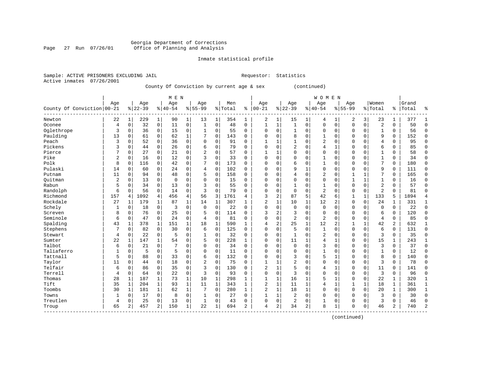# Georgia Department of Corrections Page 27 Run 07/26/01 Office of Planning and Analysis

## Inmate statistical profile

|                           | Sample: ACTIVE PRISONERS EXCLUDING JAIL | Requestor: Statistics |  |
|---------------------------|-----------------------------------------|-----------------------|--|
| Active inmates 07/26/2001 |                                         |                       |  |

# County Of Conviction by current age & sex (continued)

|                            |     |             |             |              | M E N          |              |           |              |         |              |                |                |                |              | <b>WOMEN</b>   |                |             |              |                |              |       |                |
|----------------------------|-----|-------------|-------------|--------------|----------------|--------------|-----------|--------------|---------|--------------|----------------|----------------|----------------|--------------|----------------|----------------|-------------|--------------|----------------|--------------|-------|----------------|
|                            | Age |             | Age         |              | Age            |              | Age       |              | Men     |              | Age            |                | Age            |              | Age            |                | Age         |              | Women          |              | Grand |                |
| County Of Conviction 00-21 |     |             | $8$   22-39 |              | $8 40-54$      | %            | $55 - 99$ |              | % Total | ి            | $ 00 - 21$     |                | $ 22-39$       |              | $ 40-54$       |                | $8155 - 99$ |              | % Total        | ႜ            | Total | န့             |
| Newton                     | 22  | 1           | 229         | 1            | 90             | $\mathbf 1$  | 13        | 1            | 354     | $\mathbf 1$  | 2              | 1              | 15             | $1\vert$     | 4              | 1              | 2           | 3            | 23             | 1            | 377   | 1              |
| Oconee                     | 4   | 0           | 32          | $\mathbf 0$  | 11             | $\mathbf 0$  | 1         | $\mathbf 0$  | 48      | $\mathbf 0$  | 1              | 1              | $\mathbf{1}$   | 0            | $\mathbf 0$    | $\mathbf 0$    | 0           | $\mathbf 0$  | $\overline{2}$ | $\Omega$     | 50    | $\mathbf 0$    |
| Oglethrope                 | 3   | $\Omega$    | 36          | $\Omega$     | 15             | $\mathbf 0$  |           | $\mathbf 0$  | 55      | 0            | $\Omega$       | $\Omega$       | 1              | 0            | $\Omega$       | $\Omega$       | $\Omega$    | $\Omega$     | 1              | $\Omega$     | 56    | $\Omega$       |
| Paulding                   | 13  | $\Omega$    | 61          | $\Omega$     | 62             | 1            |           | $\mathbf 0$  | 143     | 0            | 0              | $\Omega$       | 8              | $\Omega$     |                | $\Omega$       | 0           | $\Omega$     | 9              | $\Omega$     | 152   | $\mathbf 0$    |
| Peach                      | 3   | $\Omega$    | 52          | $\Omega$     | 36             | 0            | $\Omega$  | 0            | 91      | $\Omega$     |                | 1              | $\mathbf{1}$   | O            | 2              | 0              | 0           | $\Omega$     | 4              | $\Omega$     | 95    | $\Omega$       |
| Pickens                    | 3   | $\Omega$    | 44          | $\Omega$     | 26             | 0            | 6         | 0            | 79      | $\Omega$     | $\Omega$       | $\Omega$       | 2              | O            | 4              | 1              | 0           | $\Omega$     | $\sqrt{2}$     | $\Omega$     | 85    | $\Omega$       |
| Pierce                     | 7   | $\Omega$    | 27          | $\Omega$     | 21             | 0            | 2         | 0            | 57      | 0            | $\mathbf{1}$   | 1              | $\Omega$       | 0            | $\Omega$       | 0              | $\Omega$    | $\Omega$     | 1              | $\Omega$     | 58    | 0              |
| Pike                       | 2   | 0           | 16          | 0            | 12             | 0            | 3         | $\mathbf 0$  | 33      | 0            | $\Omega$       | $\Omega$       | $\Omega$       | 0            |                | $\Omega$       | 0           | $\Omega$     |                | 0            | 34    | 0              |
| Polk                       | 8   | 0           | 116         | 0            | 42             | $\mathbf 0$  |           | $\Omega$     | 173     | 0            | $\Omega$       | $\Omega$       | 6              | 0            |                | $\Omega$       | 0           | $\Omega$     | 7              | $\Omega$     | 180   | $\mathbf 0$    |
| Pulaski                    | 14  | $\Omega$    | 60          | $\Omega$     | 24             | 0            | 4         | $\mathbf 0$  | 102     | 0            | $\Omega$       | U              | 9              | 1            | $\mathbf 0$    | $\Omega$       | $\Omega$    | $\Omega$     | 9              | $\Omega$     | 111   | $\mathbf 0$    |
| Putnam                     | 11  | $\Omega$    | 94          | $\Omega$     | 48             | $\mathbf 0$  | 5         | $\mathbf 0$  | 158     | 0            | $\Omega$       | $\Omega$       | 4              | 0            | $\overline{2}$ | $\Omega$       | 1           | 1            | 7              | $\Omega$     | 165   | $\Omega$       |
| Ouitman                    | 2   | $\Omega$    | 13          | $\mathbf 0$  | $\overline{0}$ | $\mathbf 0$  | $\Omega$  | $\mathbf 0$  | 15      | 0            | 0              | $\Omega$       | $\Omega$       | 0            | $\mathbf 0$    | $\Omega$       |             | $\mathbf{1}$ | 1              | $\Omega$     | 16    | 0              |
| Rabun                      | 5   | $\Omega$    | 34          | $\Omega$     | 13             | $\mathbf 0$  | 3         | $\mathbf 0$  | 55      | $\Omega$     | 0              | $\Omega$       | $\mathbf{1}$   | 0            | 1              | $\Omega$       | $\Omega$    | $\Omega$     | $\overline{a}$ | $\Omega$     | 57    | $\Omega$       |
| Randolph                   | 6   | $\Omega$    | 56          | $\mathbf 0$  | 14             | $\mathbf 0$  | 3         | $\Omega$     | 79      | $\Omega$     | $\Omega$       | $\Omega$       | $\mathbf 0$    | 0            | $\overline{2}$ | $\Omega$       | $\Omega$    | $\mathbf 0$  | $\overline{c}$ | $\Omega$     | 81    | $\Omega$       |
| Richmond                   | 157 | 4           | 1092        | 4            | 456            | 4            | 56        | 3            | 1761    | 4            | 3              | 2              | 87             | 5            | 42             | 6              | 1           | $\mathbf{1}$ | 133            | 5            | 1894  | 4              |
| Rockdale                   | 27  | 1           | 179         | 1            | 87             | 1            | 14        | 1            | 307     | 1            | $\overline{2}$ | 1              | 10             | 1            | 12             | 2              | 0           | $\Omega$     | 24             | 1            | 331   | 1              |
| Schely                     | 1   | 0           | 18          | $\mathbf 0$  | 3              | $\mathbf 0$  | $\Omega$  | $\mathbf 0$  | 22      | 0            | $\Omega$       | $\Omega$       | $\mathbf 0$    | 0            | $\mathbf{0}$   | $\Omega$       | 0           | $\Omega$     | $\Omega$       | $\Omega$     | 22    | $\mathbf 0$    |
| Screven                    | 8   | $\Omega$    | 76          | $\Omega$     | 25             | $\mathbf 0$  | 5         | $\mathbf 0$  | 114     | 0            | 3              | 2              | 3              | 0            | $\Omega$       | $\Omega$       | $\Omega$    | $\Omega$     | 6              | $\Omega$     | 120   | $\mathbf 0$    |
| Seminole                   | 6   | $\mathbf 0$ | 47          | $\Omega$     | 24             | 0            | 4         | $\mathbf 0$  | 81      | 0            | $\Omega$       | $\Omega$       | $\overline{2}$ | 0            | $\overline{2}$ | $\Omega$       | $\Omega$    | $\Omega$     | 4              | $\Omega$     | 85    | $\Omega$       |
| Spalding                   | 43  | 1           | 378         | 1            | 151            | $\mathbf 1$  | 18        | $\mathbf{1}$ | 590     | 1            | 4              | 2              | 25             | 1            | 12             | $\overline{2}$ | 1           | $\mathbf{1}$ | 42             | 2            | 632   | $\mathbf{1}$   |
| Stephens                   | 7   | $\mathbf 0$ | 82          | $\mathbf 0$  | 30             | $\mathbf 0$  | 6         | $\mathbf 0$  | 125     | 0            | $\Omega$       | $\Omega$       | 5              | 0            | 1              | $\Omega$       | 0           | $\mathbf 0$  | 6              | 0            | 131   | $\mathbf 0$    |
| Stewart                    | 4   | $\Omega$    | 22          | $\Omega$     | 5              | 0            | 1         | $\mathbf 0$  | 32      | 0            | $\Omega$       | $\Omega$       | 1              | 0            | 2              | $\Omega$       | 0           | $\Omega$     | 3              | $\Omega$     | 35    | $\mathbf 0$    |
| Sumter                     | 22  | 1           | 147         | $\mathbf{1}$ | 54             | 0            | 5         | $\mathbf 0$  | 228     | $\mathbf{1}$ | $\Omega$       | $\Omega$       | 11             | 1            |                | $\mathbf{1}$   | 0           | $\Omega$     | 15             | $\mathbf{1}$ | 243   | $\mathbf{1}$   |
| Talbot                     | 6   | $\mathbf 0$ | 21          | $\mathbf 0$  | 7              | 0            | $\Omega$  | $\mathbf 0$  | 34      | $\Omega$     | $\Omega$       | $\Omega$       | 0              | 0            | 3              | $\Omega$       | $\Omega$    | $\Omega$     | 3              | $\Omega$     | 37    | $\Omega$       |
| Taliaferro                 | 1   | $\Omega$    | 5           | $\Omega$     | 5              | 0            | $\Omega$  | $\Omega$     | 11      | $\Omega$     | $\Omega$       | $\Omega$       | $\mathbf 0$    | O            | $\mathbf{1}$   | $\Omega$       | $\Omega$    | $\Omega$     | $\mathbf{1}$   | $\Omega$     | 12    | $\mathbf 0$    |
| Tattnall                   | 5   | $\Omega$    | 88          | 0            | 33             | 0            | 6         | 0            | 132     | 0            | $\Omega$       | $\Omega$       | 3              | 0            | 5              | $\mathbf{1}$   | 0           | $\Omega$     | 8              | $\Omega$     | 140   | $\mathbf 0$    |
| Taylor                     | 11  | $\Omega$    | 44          | $\Omega$     | 18             | 0            | 2         | $\mathbf 0$  | 75      | $\Omega$     | $\mathbf{1}$   |                | $\overline{2}$ | O            | $\Omega$       | 0              | $\Omega$    | $\Omega$     | 3              | $\Omega$     | 78    | 0              |
| Telfair                    | 6   | $\Omega$    | 86          | $\mathbf 0$  | 35             | $\mathbf 0$  | 3         | $\mathbf 0$  | 130     | O            | $\overline{c}$ | 1              | 5              | O            | 4              | $\mathbf{1}$   | 0           | $\Omega$     | 11             | $\Omega$     | 141   | $\Omega$       |
| Terrell                    | 4   | $\Omega$    | 64          | $\Omega$     | 22             | $\mathbf 0$  | 3         | $\mathbf 0$  | 93      | $\Omega$     | $\Omega$       | $\Omega$       | 3              | O            | $\Omega$       | $\Omega$       | 0           | $\Omega$     | 3              | $\Omega$     | 96    | $\Omega$       |
| Thomas                     | 28  | 1           | 187         | 1            | 73             | $\mathbf{1}$ | 10        | $\mathbf{1}$ | 298     | 1            | 1              | $\mathbf{1}$   | 16             | 1            | 5              | $\mathbf{1}$   | 0           | $\mathbf 0$  | 22             | 1            | 320   | $\mathbf{1}$   |
| Tift                       | 35  | 1           | 204         | 1            | 93             | $\mathbf 1$  | 11        | $\mathbf{1}$ | 343     | 1            | $\overline{2}$ | 1              | 11             | 1            | 4              | $\mathbf{1}$   |             | 1            | 18             | 1            | 361   | 1              |
| Toombs                     | 30  | 1           | 181         | $\mathbf{1}$ | 62             | $\mathbf 1$  |           | $\mathbf 0$  | 280     | 1            | $\overline{2}$ | $\mathbf{1}$   | 18             | $\mathbf{1}$ | $\Omega$       | $\Omega$       | $\Omega$    | $\Omega$     | 20             | 1            | 300   | $\mathbf{1}$   |
| Towns                      | 1   | $\mathbf 0$ | 17          | $\mathbf 0$  | 8              | 0            |           | 0            | 27      | $\Omega$     | $\mathbf{1}$   | 1              | $\overline{2}$ | 0            | $\Omega$       | $\Omega$       | $\Omega$    | $\Omega$     | 3              | $\Omega$     | 30    | $\Omega$       |
| Treutlen                   | 4   | 0           | 25          | $\Omega$     | 13             | 0            | 1         | $\Omega$     | 43      | 0            | $\Omega$       | $\mathbf 0$    | 2              | 0            | 1              | 0              | 0           | $\Omega$     | 3              | $\Omega$     | 46    | $\Omega$       |
| Troup                      | 65  | 2           | 457         | 2            | 150            | 1            | 22        | 1            | 694     | 2            | $\overline{4}$ | $\overline{a}$ | 34             | 2            | 8              | $\mathbf{1}$   | $\Omega$    | 0            | 46             | 2            | 740   | $\overline{2}$ |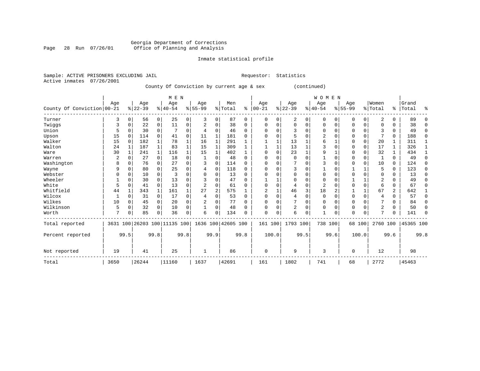# Georgia Department of Corrections Page 28 Run 07/26/01 Office of Planning and Analysis

## Inmate statistical profile

Sample: ACTIVE PRISONERS EXCLUDING JAIL **Requestor:** Statistics Active inmates 07/26/2001

# County Of Conviction by current age & sex (continued)

|                            |      |              |           |                | M E N                   |                |                |      |                    |              |            |          |                |      | WOMEN    |          |           |             |                |              |           |          |
|----------------------------|------|--------------|-----------|----------------|-------------------------|----------------|----------------|------|--------------------|--------------|------------|----------|----------------|------|----------|----------|-----------|-------------|----------------|--------------|-----------|----------|
|                            | Age  |              | Age       |                | Age                     |                | Age            |      | Men                |              | Age        |          | Age            |      | Aqe      |          | Age       |             | Women          |              | Grand     |          |
| County Of Conviction 00-21 |      |              | $ 22-39 $ |                | $8 40-54$               |                | $8 55-99$      |      | %   Total          | ႜ            | $ 00 - 21$ |          | $ 22-39 $      |      | $ 40-54$ |          | $ 55-99 $ |             | % Total        | $\approx$ 1  | Total     | ႜ        |
| Turner                     | 3    | 0            | 56        | $\overline{0}$ | 25                      | $\overline{0}$ | 3              | 0    | 87                 | 0            | $\Omega$   | 0        | 2              | 0    | 0        | 0        | 0         | $\mathbf 0$ | 2              | $\Omega$     | 89        | O        |
| Twiggs                     | 3    | $\Omega$     | 22        | 0              | 11                      | 0              |                | 0    | 38                 | <sup>0</sup> | O          |          | $\mathbf 0$    | 0    | O        | 0        | 0         | 0           | O              | <sup>0</sup> | 38        | $\Omega$ |
| Union                      |      |              | 30        | $\Omega$       |                         | 0              | 4              | 0    | 46                 | 0            |            |          | 3              | 0    | ∩        | $\Omega$ | U         | $\Omega$    |                | $\Omega$     | 49        | $\Omega$ |
| Upson                      | 15   | $\Omega$     | 114       | $\Omega$       | 41                      | 0              | 11             |      | 181                | U            |            |          | 5              | 0    | 2        | $\Omega$ |           | $\Omega$    |                | $\Omega$     | 188       | $\Omega$ |
| Walker                     | 15   | $\Omega$     | 182       |                | 78                      |                | 16             |      | 291                |              |            |          | 13             |      | 6        |          | 0         | $\mathbf 0$ | 20             |              | 311       |          |
| Walton                     | 24   | $\mathbf{1}$ | 187       | $\mathbf 1$    | 83                      |                | 15             | 1    | 309                |              |            |          | 13             |      |          | $\Omega$ |           | $\mathbf 0$ | 17             |              | 326       |          |
| Ware                       | 30   | 1            | 241       | $\mathbf{1}$   | 116                     |                | 15             |      | 402                |              | ∩          |          | 23             |      | 9        |          | 0         | $\Omega$    | 32             |              | 434       |          |
| Warren                     | 2    |              | 27        | $\Omega$       | 18                      | 0              |                | O    | 48                 | $\Omega$     | ∩          |          | $\Omega$       | 0    |          | $\Omega$ | O         | $\Omega$    |                | $\Omega$     | 49        | $\Omega$ |
| Washington                 | 8    | $\Omega$     | 76        | $\Omega$       | 27                      | $\Omega$       | 3              | 0    | 114                | $\Omega$     |            |          |                | 0    |          | $\Omega$ | Ω         | $\Omega$    | 10             | $\Omega$     | 124       | $\Omega$ |
| Wayne                      | 9    | $\Omega$     | 80        | $\Omega$       | 25                      | $\Omega$       | 4              | 0    | 118                | $\Omega$     | ∩          |          | 3              | O    |          | $\Omega$ |           |             | 5              | $\Omega$     | 123       | $\Omega$ |
| Webster                    |      | U            | 10        | $\Omega$       | 3                       | O              | $\Omega$       | O    | 13                 | $\Omega$     |            |          | $\Omega$       | O    | ∩        | $\Omega$ |           | $\Omega$    | $\Omega$       | $\Omega$     | 13        | $\Omega$ |
| Wheeler                    |      |              | 30        | 0              | 13                      |                |                | U    | 47                 | O            |            |          | 0              | 0    |          | $\Omega$ |           |             |                | U            | 49        | $\Omega$ |
| White                      | 5    | O            | 41        | $\Omega$       | 13                      | O              | $\overline{2}$ | 0    | 61                 | <sup>0</sup> | $\Omega$   | $\Omega$ | 4              | 0    | 2        | $\Omega$ | 0         | $\Omega$    |                | $\Omega$     | 67        | $\Omega$ |
| Whitfield                  | 44   |              | 343       | 1              | 161                     |                | 27             | 2    | 575                |              |            |          | 46             | 3    | 18       | 2        |           | 1           | 67             | 2            | 642       | 1        |
| Wilcox                     |      | $\Omega$     | 31        | $\Omega$       | 17                      | $\Omega$       | 4              | O    | 53                 | $\Omega$     | $\Omega$   | $\Omega$ | $\overline{4}$ | 0    | $\Omega$ | $\Omega$ | 0         | $\Omega$    | 4              | $\Omega$     | 57        | $\Omega$ |
| Wilkes                     | 10   | 0            | 45        | 0              | 20                      | 0              | 2              |      | 77                 | U            | ∩          |          |                | 0    | $\Omega$ | $\Omega$ | U         | $\Omega$    |                | $\Omega$     | 84        | $\Omega$ |
| Wilkinson                  | 5    | $\Omega$     | 32        | $\Omega$       | 10                      | 0              |                | 0    | 48                 |              |            |          | 2              | 0    | $\Omega$ | $\Omega$ | 0         | $\Omega$    | 2              | $\Omega$     | 50        | $\Omega$ |
| Worth                      | 7    | O            | 85        | 0              | 36                      | 0              | 6              | 0    | 134                |              | $\Omega$   | $\Omega$ | 6              | 0    |          | 0        | $\Omega$  | $\Omega$    | $\overline{ }$ | $\Omega$     | 141       | $\Omega$ |
| Total reported             | 3631 |              |           |                | 100 26203 100 11135 100 |                |                |      | 1636 100 42605 100 |              | 161 100    |          | 1793 100       |      | 738 100  |          |           | 68 100      | 2760 100       |              | 45365 100 |          |
| Percent reported           |      | 99.5         |           | 99.8           |                         | 99.8           |                | 99.9 |                    | 99.8         |            | 100.0    |                | 99.5 |          | 99.6     |           | 100.0       |                | 99.6         |           | 99.8     |
| Not reported               | 19   |              | 41        |                | 25                      |                | $\mathbf{1}$   |      | 86                 |              | 0          |          | 9              |      | 3        |          | 0         |             | 12             |              | 98        |          |
| Total                      | 3650 |              | 26244     |                | 11160                   |                | 1637           |      | 42691              |              | 161        |          | 1802           |      | 741      |          | 68        |             | 2772           |              | 45463     |          |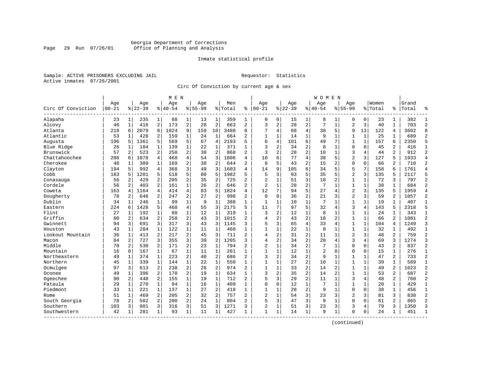# Georgia Department of Corrections Page 29 Run 07/26/01 Office of Planning and Analysis

## Inmate statistical profile

Sample: ACTIVE PRISONERS EXCLUDING JAIL **Requestor:** Statistics Active inmates 07/26/2001

Circ Of Conviction by current age & sex

|                    |            |                |           |                | M E N     |                |             |                |         | W O M E N      |                |                |          |                |                |                |                |              |         |                |           |                |
|--------------------|------------|----------------|-----------|----------------|-----------|----------------|-------------|----------------|---------|----------------|----------------|----------------|----------|----------------|----------------|----------------|----------------|--------------|---------|----------------|-----------|----------------|
|                    | Age        |                | Age       |                | Age       |                | Age         |                | Men     |                | Age            |                | Age      |                | Age            |                | Age            |              | Women   |                | Grand     |                |
| Circ Of Conviction | $ 00 - 21$ |                | $8 22-39$ |                | $8 40-54$ |                | $8155 - 99$ |                | % Total | ႜ              | $ 00 - 21$     |                | $ 22-39$ |                | $ 40-54$       |                | $8155 - 99$    |              | % Total |                | %   Total |                |
| Alapaha            | 23         | $\mathbf{1}$   | 235       | $\mathbf{1}$   | 88        | $\mathbf{1}$   | 13          | 1              | 359     | 1              | 0              | 0              | 15       | 1              | 8              | 1              | 0              | 0            | 23      | 1              | 382       | -1             |
| Alcovy             | 46         | $\mathbf{1}$   | 416       | $\overline{a}$ | 173       | 2              | 28          | $\overline{c}$ | 663     | 2              | 3              | $\overline{a}$ | 28       | $\overline{2}$ | 7              | $\mathbf{1}$   | $\overline{2}$ | 3            | 40      | $\mathbf{1}$   | 703       | $\overline{c}$ |
| Atlanta            | 218        | 6              | 2079      | 8              | 1024      | 9              | 159         | 10             | 3480    | 8              | 7              | 4              | 68       | 4              | 38             | 5              | 9              | 13           | 122     | 4              | 3602      | $\mathsf{R}$   |
| Atlantic           | 53         | 1              | 428       | 2              | 159       | 1              | 24          | 1              | 664     | 2              | $\mathbf{1}$   | $\mathbf{1}$   | 14       | $\mathbf 1$    | 9              | 1              | 1              | $\mathbf{1}$ | 25      | 1              | 689       | $\overline{c}$ |
| Augusta            | 196        | 5              | 1361      | 5              | 569       | 5              | 67          | 4              | 2193    | 5              | 6              | 4              | 101      | 6              | 49             |                | $\mathbf{1}$   | $\mathbf 1$  | 157     | 6              | 2350      | 5              |
| Blue Ridge         | 26         | 1              | 184       | 1              | 139       | 1              | 22          | 1              | 371     | $\mathbf{1}$   | 3              | 2              | 34       | $\overline{a}$ | 8              | 1              | 0              | 0            | 45      | 2              | 416       | $\mathbf{1}$   |
| Brunswick          | 57         | 2              | 523       | 2              | 250       | 2              | 38          | $\overline{c}$ | 868     | $\overline{a}$ | 3              | $\overline{a}$ | 28       | $\overline{c}$ | 10             | 1              | 3              | 4            | 44      | 2              | 912       | $\overline{2}$ |
| Chattahoochee      | 206        | 6              | 1078      | 4              | 468       | 4              | 54          | 3              | 1806    | 4              | 10             | 6              | 77       | $\overline{4}$ | 38             | 5              | $\overline{2}$ | 3            | 127     | 5              | 1933      | $\overline{4}$ |
| Cherokee           | 48         | 1              | 389       | $\mathbf{1}$   | 169       | $\overline{2}$ | 38          | $\overline{2}$ | 644     | $\overline{a}$ | 8              | 5              | 43       | $\overline{a}$ | 15             | 2              | $\Omega$       | $\Omega$     | 66      | $\overline{a}$ | 710       | $\overline{2}$ |
| Clayton            | 194        | 5              | 992       | 4              | 368       | 3              | 49          | 3              | 1603    | 4              | 14             | 9              | 105      | 6              | 34             | 5              | 5              | 7            | 158     | 6              | 1761      | $\overline{4}$ |
| Cobb               | 183        | 5              | 1201      | 5              | 518       | 5              | 80          | 5              | 1982    | 5              | 5              | 3              | 93       | 5              | 35             | 5              | $\overline{2}$ | 3            | 135     | 5              | 2117      | 5              |
| Conasauga          | 56         | 2              | 429       | 2              | 205       | 2              | 35          | 2              | 725     | $\overline{a}$ | $\overline{2}$ | $\mathbf{1}$   | 51       | 3              | 18             | 2              | $\mathbf 1$    | $\mathbf{1}$ | 72      | 3              | 797       | $\overline{2}$ |
| Cordele            | 56         | 2              | 403       | $\overline{c}$ | 161       | 1              | 26          | $\overline{c}$ | 646     | 2              | $\overline{2}$ | $\mathbf 1$    | 28       | $\overline{c}$ | 7              | $\mathbf{1}$   | 1              | $\mathbf 1$  | 38      | $\mathbf{1}$   | 684       | $\overline{2}$ |
| Coweta             | 163        | 4              | 1164      | 4              | 414       | 4              | 83          | 5              | 1824    | 4              | 12             | 7              | 94       | 5              | 27             | 4              | $\overline{a}$ | 3            | 135     | 5              | 1959      | $\overline{4}$ |
| Dougherty          | 78         | 2              | 646       | 2              | 247       | 2              | 27          | $\overline{2}$ | 998     | 2              | $\Omega$       | 0              | 36       | 2              | 21             | 3              | $\overline{2}$ | 3            | 59      | 2              | 1057      | $\overline{2}$ |
| Dublin             | 34         | 1              | 246       | $\mathbf{1}$   | 99        | 1              | 9           | $\mathbf{1}$   | 388     | $\mathbf{1}$   | $\mathbf{1}$   | 1              | 10       | $\mathbf{1}$   | 7              | $\mathbf{1}$   | $\mathbf{1}$   | $\mathbf 1$  | 19      | 1              | 407       | $\mathbf{1}$   |
| Eastern            | 224        | $\sqrt{2}$     | 1428      | 5              | 468       | 4              | 55          | 3              | 2175    | 5              | 11             | 7              | 97       | 5              | 32             | $\overline{4}$ | 3              | 4            | 143     | 5              | 2318      | 5              |
| Flint              | 27         | 1              | 192       | $\mathbf{1}$   | 88        | 1              | 12          | $\mathbf{1}$   | 319     | $\mathbf{1}$   | 3              | $\overline{a}$ | 12       | $\mathbf{1}$   | 8              | 1              | $\mathbf 1$    | $\mathbf{1}$ | 24      | $\mathbf{1}$   | 343       | $\mathbf{1}$   |
| Griffin            | 80         | $\overline{c}$ | 634       | 2              | 258       | 2              | 43          | 3              | 1015    | $\overline{2}$ | 4              | 2              | 43       | $\sqrt{2}$     | 18             | $\overline{2}$ | $\mathbf{1}$   | $\mathbf 1$  | 66      | 2              | 1081      | $\overline{c}$ |
| Gwinnett           | 94         | 3              | 691       | 3              | 317       | 3              | 43          | 3              | 1145    | 3              | 5              | 3              | 65       | $\overline{4}$ | 33             | 4              | 1              | $\mathbf 1$  | 104     | 4              | 1249      | $\overline{3}$ |
| Houston            | 43         | 1              | 284       | 1              | 122       | 1              | 11          | 1              | 460     | 1              | $\mathbf{1}$   | 1              | 22       | $\mathbf 1$    | 8              | 1              | $\mathbf{1}$   | 1            | 32      | 1              | 492       | 1              |
| Lookout Mountain   | 36         | 1              | 413       | 2              | 217       | 2              | 45          | 3              | 711     | 2              | 4              | $\overline{2}$ | 31       | $\overline{c}$ | 11             | 1              | $\overline{2}$ | 3            | 48      | 2              | 759       | $\overline{c}$ |
| Macon              | 84         | 2              | 727       | 3              | 355       | 3              | 39          | $\overline{2}$ | 1205    | 3              | $\overline{4}$ | $\overline{a}$ | 34       | $\overline{2}$ | 28             | $\overline{4}$ | 3              | 4            | 69      | 3              | 1274      | 3              |
| Middle             | 70         | 2              | 530       | 2              | 171       | 2              | 23          | $\mathbf{1}$   | 794     | 2              | $\overline{2}$ | $\mathbf{1}$   | 34       | $\overline{2}$ | 7              | 1              | $\mathbf 0$    | $\Omega$     | 43      | 2              | 837       | $\overline{2}$ |
| Mountain           | 16         | $\mathbf 0$    | 167       | $\mathbf{1}$   | 67        | $\mathbf 1$    | 11          | $\mathbf 1$    | 261     | $\mathbf{1}$   | $\mathbf{1}$   | $\mathbf{1}$   | 12       | $\mathbf{1}$   | $\overline{a}$ | $\mathbf 0$    | $\mathbf 0$    | $\mathbf 0$  | 15      | $\mathbf{1}$   | 276       | $\mathbf{1}$   |
| Northeastern       | 49         | $\mathbf{1}$   | 374       | $\mathbf{1}$   | 223       | 2              | 40          | $\overline{c}$ | 686     | $\overline{2}$ | $\mathbf{z}$   | $\overline{a}$ | 34       | $\overline{2}$ | 9              | 1              | $\mathbf{1}$   | $\mathbf 1$  | 47      | 2              | 733       | $\overline{c}$ |
| Northern           | 45         | 1              | 339       | $\mathbf{1}$   | 144       | 1              | 22          | 1              | 550     | 1              | $\mathbf{1}$   | 1              | 27       | $\overline{c}$ | 10             | 1              | 1              | $\mathbf 1$  | 39      | 1              | 589       | $\mathbf{1}$   |
| Ocmulgee           | 97         | 3              | 613       | 2              | 238       | 2              | 26          | $\overline{c}$ | 974     | 2              | 1              | 1              | 33       | $\overline{c}$ | 14             | $\overline{2}$ | $\mathbf{1}$   | $\mathbf{1}$ | 49      | 2              | 1023      | $\overline{c}$ |
| Oconee             | 49         | 1              | 396       | 2              | 170       | 2              | 19          | $\mathbf{1}$   | 634     | 1              | $\mathbf{z}$   | $\overline{a}$ | 35       | $\overline{c}$ | 14             | $\overline{2}$ | $\mathbf 1$    | $\mathbf{1}$ | 53      | 2              | 687       | $\overline{2}$ |
| Ogeechee           | 90         | 2              | 448       | $\overline{a}$ | 155       | $\mathbf 1$    | 19          | $\mathbf{1}$   | 712     | 2              | 5              | 3              | 29       | $\overline{a}$ | 11             | 1              | 3              | 4            | 48      | 2              | 760       | $\overline{2}$ |
| Pataula            | 29         | $\mathbf{1}$   | 270       | $\mathbf{1}$   | 94        | $\mathbf{1}$   | 16          | 1              | 409     | $\mathbf{1}$   | $\mathbf 0$    | $\mathbf 0$    | 12       | $\mathbf{1}$   |                | $\mathbf{1}$   | $\mathbf{1}$   | $\mathbf{1}$ | 20      | $\mathbf{1}$   | 429       | $\mathbf{1}$   |
| Piedmont           | 33         | $\mathbf{1}$   | 221       | $\mathbf{1}$   | 137       | $\mathbf{1}$   | 27          | $\overline{c}$ | 418     | $\mathbf{1}$   | $\mathbf{1}$   | $\mathbf{1}$   | 28       | $\overline{a}$ | 9              | $\mathbf{1}$   | $\Omega$       | $\Omega$     | 38      | $\mathbf{1}$   | 456       | $\mathbf{1}$   |
| Rome               | 51         | 1              | 469       | $\overline{a}$ | 205       | 2              | 32          | 2              | 757     | 2              | $\overline{2}$ | $\mathbf{1}$   | 54       | 3              | 23             | 3              | $\overline{2}$ | 3            | 81      | 3              | 838       | $\overline{2}$ |
| South Georgia      | 78         | 2              | 502       | 2              | 200       | 2              | 24          | $\mathbf{1}$   | 804     | 2              | 5              | 3              | 47       | 3              | 9              | 1              | $\mathbf 0$    | $\Omega$     | 61      | $\overline{2}$ | 865       | $\overline{2}$ |
| Southern           | 103        | 3              | 801       | 3              | 316       | 3              | 51          | 3              | 1271    | 3              | $\overline{2}$ | 1              | 51       | 3              | 23             | 3              | 3              | 4            | 79      | 3              | 1350      | ঽ              |
| Southwestern       | 42         | 1              | 281       | 1              | 93        | $\mathbf 1$    | 11          | 1              | 427     | 1              | $\mathbf{1}$   | 1              | 14       | $\mathbf{1}$   | 9              | 1              | $\Omega$       | 0            | 24      | 1              | 451       | -1             |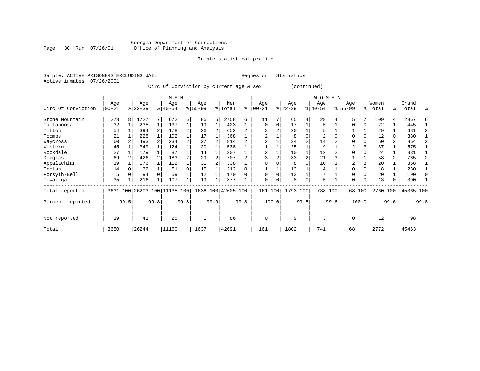# Georgia Department of Corrections Page 30 Run 07/26/01 Office of Planning and Analysis

# Inmate statistical profile

Sample: ACTIVE PRISONERS EXCLUDING JAIL **Requestor:** Statistics Active inmates 07/26/2001

Circ Of Conviction by current age & sex (continued)

|                    |                   |      |                 |              | M E N                   |          |                  |      |                    |      |                  |          |                  |          | W O             | M E N |                 |          |                  |      |                    |      |
|--------------------|-------------------|------|-----------------|--------------|-------------------------|----------|------------------|------|--------------------|------|------------------|----------|------------------|----------|-----------------|-------|-----------------|----------|------------------|------|--------------------|------|
| Circ Of Conviction | Age<br>$ 00 - 21$ |      | Age<br>$ 22-39$ |              | Age<br>$8 40-54$        |          | Age<br>$8 55-99$ |      | Men<br>% Total     | ి    | Age<br>$00 - 21$ |          | Age<br>$ 22-39 $ |          | Age<br>$ 40-54$ |       | Age<br>$ 55-99$ |          | Women<br>% Total |      | Grand<br>%   Total | ႜ    |
|                    |                   |      |                 |              |                         |          |                  |      |                    |      |                  |          |                  |          |                 |       |                 |          |                  |      |                    |      |
| Stone Mountain     | 273               | 8    | L727            |              | 672                     | 6        | 86               | 5    | 2758               | 6    | 11               |          | 65               | 4        | 28              |       | 5               |          | 109              | 4    | 2867               | F    |
| Tallapoosa         | 32                |      | 235             | 1            | 137                     |          | 19               |      | 423                |      | 0                | $\Omega$ | 17               |          | 5               |       | $\Omega$        | $\Omega$ | 22               |      | 445                |      |
| Tifton             | 54                |      | 394             |              | 178                     | 2        | 26               |      | 652                |      |                  | 2        | 20               |          | 5               |       |                 |          | 29               |      | 681                |      |
| Toombs             | 21                |      | 228             | 1            | 102                     |          | 17               |      | 368                |      | 2                |          | 8                | $\Omega$ | 2               |       | $\Omega$        |          | 12               | 0    | 380                |      |
| Waycross           | 60                |      | 493             |              | 234                     | 2        | 27               |      | 814                |      |                  |          | 34               |          | 14              |       |                 |          | 50               | 2    | 864                |      |
| Western            | 45                |      | 349             |              | 124                     |          | 20               |      | 538                |      |                  |          | 25               |          | 9               |       | 2               |          | 37               |      | 575                |      |
| Rockdale           | 27                |      | 179             |              | 87                      |          | 14               |      | 307                |      |                  |          | 10               |          | 12              |       | $\Omega$        |          | 24               |      | 331                |      |
| Douglas            | 69                |      | 426             |              | 183                     |          | 29               |      | 707                |      |                  |          | 33               |          | 21              |       |                 |          | 58               | 2    | 765                |      |
| Appalachian        | 19                |      | 176             |              | 112                     |          | 31               |      | 338                |      |                  |          | 8                | $\Omega$ | 10              |       | 2               |          | 20               |      | 358                |      |
| Enotah             | 14                |      | 132             |              | 51                      | $\Omega$ | 15               |      | 212                | O    |                  |          | 13               |          | 4               |       | $\Omega$        |          | 18               |      | 230                |      |
| Forsyth-Bell       | 5                 |      | 94              |              | 59                      |          | 12               |      | 170                | U    | $\Omega$         |          | 13               |          |                 |       | $\Omega$        |          | 20               |      | 190                | 0    |
| Towaliga           | 35                |      | 216             | $\mathbf{1}$ | 107                     |          | 19               |      | 377                |      | $\Omega$         | $\Omega$ | 8                | 0        | 5               |       | $\Omega$        | 0        | 13               | 0    | 390                |      |
| Total reported     | 3631              |      |                 |              | 100 26203 100 11135 100 |          |                  |      | 1636 100 42605 100 |      | 161              | 100      | 1793 100         |          | 738 100         |       |                 | 68 100   | 2760             | 100  | 45365 100          |      |
| Percent reported   |                   | 99.5 |                 | 99.8         |                         | 99.8     |                  | 99.9 |                    | 99.8 |                  | 100.0    |                  | 99.5     |                 | 99.6  |                 | 100.0    |                  | 99.6 |                    | 99.8 |
| Not reported       | 19                |      | 41              |              | 25                      |          | $\mathbf{1}$     |      | 86                 |      | $\mathbf 0$      |          | 9                |          | 3               |       | 0               |          | 12               |      | 98                 |      |
| Total              | 3650              |      | 26244           |              | 11160                   |          | 1637             |      | 42691              |      | 161              |          | 1802             |          | 741             |       | 68              |          | 2772             |      | 45463              |      |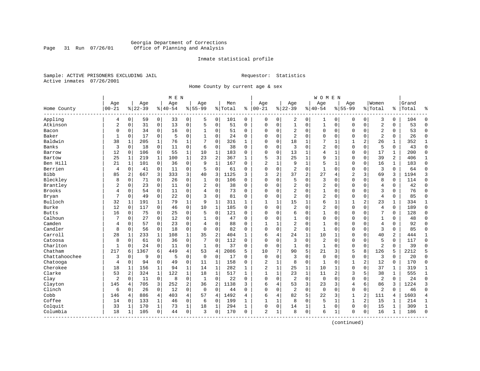# Georgia Department of Corrections Page 31 Run 07/26/01 Office of Planning and Analysis

## Inmate statistical profile

Sample: ACTIVE PRISONERS EXCLUDING JAIL **Requestor:** Statistics Active inmates 07/26/2001

Home County by current age & sex

|               |              |              |           |                | M E N    |                |                |                |         | <b>WOMEN</b> |                |              |                |                |                |                |                |                |                |              |       |                |
|---------------|--------------|--------------|-----------|----------------|----------|----------------|----------------|----------------|---------|--------------|----------------|--------------|----------------|----------------|----------------|----------------|----------------|----------------|----------------|--------------|-------|----------------|
|               | Age          |              | Age       |                | Age      |                | Aqe            |                | Men     |              | Age            |              | Age            |                | Age            |                | Aqe            |                | Women          |              | Grand |                |
| Home County   | $00 - 21$    |              | $8 22-39$ |                | $ 40-54$ |                | $8155 - 99$    |                | % Total | ి            | $ 00-21$       |              | $8 22-39$      |                | $8140 - 54$    |                | $8155 - 99$    |                | % Total        | %            | Total | န္             |
| Appling       | 4            | 0            | 59        | $\overline{0}$ | 33       | $\overline{0}$ | 5              | 0              | 101     | 0            | 0              | 0            | 2              | 0              | 1              | 0              | 0              | $\mathbf 0$    | 3              | 0            | 104   | $\Omega$       |
| Atkinson      | 2            | 0            | 31        | $\mathbf 0$    | 13       | 0              | 5              | $\mathsf 0$    | 51      | 0            | $\Omega$       | 0            | $\mathbf{1}$   | 0              | $\mathbf{1}$   | $\mathbf 0$    | $\Omega$       | $\mathbf 0$    | $\overline{2}$ | 0            | 53    | $\Omega$       |
| Bacon         | 0            | 0            | 34        | 0              | 16       | 0              | 1              | 0              | 51      | $\Omega$     | $\Omega$       | 0            | 2              | 0              | $\Omega$       | 0              | $\Omega$       | 0              | $\overline{2}$ | 0            | 53    | $\Omega$       |
| Baker         | 1            | 0            | 17        | 0              | 5        | 0              | 1              | $\Omega$       | 24      | 0            | $\Omega$       | 0            | $\overline{2}$ | 0              | $\Omega$       | $\mathbf 0$    | $\mathbf 0$    | $\Omega$       | $\overline{2}$ | 0            | 26    | $\Omega$       |
| Baldwin       | 38           | 1            | 205       | 1              | 76       | $\mathbf 1$    | 7              | $\Omega$       | 326     | $\mathbf{1}$ | $\Omega$       | O            | 18             | 1              |                | 1              | 1              | 2              | 26             | 1            | 352   | 1              |
| Banks         | 3            | $\Omega$     | 18        | $\mathbf 0$    | 11       | 0              | 6              | $\Omega$       | 38      | $\Omega$     | $\Omega$       | 0            | 3              | $\Omega$       | 2              | $\mathbf 0$    | $\Omega$       | $\Omega$       | 5              | $\Omega$     | 43    | $\Omega$       |
| Barrow        | 12           | 0            | 106       | $\overline{0}$ | 55       | 1              | 10             | $\mathbf 1$    | 183     | 0            | 0              | 0            | 13             | 1              | $\overline{4}$ | 1              | 0              | $\mathbf 0$    | 17             | 1            | 200   | $\Omega$       |
| Bartow        | 25           | $\mathbf{1}$ | 219       | $\mathbf{1}$   | 100      | $\mathbf 1$    | 23             | 2              | 367     | $\mathbf{1}$ | 5              | 3            | 25             | 1              | 9              | $\mathbf 1$    | $\Omega$       | $\mathbf 0$    | 39             | 2            | 406   | $\mathbf{1}$   |
| Ben Hill      | 21           | $\mathbf{1}$ | 101       | $\overline{0}$ | 36       | 0              | 9              | $\mathbf{1}$   | 167     | $\Omega$     | $\overline{2}$ | 1            | 9              | $\mathbf 1$    | 5              | $\mathbf{1}$   | $\Omega$       | $\mathbf 0$    | 16             | $\mathbf{1}$ | 183   | $\Omega$       |
| Berrien       | 4            | 0            | 41        | $\mathbf 0$    | 11       | 0              | 5              | $\mathbf 0$    | 61      | $\Omega$     | $\Omega$       | 0            | $\overline{2}$ | 0              | $\mathbf{1}$   | $\mathbf 0$    | $\Omega$       | $\Omega$       | 3              | $\mathbf 0$  | 64    | $\Omega$       |
| <b>Bibb</b>   | 85           | 2            | 667       | 3              | 333      | 3 <sup>1</sup> | 40             | 3              | 1125    | ς            | 3              | 2            | 37             | $\overline{c}$ | 27             | $\overline{4}$ | $\overline{a}$ | 3              | 69             | 3            | 1194  | 3              |
| Bleckley      | 8            | $\Omega$     | 71        | $\Omega$       | 26       | 0              | 1              | $\Omega$       | 106     | $\Omega$     | $\Omega$       | 0            | 5              | $\Omega$       | 3              | $\Omega$       | $\Omega$       | $\Omega$       | 8              | $\Omega$     | 114   | $\Omega$       |
| Brantley      | 2            | $\Omega$     | 23        | $\Omega$       | 11       | 0              | $\overline{2}$ | $\mathbf 0$    | 38      | $\Omega$     | $\Omega$       | 0            | $\overline{2}$ | $\Omega$       | 2              | $\mathbf 0$    | $\Omega$       | $\Omega$       | $\overline{4}$ | 0            | 42    | $\Omega$       |
| Brooks        | 4            | 0            | 54        | $\mathbf 0$    | 11       | 0              | 4              | $\mathbf 0$    | 73      | $\Omega$     | $\Omega$       | $\Omega$     | $\overline{2}$ | $\Omega$       | $\mathbf{1}$   | $\Omega$       | $\Omega$       | $\Omega$       | 3              | $\Omega$     | 76    | $\Omega$       |
| Bryan         | 7            | 0            | 49        | $\mathbf 0$    | 22       | 0              | ς              | 0              | 81      | 0            | $\Omega$       | 0            | $\overline{2}$ | 0              | 2              | $\Omega$       | $\mathbf 0$    | 0              | $\overline{4}$ | 0            | 85    | $\Omega$       |
| Bulloch       | 32           | 1            | 191       | 1              | 79       | $\mathbf 1$    | 9              | 1              | 311     | 1            | $\mathbf{1}$   | 1            | 15             | 1              | б              | 1              | 1              | 2              | 23             | 1            | 334   | 1              |
| Burke         | 12           | 0            | 117       | 0              | 46       | 0              | 10             | 1              | 185     | $\Omega$     | $\Omega$       | O            | $\overline{2}$ | $\Omega$       | $\overline{2}$ | $\mathbf 0$    | $\Omega$       | $\Omega$       | $\overline{4}$ | $\Omega$     | 189   | $\Omega$       |
| <b>Butts</b>  | 16           | 0            | 75        | 0              | 25       | 0              | 5              | $\Omega$       | 121     | $\Omega$     | $\Omega$       | 0            | 6              | 0              | 1              | $\mathbf 0$    | $\Omega$       | $\Omega$       | 7              | 0            | 128   | $\Omega$       |
| Calhoun       | 7            | 0            | 27        | $\mathbf 0$    | 12       | 0              | $\mathbf{1}$   | $\mathbf 0$    | 47      | 0            | 0              | 0            | $\mathbf{1}$   | 0              | 0              | $\mathbf 0$    | 0              | 0              | $\mathbf{1}$   | 0            | 48    | $\Omega$       |
| Camden        | 4            | $\Omega$     | 57        | $\Omega$       | 23       | $\Omega$       | 4              | $\Omega$       | 88      | $\Omega$     | $\mathbf{1}$   | $\mathbf{1}$ | $\overline{2}$ | $\Omega$       | $\mathbf{1}$   | $\mathbf 0$    | $\Omega$       | $\Omega$       | $\overline{4}$ | $\Omega$     | 92    | $\Omega$       |
| Candler       | 8            | 0            | 56        | $\mathbf 0$    | 18       | 0              | $\Omega$       | $\Omega$       | 82      | $\Omega$     | $\Omega$       | 0            | $\overline{c}$ | $\Omega$       | $\mathbf{1}$   | $\mathbf 0$    | $\Omega$       | $\Omega$       | 3              | 0            | 85    | $\Omega$       |
| Carroll       | 28           | 1            | 233       | 1              | 108      | $\mathbf 1$    | 35             | 2              | 404     | 1            | 6              | 4            | 24             | 1              | 10             | 1              | $\Omega$       | $\Omega$       | 40             | 2            | 444   | $\mathbf{1}$   |
| Catoosa       | 8            | $\Omega$     | 61        | $\Omega$       | 36       | 0              | 7              | $\Omega$       | 112     | $\Omega$     | $\Omega$       | O            | 3              | $\Omega$       | $\overline{2}$ | $\Omega$       | $\Omega$       | $\Omega$       | 5              | $\Omega$     | 117   | $\Omega$       |
| Charlton      | $\mathbf{1}$ | $\Omega$     | 24        | $\mathbf 0$    | 11       | 0              | 1              | $\Omega$       | 37      | $\Omega$     | $\mathbf 0$    | 0            | $\mathbf{1}$   | $\Omega$       | $\mathbf{1}$   | $\Omega$       | $\Omega$       | $\Omega$       | $\overline{2}$ | $\Omega$     | 39    | $\Omega$       |
| Chatham       | 217          | 6            | 1367      | 6              | 449      | $\overline{4}$ | 53             | $\overline{4}$ | 2086    | 5            | 10             | 7            | 90             | 5              | 21             | 3              | 5              | 8              | 126            | 5            | 2212  | 5              |
| Chattahoochee | 3            | 0            | 9         | $\mathbf 0$    | 5        | 0              | $\mathbf 0$    | $\mathbf 0$    | 17      | $\Omega$     | $\mathbf 0$    | $\Omega$     | 3              | 0              | $\mathbf{0}$   | $\Omega$       | 0              | 0              | 3              | $\Omega$     | 20    | $\Omega$       |
| Chatooga      | 4            | 0            | 94        | 0              | 49       | 0              | 11             | 1              | 158     | 0            | $\overline{2}$ | 1            | 8              | $\mathbf 0$    | 1              | $\mathbf 0$    | 1              | 2              | 12             | 0            | 170   | $\mathbf 0$    |
| Cherokee      | 18           | 1            | 156       | 1              | 94       | 1              | 14             | $\mathbf 1$    | 282     | 1            | $\overline{2}$ | $\mathbf{1}$ | 25             | 1              | 10             | 1              | 0              | 0              | 37             | 1            | 319   | 1              |
| Clarke        | 53           | 2            | 324       | $\mathbf{1}$   | 122      | $\mathbf{1}$   | 18             | $\mathbf{1}$   | 517     | $\mathbf{1}$ | $\mathbf{1}$   | 1            | 23             | $\mathbf{1}$   | 11             | $\overline{c}$ | 3              | 5              | 38             | $\mathbf{1}$ | 555   | $\mathbf{1}$   |
| Clay          | 2            | $\Omega$     | 11        | $\mathbf 0$    | 8        | 0              | 1              | $\Omega$       | 22      | $\Omega$     | $\Omega$       | $\Omega$     | $\overline{2}$ | $\Omega$       | $\mathbf 0$    | $\Omega$       | $\Omega$       | $\Omega$       | 2              | $\Omega$     | 24    | $\Omega$       |
| Clayton       | 145          | 4            | 705       | 3              | 252      | 2              | 36             | 2              | 1138    | 3            | 6              | 4            | 53             | 3              | 23             | 3              | 4              | 6              | 86             | 3            | 1224  | 3              |
| Clinch        | 6            | $\Omega$     | 26        | $\mathbf 0$    | 12       | $\Omega$       | $\Omega$       | $\Omega$       | 44      | $\Omega$     | $\Omega$       | 0            | $\overline{2}$ | $\Omega$       | $\mathbf 0$    | $\Omega$       | $\mathbf 0$    | 0              | $\overline{2}$ | $\Omega$     | 46    | $\Omega$       |
| Cobb          | 146          | 4            | 886       | 4              | 403      | 4              | 57             | 4              | 1492    | 4            | 6              | 4            | 82             | 5              | 22             | 3              | 1              | $\overline{a}$ | 111            | 4            | 1603  | $\overline{4}$ |
| Coffee        | 14           | 0            | 133       | 1              | 46       | 0              | 6              | 0              | 199     | 1            | $\mathbf{1}$   | 1            | 8              | 0              | 5              | 1              | $\mathbf{1}$   | 2              | 15             | 1            | 214   | 1              |
| Colquit       | 33           | 1            | 170       | 1              | 73       | $\mathbf 1$    | 18             | 1              | 294     | 1            | $\Omega$       | 0            | 14             | 1              | 1              | $\mathbf 0$    | $\Omega$       | 0              | 15             | 1            | 309   | $\mathbf{1}$   |
| Columbia      | 18           | 1            | 105       | $\mathbf 0$    | 44       | 0              | 3              | 0              | 170     | 0            | 2              | $\mathbf{1}$ | 8              | $\mathbf 0$    | 6              | 1              | $\Omega$       | $\mathbf 0$    | 16             | 1            | 186   | $\Omega$       |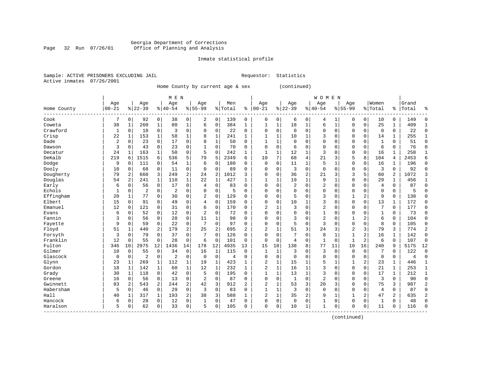#### Georgia Department of Corrections Page 32 Run 07/26/01 Office of Planning and Analysis

# Inmate statistical profile

|                | Sample: ACTIVE PRISONERS EXCLUDING JAII |  |
|----------------|-----------------------------------------|--|
| Active inmates | 07/26/2001                              |  |

L<br>
Requestor: Statistics

Home County by current age & sex (continued)

|                          |           |             |           |                | M E N          |                |                |              |           | <b>WOMEN</b> |                |              |             |                |                 |              |                |                |              |              |       |              |
|--------------------------|-----------|-------------|-----------|----------------|----------------|----------------|----------------|--------------|-----------|--------------|----------------|--------------|-------------|----------------|-----------------|--------------|----------------|----------------|--------------|--------------|-------|--------------|
|                          | Age       |             | Age       |                | Age            |                | Age            |              | Men       |              | Age            |              | Age         |                | Age             |              | Age            |                | Women        |              | Grand |              |
| Home County<br>--------- | $00 - 21$ |             | $8 22-39$ |                | $ 40-54$       |                | $8155 - 99$    |              | %   Total | ి            | $00 - 21$      |              | $8 22-39$   |                | $8140 - 54$     |              | $8 55-99$      |                | % Total      | ႜ            | Total | 우            |
| Cook                     | 7         | 0           | 92        | 0              | 38             | 0              | 2              | $\mathbf 0$  | 139       | 0            | 0              | 0            | 6           | 0              | 4               | 1            | 0              | 0              | 10           | 0            | 149   | ſ            |
| Coweta                   | 38        | -1          | 260       | 1              | 80             | $\mathbf 1$    | 6              | $\Omega$     | 384       | $\mathbf{1}$ | -1             | 1            | 18          | 1              | 6               | $\mathbf{1}$ | $\Omega$       | $\Omega$       | 25           | $\mathbf 1$  | 409   |              |
| Crawford                 | 1         | $\Omega$    | 18        | 0              | 3              | $\Omega$       | $\Omega$       | 0            | 22        | $\Omega$     | $\Omega$       | $\Omega$     | $\Omega$    | $\Omega$       | $\Omega$        | $\Omega$     | $\Omega$       | $\mathbf 0$    | $\mathbf 0$  | 0            | 22    | $\Omega$     |
| Crisp                    | 22        | 1           | 153       | 1              | 58             | 1              | 8              | 1            | 241       | 1            |                | 1            | 10          | 1              | 3               | $\Omega$     | $\Omega$       | $\Omega$       | 14           | 1            | 255   |              |
| Dade                     | 2         | 0           | 23        | $\mathbf 0$    | 17             | 0              | 8              | $\mathbf{1}$ | 50        | 0            |                | 1            | $\Omega$    | $\Omega$       | 0               | O            | $\Omega$       | $\Omega$       | $\mathbf{1}$ | 0            | 51    | $\Omega$     |
| Dawson                   | 3         | 0           | 43        | $\mathbf 0$    | 23             | 0              |                | $\mathbf 0$  | 70        | 0            | $\Omega$       | 0            | 6           | $\Omega$       | $\Omega$        | $\Omega$     | $\Omega$       | $\Omega$       | 6            | 0            | 76    | $\Omega$     |
| Decatur                  | 24        | 1           | 163       | 1              | 50             | 0              | 5              | $\mathbf 0$  | 242       | 1            | $\mathbf{1}$   | 1            | 12          | 1              | 3               | O            | $\Omega$       | $\mathbf 0$    | 16           | 1            | 258   | $\mathbf{1}$ |
| DeKalb                   | 219       | 6           | 1515      | 6              | 536            | 5              | 79             | 5            | 2349      | 6            | 10             | 7            | 68          | $\overline{4}$ | $\overline{21}$ | 3            | 5              | 8              | 104          | 4            | 2453  | б            |
| Dodge                    | 9         | $\Omega$    | 111       | $\Omega$       | 54             | $\mathbf 1$    | 6              | $\Omega$     | 180       | 0            | $\Omega$       | $\Omega$     | 11          | 1              | 5               |              | $\mathbf 0$    | $\Omega$       | 16           | 1            | 196   | $\Omega$     |
| Dooly                    | 10        | 0           | 68        | 0              | 11             | 0              | $\Omega$       | $\mathbf 0$  | 89        | 0            | O              | $\Omega$     | 3           | $\Omega$       | $\Omega$        | 0            | $\Omega$       | $\Omega$       | 3            | $\Omega$     | 92    | <sup>0</sup> |
| Dougherty                | 79        |             | 660       | 3              | 249            | 2              | 24             | 2            | 1012      | 3            | O              | $\Omega$     | 36          | $\overline{2}$ | 21              | 3            | 3              | 5              | 60           | 2            | 1072  |              |
| Douglas                  | 54        | 2           | 241       | $\mathbf{1}$   | 110            | $\mathbf{1}$   | 22             | 1            | 427       | 1            | 1              | 1            | 19          | 1              | 9               | -1           | $\Omega$       | $\Omega$       | 29           | $\mathbf{1}$ | 456   |              |
| Early                    | 6         | $\Omega$    | 56        | $\Omega$       | 17             | 0              | $\overline{4}$ | $\Omega$     | 83        | O            | $\Omega$       | $\Omega$     | 2           | $\Omega$       | 2               | $\Omega$     | $\Omega$       | $\Omega$       | 4            | 0            | 87    | $\Omega$     |
| Echols                   | 1         | $\Omega$    | 2         | 0              | $\overline{c}$ | 0              | $\Omega$       | $\mathbf 0$  | 5         | O            | $\Omega$       | 0            | $\Omega$    | $\Omega$       | 0               | $\Omega$     | $\Omega$       | $\Omega$       | $\Omega$     | 0            | 5     | U            |
| Effingham                | 20        | 1           | 77        | $\Omega$       | 30             | 0              | 2              | $\mathbf 0$  | 129       | O            | $\Omega$       | $\Omega$     | 5           | $\Omega$       | 3               | $\Omega$     | $\mathbf{1}$   | $\overline{a}$ | 9            | 0            | 138   | $\Omega$     |
| Elbert                   | 15        | $\mathbf 0$ | 91        | $\Omega$       | 49             | 0              | 4              | $\mathbf 0$  | 159       | 0            | $\Omega$       | $\Omega$     | 10          | 1              | 3               | 0            | $\Omega$       | $\Omega$       | 13           | $\mathbf{1}$ | 172   | $\Omega$     |
| Emanuel                  | 12        | 0           | 121       | 0              | 31             | 0              | 6              | 0            | 170       | $\Omega$     | $\overline{c}$ |              | 3           | $\Omega$       | $\overline{2}$  | O            | $\Omega$       | 0              | 7            | 0            | 177   | $\Omega$     |
| Evans                    | 6         | 0           | 52        | 0              | 12             | 0              | $\overline{2}$ | $\mathbf 0$  | 72        | 0            | $\Omega$       | 0            | 0           | $\Omega$       | 1               | 0            | $\Omega$       | $\Omega$       | 1            | 0            | 73    | $\Omega$     |
| Fannin                   | 3         | 0           | 56        | 0              | 28             | 0              | 11             | 1            | 98        | O            | C              | $\Omega$     | 3           | $\Omega$       | 2               | O            | $\mathbf{1}$   | 2              | 6            | 0            | 104   | <sup>0</sup> |
| Fayette                  | 9         | O           | 59        | 0              | 22             | 0              | 7              | $\mathbf 0$  | 97        | 0            | O              | $\Omega$     | 5           | $\Omega$       | 3               | O            | $\Omega$       | 0              | 8            | 0            | 105   | <sup>0</sup> |
| Floyd                    | 51        | -1          | 440       | 2              | 179            | 2              | 25             | 2            | 695       | 2            | 2              | 1            | 51          | 3              | 24              | 3            | $\overline{2}$ | 3              | 79           | 3            | 774   | 2            |
| Forsyth                  | 3         | $\Omega$    | 79        | $\Omega$       | 37             | 0              | 7              | 0            | 126       | $\Omega$     | $\Omega$       | $\Omega$     |             | $\Omega$       | 8               | $\mathbf{1}$ | $\mathbf{1}$   | $\overline{a}$ | 16           | 1            | 142   | $\Omega$     |
| Franklin                 | 12        | $\Omega$    | 55        | $\mathbf 0$    | 28             | 0              | 6              | 0            | 101       | $\Omega$     | $\Omega$       | $\mathbf 0$  | 4           | $\Omega$       | 1               | $\Omega$     | $\mathbf{1}$   | 2              | 6            | 0            | 107   | $\Omega$     |
| Fulton                   | 346       | 10          | 2975      | 12             | 1436           | 14             | 178            | 12           | 4935      | 13           | 15             | 10           | 138         | 8              | 77              | 11           | 10             | 16             | 240          | 9            | 5175  | 12           |
| Gilmer                   | 10        | $\mathbf 0$ | 55        | $\mathbf 0$    | 34             | 0              | 16             | $\mathbf{1}$ | 115       | $\Omega$     | $\mathbf{1}$   | $\mathbf{1}$ | 3           | $\Omega$       | 3               | $\Omega$     | $\mathbf 0$    | $\mathbf 0$    | 7            | 0            | 122   | $\Omega$     |
| Glascock                 | 0         | $\mathbf 0$ | 2         | 0              | $\overline{c}$ | 0              | $\mathbf 0$    | $\mathbf 0$  | 4         | $\mathbf 0$  | $\cap$         | 0            | $\Omega$    | $\Omega$       | $\Omega$        | $\Omega$     | $\Omega$       | $\mathbf 0$    | $\mathbf 0$  | 0            | 4     | $\Omega$     |
| Glynn                    | 23        | 1           | 269       | 1              | 112            | $\mathbf 1$    | 19             | 1            | 423       | $\mathbf{1}$ | 2              | 1            | 15          |                | 5               |              |                | 2              | 23           | 1            | 446   | $\mathbf{1}$ |
| Gordon                   | 18        | 1           | 142       | 1              | 60             | $\mathbf 1$    | 12             | 1            | 232       | 1            | $\overline{a}$ | 1            | 16          | $\mathbf{1}$   | 3               | O            | $\Omega$       | $\Omega$       | 2.1          | 1            | 253   | 1            |
| Grady                    | 30        | 1           | 118       | $\Omega$       | 42             | 0              | .5             | $\Omega$     | 195       | 0            | $\mathbf{1}$   | $\mathbf{1}$ | 13          | $\mathbf{1}$   | 3               | U            | $\Omega$       | $\Omega$       | 17           | $\mathbf{1}$ | 212   | $\mathbf{1}$ |
| Greene                   | 16        | $\Omega$    | 56        | $\Omega$       | 13             | $\Omega$       | $\overline{2}$ | $\Omega$     | 87        | 0            | $\Omega$       | $\Omega$     | -1          | $\Omega$       | $\overline{2}$  | O            | $\Omega$       | $\Omega$       | 3            | $\Omega$     | 90    | $\Omega$     |
| Gwinnett                 | 83        | 2           | 543       | $\overline{a}$ | 244            | $\overline{a}$ | 42             | 3            | 912       | 2            | 2              | 1            | 53          | 3              | 20              | 3            | $\Omega$       | $\Omega$       | 75           | 3            | 987   | 2            |
| Habersham                | 5         | $\Omega$    | 46        | $\mathbf 0$    | 29             | 0              | 3              | $\mathbf 0$  | 83        | 0            |                | 1            | 3           | $\Omega$       | 0               | O            | $\Omega$       | $\Omega$       | 4            | 0            | 87    | <sup>0</sup> |
| Hall                     | 40        | 1           | 317       | $\mathbf 1$    | 193            | 2              | 38             | 3            | 588       | $\mathbf{1}$ | 2              | $\mathbf 1$  | 35          | 2              | 9               | $\mathbf{1}$ |                | 2              | 47           | 2            | 635   |              |
| Hancock                  | 6         | 0           | 28        | $\mathbf 0$    | 12             | 0              | 1              | $\mathbf 0$  | 47        | $\mathbf 0$  | $\Omega$       | 0            | $\mathbf 0$ | $\mathbf 0$    | $\mathbf 1$     | 0            | $\mathbf{0}$   | $\mathbf 0$    | $\mathbf{1}$ | 0            | 48    | $\cap$       |
| Haralson                 | 5         | 0           | 62        | 0              | 33             | 0              | 5              | 0            | 105       | 0            | $\Omega$       | 0            | 10          | 1              | $\mathbf{1}$    | 0            | $\Omega$       | 0              | 11           | 0            | 116   | $\cap$       |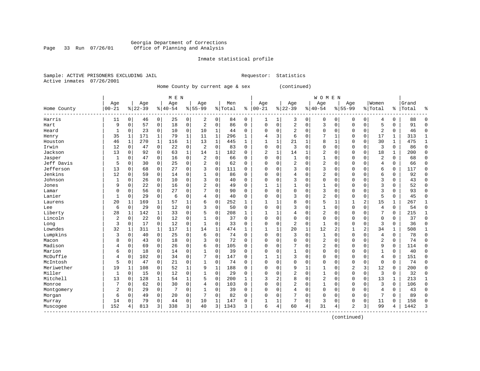#### Georgia Department of Corrections Page 33 Run 07/26/01 Office of Planning and Analysis

# Inmate statistical profile

|  |                           | Sample: ACTIVE PRISONERS EXCLUDING JAII |  |
|--|---------------------------|-----------------------------------------|--|
|  | Active inmates 07/26/2001 |                                         |  |

L Requestor: Statistics

Home County by current age & sex (continued)

|                         |                |             |           |             | M E N                 |   |                |             |         |          |                |              |                |          | <b>WOMEN</b>   |              |                |          |                |              |       |              |
|-------------------------|----------------|-------------|-----------|-------------|-----------------------|---|----------------|-------------|---------|----------|----------------|--------------|----------------|----------|----------------|--------------|----------------|----------|----------------|--------------|-------|--------------|
|                         | Age            |             | Age       |             | Age                   |   | Age            |             | Men     |          | Age            |              | Age            |          | Age            |              | Age            |          | Women          |              | Grand |              |
| Home County<br>-------- | $00 - 21$      |             | $8 22-39$ |             | $\frac{1}{6}$   40-54 |   | $8155 - 99$    |             | % Total | ి        | $00 - 21$      |              | $8 22-39$      |          | $8 40-54$      |              | $8155 - 99$    |          | % Total        | ⊱            | Total | ႜ            |
| Harris                  | 11             | $\mathbf 0$ | 46        | 0           | 25                    | 0 | 2              | 0           | 84      | 0        | 1              | 1            | 3              | 0        | $\mathbf 0$    | 0            | 0              | 0        | 4              | 0            | 88    | n            |
| Hart                    | 9              | $\mathbf 0$ | 57        | $\mathbf 0$ | 18                    | 0 | 2              | $\mathbf 0$ | 86      | 0        | $\mathbf 0$    | 0            | $\overline{2}$ | 0        | 3              | $\Omega$     | $\Omega$       | 0        | 5              | 0            | 91    | $\Omega$     |
| Heard                   | 1              | 0           | 23        | 0           | 10                    | 0 | 10             | 1           | 44      | 0        | $\Omega$       | $\Omega$     | $\overline{a}$ | $\Omega$ | $\Omega$       | $\Omega$     | $\Omega$       | $\Omega$ | 2              | 0            | 46    | C            |
| Henry                   | 35             | 1           | 171       | 1           | 79                    | 1 | 11             | 1           | 296     | 1        | 4              | 3            | 6              | $\Omega$ |                | $\mathbf{1}$ | $\Omega$       | $\Omega$ | 17             | 1            | 313   | -1           |
| Houston                 | 46             | 1           | 270       | $\mathbf 1$ | 116                   | 1 | 13             | 1           | 445     | 1        |                | 1            | 21             | 1        | 8              | 1            | $\Omega$       | 0        | 30             | 1            | 475   | $\mathbf{1}$ |
| Irwin                   | 12             | 0           | 47        | 0           | 22                    | 0 | 2              | $\mathbf 0$ | 83      | $\Omega$ | $\mathbf 0$    | 0            | 3              | $\Omega$ | 0              | $\Omega$     | $\Omega$       | 0        | 3              | 0            | 86    | $\Omega$     |
| Jackson                 | 13             | 0           | 92        | 0           | 63                    | 1 | 14             | 1           | 182     | 0        | $\overline{2}$ | 1            | 14             | 1        | 2              | $\Omega$     | $\Omega$       | 0        | 18             | 1            | 200   | $\Omega$     |
| Jasper                  | 1              | 0           | 47        | $\mathbf 0$ | 16                    | 0 | $\overline{c}$ | 0           | 66      | 0        | $\Omega$       | $\mathbf 0$  | $\mathbf{1}$   | $\Omega$ | 1              | $\Omega$     | $\Omega$       | 0        | $\overline{2}$ | 0            | 68    | $\mathbf 0$  |
| Jeff Davis              | 5              | 0           | 30        | 0           | 25                    | 0 | 2              | 0           | 62      | 0        | $\Omega$       | $\Omega$     | 2              | $\Omega$ | 2              | $\Omega$     | $\Omega$       | $\Omega$ | 4              | 0            | 66    | $\mathbf 0$  |
| Jefferson               | 13             | $\mathbf 0$ | 68        | 0           | 27                    | 0 | 3              | $\Omega$    | 111     | O        | $\Omega$       | 0            | 3              | $\Omega$ | 3              | $\Omega$     | $\Omega$       | $\Omega$ | б              | 0            | 117   | $\mathbf 0$  |
| Jenkins                 | 12             | $\mathbf 0$ | 59        | $\mathbf 0$ | 14                    | 0 |                | $\Omega$    | 86      | O        | $\Omega$       | $\Omega$     | 4              | $\Omega$ | 2              | $\Omega$     | $\Omega$       | $\Omega$ | б              | 0            | 92    | $\Omega$     |
| Johnson                 | 1              | $\mathbf 0$ | 26        | $\mathbf 0$ | 10                    | 0 | 3              | 0           | 40      | 0        | $\Omega$       | $\Omega$     | 3              | $\Omega$ | $\Omega$       | $\Omega$     | $\Omega$       | $\Omega$ | 3              | 0            | 43    | $\Omega$     |
| Jones                   | 9              | $\mathbf 0$ | 22        | $\mathbf 0$ | 16                    | 0 | 2              | 0           | 49      | 0        |                | 1            |                | $\Omega$ | 1              | $\Omega$     | $\Omega$       | $\Omega$ | 3              | 0            | 52    | $\Omega$     |
| Lamar                   | 0              | 0           | 56        | $\mathbf 0$ | 27                    | 0 |                | 0           | 90      | 0        | $\Omega$       | 0            | 0              | $\Omega$ | 3              | 0            | $\Omega$       | 0        | 3              | 0            | 93    | $\mathbf 0$  |
| Lanier                  | 1              | $\mathbf 0$ | 29        | $\mathbf 0$ | 6                     | 0 | 4              | $\mathbf 0$ | 40      | 0        | $\Omega$       | 0            | 3              | $\Omega$ | $\overline{2}$ | 0            | $\Omega$       | 0        | 5              | 0            | 45    | $\Omega$     |
| Laurens                 | 20             | 1           | 169       | $\mathbf 1$ | 57                    | 1 | 6              | $\mathbf 0$ | 252     | 1        | $\mathbf{1}$   | 1            | 8              | $\Omega$ | 5              | 1            | 1              | 2        | 15             | 1            | 267   | 1            |
| Lee                     | 6              | $\mathbf 0$ | 29        | $\mathbf 0$ | 12                    | 0 | 3              | $\mathbf 0$ | 50      | $\Omega$ | $\Omega$       | $\Omega$     |                | $\Omega$ | 1              | $\Omega$     | $\Omega$       | $\Omega$ | $\overline{4}$ | 0            | 54    | $\Omega$     |
| Liberty                 | 28             | 1           | 142       | 1           | 33                    | 0 | 5              | 0           | 208     | 1        |                |              | 4              | $\Omega$ | 2              | $\Omega$     | $\Omega$       | $\Omega$ |                | 0            | 215   | 1            |
| Lincoln                 | 2              | 0           | 22        | $\Omega$    | 12                    | 0 |                | 0           | 37      | 0        | $\Omega$       | $\Omega$     | $\Omega$       | $\Omega$ | $\Omega$       | $\Omega$     | $\Omega$       | $\Omega$ | $\Omega$       | 0            | 37    | $\Omega$     |
| Long                    | 3              | 0           | 17        | $\Omega$    | 12                    | 0 | $\mathbf{1}$   | $\Omega$    | 33      | 0        | $\Omega$       | $\Omega$     | 2              | $\Omega$ | 1              | $\Omega$     | $\Omega$       | $\Omega$ | 3              | 0            | 36    | $\Omega$     |
| Lowndes                 | 32             | 1           | 311       | 1           | 117                   | 1 | 14             | 1           | 474     | 1        | -1             | $\mathbf{1}$ | 20             | 1        | 12             | 2            |                | 2        | 34             | 1            | 508   | 1            |
| Lumpkins                | 3              | $\mathbf 0$ | 40        | $\mathbf 0$ | 25                    | 0 | 6              | $\mathbf 0$ | 74      | 0        | $\mathbf 0$    | $\Omega$     | 3              | 0        | 1              | $\Omega$     | $\Omega$       | $\Omega$ | $\overline{4}$ | 0            | 78    | $\Omega$     |
| Macon                   | 8              | $\mathbf 0$ | 43        | 0           | 18                    | 0 | 3              | $\mathbf 0$ | 72      | 0        | $\Omega$       | $\mathbf 0$  | 0              | $\Omega$ | 2              | $\Omega$     | $\Omega$       | 0        | $\overline{2}$ | 0            | 74    | $\Omega$     |
| Madison                 | 4              | $\mathbf 0$ | 69        | $\mathbf 0$ | 26                    | 0 | 6              | $\mathbf 0$ | 105     | 0        | $\Omega$       | $\Omega$     | 7              | $\Omega$ | 2              | $\Omega$     | $\Omega$       | $\Omega$ | 9              | 0            | 114   | $\bigcap$    |
| Marion                  | б              | $\mathbf 0$ | 18        | $\mathbf 0$ | 14                    | 0 | 1              | $\mathbf 0$ | 39      | $\Omega$ | $\Omega$       | $\Omega$     | $\mathbf{1}$   | $\Omega$ | $\Omega$       | $\Omega$     | $\Omega$       | $\Omega$ | $\mathbf{1}$   | 0            | 40    | $\Omega$     |
| McDuffie                | 4              | $\mathbf 0$ | 102       | $\mathbf 0$ | 34                    | 0 |                | 0           | 147     | 0        | -1             |              | 3              | $\Omega$ | 0              | $\Omega$     | $\Omega$       | $\Omega$ | 4              | 0            | 151   | $\mathbf 0$  |
| McIntosh                | 5              | $\mathbf 0$ | 47        | 0           | 21                    | 0 |                | 0           | 74      | 0        | $\mathbf 0$    | 0            | 0              | $\Omega$ | 0              | 0            | $\Omega$       | 0        | $\Omega$       | $\Omega$     | 74    | $\mathbf 0$  |
| Meriwether              | 19             | 1           | 108       | 0           | 52                    | 1 | 9              | 1           | 188     | 0        | O              | 0            | 9              | 1        |                | $\Omega$     | 2              | 3        | 12             | 0            | 200   | $\Omega$     |
| Miller                  | 1              | $\mathbf 0$ | 15        | 0           | 12                    | 0 | 1              | $\mathbf 0$ | 29      | $\Omega$ | $\Omega$       | O            | $\overline{2}$ | $\Omega$ | $\mathbf{1}$   | $\Omega$     | $\Omega$       | $\Omega$ | 3              | 0            | 32    | $\Omega$     |
| Mitchell                | 13             | 0           | 128       | 1           | 54                    | 1 | 5              | 0           | 200     | 1        | 3              | 2            | 8              | $\Omega$ | 2              | $\Omega$     | $\Omega$       | $\Omega$ | 13             | $\mathbf{1}$ | 213   | 1            |
| Monroe                  |                | $\mathbf 0$ | 62        | $\mathbf 0$ | 30                    | 0 | 4              | $\mathbf 0$ | 103     | 0        | $\Omega$       | $\Omega$     | $\overline{2}$ | $\Omega$ | 1              | $\Omega$     | $\Omega$       | $\Omega$ | 3              | 0            | 106   | $\Omega$     |
| Montgomery              | $\overline{2}$ | 0           | 29        | $\mathbf 0$ | 7                     | 0 | 1              | 0           | 39      | 0        | O              | 0            | 4              | $\Omega$ | $\Omega$       | $\Omega$     | $\Omega$       | $\Omega$ | 4              | 0            | 43    | $\Omega$     |
| Morgan                  | 6              | 0           | 49        | 0           | 20                    | 0 |                | 0           | 82      | 0        | $\Omega$       | $\Omega$     | 7              | $\Omega$ | $\Omega$       | $\Omega$     | $\Omega$       | 0        | 7              | 0            | 89    | $\cap$       |
| Murray                  | 14             | $\mathbf 0$ | 79        | 0           | 44                    | 0 | 10             | 1           | 147     | 0        | $\mathbf{1}$   | 1            | 7              | 0        | 3              | $\Omega$     | $\Omega$       | $\Omega$ | 11             | 0            | 158   | $\cap$       |
| Muscogee                | 152            | 4           | 813       | 3           | 338                   | 3 | 40             | 3           | 1343    | 3        | 6              | 4            | 60             | 4        | 31             | 4            | $\overline{2}$ | 3        | 99             | 4            | 1442  | 3            |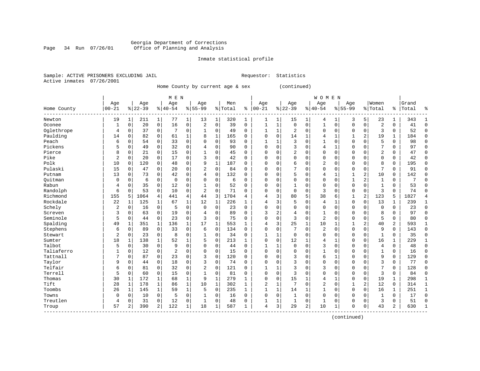#### Georgia Department of Corrections Page 34 Run 07/26/01 Office of Planning and Analysis

# Inmate statistical profile

|  | Sample: ACTIVE PRISONERS EXCLUDING JAIL |  | Requestor: Statistics |  |
|--|-----------------------------------------|--|-----------------------|--|
|  | Active inmates 07/26/2001               |  |                       |  |

Home County by current age & sex (continued)

|                      |                |              |           |              | M E N       |                |                |              |         |              |              |              |              |             | <b>WOMEN</b>   |              |              |             |                |                |       |              |
|----------------------|----------------|--------------|-----------|--------------|-------------|----------------|----------------|--------------|---------|--------------|--------------|--------------|--------------|-------------|----------------|--------------|--------------|-------------|----------------|----------------|-------|--------------|
|                      | Age            |              | Age       |              | Age         |                | Age            |              | Men     |              | Age          |              | Age          |             | Age            |              | Age          |             | Women          |                | Grand |              |
| Home County<br>----- | $ 00 - 21$     |              | $8 22-39$ |              | $8 40-54$   |                | $8155 - 99$    |              | % Total | ి            | $00 - 21$    |              | $ 22-39$     |             | $8 40-54$      | %            | $55 - 99$    |             | % Total        | ႜၟ             | Total | ႜ            |
| Newton               | 19             | 1            | 211       | 1            | 77          | 1              | 13             | 1            | 320     | 1            | 1            | 1            | 15           | 1           | 4              | 1            | 3            | 5           | 23             | 1              | 343   | 1            |
| Oconee               | 1              | $\Omega$     | 20        | $\mathbf 0$  | 16          | $\mathbf 0$    | 2              | $\mathbf 0$  | 39      | $\mathbf 0$  | $\mathbf{1}$ | $\mathbf{1}$ | $\Omega$     | $\Omega$    | $\mathbf{1}$   | $\Omega$     | $\Omega$     | $\Omega$    | $\overline{2}$ | $\Omega$       | 41    | $\Omega$     |
| Oglethrope           | 4              | 0            | 37        | $\mathbf 0$  | 7           | $\mathbf 0$    | 1              | 0            | 49      | 0            |              | $\mathbf{1}$ | 2            | $\Omega$    | 0              | $\Omega$     | $\Omega$     | $\Omega$    | 3              | 0              | 52    | $\Omega$     |
| Paulding             | 14             | 0            | 82        | 0            | 61          | $\mathbf 1$    | 8              | $\mathbf{1}$ | 165     | 0            | 0            | 0            | 14           | 1           | 4              | $\mathbf{1}$ |              | 2           | 19             | 1              | 184   | $\Omega$     |
| Peach                | 6              | $\mathbf 0$  | 54        | 0            | 33          | 0              | $\Omega$       | $\mathbf 0$  | 93      | $\mathbf 0$  |              | $\mathbf{1}$ | 3            | $\Omega$    |                | $\Omega$     | $\Omega$     | $\mathbf 0$ | 5              | 0              | 98    | $\bigcap$    |
| Pickens              | 5              | 0            | 49        | $\mathbf 0$  | 32          | 0              | 4              | $\mathbf 0$  | 90      | $\Omega$     | $\Omega$     | $\Omega$     | 3            | $\Omega$    | 4              | 1            | $\Omega$     | $\Omega$    | 7              | 0              | 97    | $\Omega$     |
| Pierce               | 8              | 0            | 21        | 0            | 15          | $\mathbf 0$    | 1              | 0            | 45      | 0            | $\Omega$     | 0            | 2            | $\Omega$    | $\Omega$       | 0            | $\Omega$     | $\Omega$    | $\overline{2}$ | 0              | 47    | $\mathbf 0$  |
| Pike                 | $\overline{2}$ | $\Omega$     | 20        | 0            | 17          | $\mathbf 0$    | 3              | 0            | 42      | $\Omega$     | 0            | $\Omega$     | $\Omega$     | $\Omega$    | $\Omega$       | 0            | $\Omega$     | $\Omega$    | $\Omega$       | 0              | 42    | $\mathbf 0$  |
| Polk                 | 10             | $\Omega$     | 120       | 0            | 48          | 0              | 9              | 1            | 187     | $\Omega$     | 0            | $\Omega$     | 6            | $\Omega$    | 2              | 0            | $\Omega$     | $\Omega$    | 8              | 0              | 195   | $\mathbf 0$  |
| Pulaski              | 15             | 0            | 47        | 0            | 20          | $\mathbf 0$    | 2              | $\mathbf 0$  | 84      | $\Omega$     | O            | $\Omega$     |              | ∩           | $\Omega$       | C            | $\Omega$     | $\Omega$    | 7              | $\Omega$       | 91    | $\Omega$     |
| Putnam               | 13             | $\Omega$     | 73        | $\Omega$     | 42          | $\mathbf 0$    | 4              | $\Omega$     | 132     | $\Omega$     | O            | $\Omega$     |              | $\Omega$    | 4              | $\mathbf{1}$ |              | 2           | 10             | 0              | 142   | $\Omega$     |
| Ouitman              | 0              | $\Omega$     | 6         | 0            | $\mathbf 0$ | $\mathbf 0$    | $\Omega$       | 0            | 6       | $\Omega$     | O            | $\Omega$     | $\Omega$     | $\Omega$    | $\Omega$       | $\Omega$     |              | 2           | $\mathbf{1}$   | 0              | 7     | C            |
| Rabun                | 4              | 0            | 35        | $\mathbf 0$  | 12          | $\mathbf 0$    | 1              | $\mathbf 0$  | 52      | $\Omega$     | 0            | $\Omega$     |              | $\Omega$    | 0              | O            | $\Omega$     | $\Omega$    | $\mathbf{1}$   | 0              | 53    | $\Omega$     |
| Randolph             | 6              | $\mathbf 0$  | 53        | $\mathbf 0$  | 10          | 0              | $\overline{2}$ | $\mathbf 0$  | 71      | $\mathbf 0$  | $\Omega$     | 0            | $\Omega$     | $\Omega$    | 3              | $\Omega$     | $\Omega$     | $\mathbf 0$ | 3              | 0              | 74    | $\cap$       |
| Richmond             | 155            | 5            | 1064      | 4            | 441         | $\overline{4}$ | 44             | 3            | 1704    | 4            | 4            | 3            | 80           | 5           | 38             | 6            | $\mathbf{1}$ | 2           | 123            | 5              | 1827  | 4            |
| Rockdale             | 22             | 1            | 125       | 1            | 67          | 1              | 12             | 1            | 226     | 1            | 4            | 3            | 5            | $\Omega$    | 4              | 1            | $\Omega$     | $\Omega$    | 13             | 1              | 239   | 1            |
| Schely               | 2              | $\mathbf 0$  | 16        | $\mathbf 0$  | 5           | $\mathbf 0$    | $\mathbf 0$    | 0            | 23      | $\Omega$     | $\Omega$     | 0            | <sup>0</sup> | $\Omega$    | $\Omega$       | $\Omega$     | 0            | $\Omega$    | $\mathbf 0$    | 0              | 23    | $\mathbf 0$  |
| Screven              | 3              | 0            | 63        | $\mathbf 0$  | 19          | 0              | 4              | 0            | 89      | $\Omega$     | 3            | 2            |              | $\Omega$    |                | $\Omega$     | $\Omega$     | $\Omega$    | 8              | 0              | 97    | $\Omega$     |
| Seminole             | 5              | 0            | 44        | $\mathbf 0$  | 23          | $\mathbf 0$    | 3              | $\mathbf 0$  | 75      | $\Omega$     | $\Omega$     | $\Omega$     | 3            | $\Omega$    | $\overline{a}$ | $\Omega$     | $\Omega$     | $\Omega$    | 5              | 0              | 80    | $\Omega$     |
| Spalding             | 49             | 1            | 351       | 1            | 136         | 1              | 17             | 1            | 553     | $\mathbf{1}$ | 4            | 3            | 25           | 1           | 10             | $\mathbf{1}$ | 1            | 2           | 40             | $\overline{c}$ | 593   | 1            |
| Stephens             | 6              | $\mathbf 0$  | 89        | $\mathbf 0$  | 33          | $\mathbf 0$    | 6              | $\mathbf 0$  | 134     | $\mathbf 0$  | $\Omega$     | $\Omega$     | 7            | $\Omega$    | $\overline{2}$ | $\Omega$     | $\Omega$     | $\Omega$    | 9              | 0              | 143   | $\Omega$     |
| Stewart              | $\overline{2}$ | 0            | 23        | 0            | 8           | $\mathbf 0$    | 1              | 0            | 34      | 0            | 1            | $\mathbf{1}$ | $\mathbf 0$  | $\Omega$    | 0              | O            | $\Omega$     | $\mathbf 0$ | $\mathbf{1}$   | 0              | 35    | $\mathbf 0$  |
| Sumter               | 18             | 1            | 138       | 1            | 52          | $\mathbf 1$    | 5              | $\mathbf 0$  | 213     | $\mathbf{1}$ | 0            | $\Omega$     | 12           |             | 4              | -1           | $\Omega$     | $\Omega$    | 16             | 1              | 229   | -1           |
| Talbot               | 5              | 0            | 30        | $\mathbf 0$  | 9           | $\mathbf 0$    | $\Omega$       | $\mathbf 0$  | 44      | $\Omega$     | -1           | 1            | $\Omega$     | $\Omega$    | 3              | $\Omega$     | $\Omega$     | $\Omega$    | 4              | 0              | 48    | $\Omega$     |
| Taliaferro           | 1              | $\Omega$     | 12        | $\Omega$     | 2           | $\mathbf 0$    | $\Omega$       | $\mathbf 0$  | 15      | $\Omega$     | $\Omega$     | $\Omega$     | <sup>0</sup> | $\Omega$    | 1              | 0            | $\Omega$     | $\Omega$    | $\mathbf{1}$   | $\Omega$       | 16    | $\Omega$     |
| Tattnall             | 7              | $\Omega$     | 87        | $\mathbf 0$  | 23          | $\mathbf 0$    | 3              | $\mathbf 0$  | 120     | $\Omega$     | $\Omega$     | $\Omega$     | 3            | $\Omega$    | 6              | -1           | $\Omega$     | $\Omega$    | 9              | 0              | 129   | $\mathbf 0$  |
| Taylor               | 9              | $\Omega$     | 44        | 0            | 18          | $\mathbf 0$    | 3              | $\mathbf 0$  | 74      | $\Omega$     | $\Omega$     | $\Omega$     | 3            | $\Omega$    | $\Omega$       | $\Omega$     | $\Omega$     | $\Omega$    | 3              | 0              | 77    | $\mathbf 0$  |
| Telfair              | 6              | 0            | 81        | 0            | 32          | $\mathbf 0$    | $\overline{2}$ | $\mathbf 0$  | 121     | $\Omega$     |              | 1            | 3            | $\Omega$    | 3              | $\Omega$     | $\Omega$     | $\mathbf 0$ | 7              | 0              | 128   | $\mathbf 0$  |
| Terrell              | 5              | $\Omega$     | 60        | 0            | 15          | $\mathbf 0$    | $\mathbf{1}$   | $\mathbf 0$  | 81      | $\Omega$     | $\Omega$     | $\Omega$     | 3            | $\Omega$    | $\Omega$       | C            | $\Omega$     | $\Omega$    | 3              | 0              | 84    | $\Omega$     |
| Thomas               | 30             | 1            | 172       | 1            | 68          | $\mathbf{1}$   | 9              | 1            | 279     | 1            | $\Omega$     | 0            | 15           | 1           | 4              | -1           | $\Omega$     | $\Omega$    | 19             | 1              | 298   | 1            |
| Tift                 | 28             | $\mathbf{1}$ | 178       | 1            | 86          | $\mathbf{1}$   | 10             | 1            | 302     | $\mathbf{1}$ | 2            | $\mathbf 1$  | 7            | $\Omega$    | 2              | $\Omega$     |              | 2           | 12             | 0              | 314   | $\mathbf{1}$ |
| Toombs               | 26             | $\mathbf{1}$ | 145       | $\mathbf{1}$ | 59          | $\mathbf 1$    | 5              | $\mathbf 0$  | 235     | $\mathbf{1}$ |              | $\mathbf{1}$ | 14           | 1           | 1              | $\Omega$     | $\Omega$     | $\Omega$    | 16             | 1              | 251   | 1            |
| Towns                | 0              | 0            | 10        | 0            | 5           | 0              | 1              | 0            | 16      | 0            | $\Omega$     | 0            |              | $\mathbf 0$ | 0              | $\Omega$     | $\Omega$     | $\mathbf 0$ | $\mathbf{1}$   | 0              | 17    | $\Omega$     |
| Treutlen             | 4              | 0            | 31        | $\mathbf 0$  | 12          | 0              | $\mathbf 1$    | $\mathbf 0$  | 48      | $\mathbf 0$  |              | $\mathbf 1$  | 1            | $\mathbf 0$ | $\mathbf{1}$   | $\Omega$     | $\Omega$     | $\mathbf 0$ | 3              | 0              | 51    | $\cap$       |
| Troup                | 57             | 2            | 390       | 2            | 122         | $\mathbf 1$    | 18             | 1            | 587     | 1            | 4            | 3            | 29           | 2           | 10             | 1            | $\Omega$     | $\mathbf 0$ | 43             | 2              | 630   | $\mathbf{1}$ |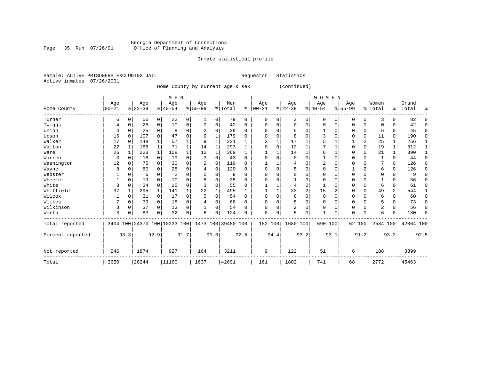# Georgia Department of Corrections Page 35 Run 07/26/01 Office of Planning and Analysis

## Inmate statistical profile

Sample: ACTIVE PRISONERS EXCLUDING JAIL **Requestor:** Statistics Active inmates 07/26/2001

Home County by current age & sex (continued)

|                  |           |          |                              |              | M E N    |      |           |          |                    |          |                         |             |          |      | <b>WOMEN</b>   |          |          |             |                |          |           |             |
|------------------|-----------|----------|------------------------------|--------------|----------|------|-----------|----------|--------------------|----------|-------------------------|-------------|----------|------|----------------|----------|----------|-------------|----------------|----------|-----------|-------------|
|                  | Age       |          | Age                          |              | Age      |      | Age       |          | Men                |          | Age                     |             | Age      |      | Age            |          | Age      |             | Women          |          | Grand     |             |
| Home County      | $00 - 21$ |          | $8 22-39$                    |              | $ 40-54$ |      | $8 55-99$ |          | % Total            | နွ       | $00 - 21$               |             | $ 22-39$ |      | $ 40-54$       |          | $ 55-99$ |             | % Total        | ွေ       | Total     | ៖           |
| Turner           | 6         | O        | 50                           | 0            | 22       | 0    |           | 0        | 79                 | 0        | 0                       | 0           | 3        | 0    | $\Omega$       | $\Omega$ | O        | 0           | 3              | 0        | 82        | $\Omega$    |
| Twiggs           | 4         | $\Omega$ | 28                           | 0            | 10       | 0    | 0         | 0        | 42                 | 0        |                         | 0           | $\Omega$ | 0    | $\Omega$       | 0        | 0        | $\mathbf 0$ |                | U        | 42        | $\Omega$    |
| Union            | 4         |          | 25                           | $\Omega$     | 8        | 0    |           | $\Omega$ | 39                 | 0        | <sup>0</sup>            | 0           | 5        | 0    |                | $\Omega$ | 0        | $\mathbf 0$ | 6              | 0        | 45        | $\Omega$    |
| Upson            | 16        | $\Omega$ | 107                          |              | 47       | 0    | 9         |          | 179                | U        |                         | $\Omega$    | 8        | O    |                |          |          | 0           | 11             | 0        | 190       | $\mathbf 0$ |
| Walker           | 17        | $\Omega$ | 148                          |              | 57       |      | 9         |          | 231                |          | $\overline{\mathbf{c}}$ |             | 17       |      |                |          |          | 2           | 25             |          | 256       |             |
| Walton           | 22        |          | 186                          |              | 71       |      | 14        | 1        | 293                |          |                         | $\Omega$    | 12       |      |                |          |          | $\mathbf 0$ | 19             |          | 312       | 1           |
| Ware             | 26        |          | 223                          | $\mathbf{1}$ | 108      |      | 12        | 1        | 369                |          |                         |             | 14       | 1    | 6              |          | U        | 0           | 21             |          | 390       |             |
| Warren           | 3         | $\Omega$ | 18                           | 0            | 19       | 0    | 3         | $\Omega$ | 43                 | $\Omega$ | <sup>0</sup>            |             | $\Omega$ | O    |                | $\Omega$ | U        |             |                | $\Omega$ | 44        | $\Omega$    |
| Washington       | 12        | O        | 75                           | $\Omega$     | 30       | 0    | 2         | $\Omega$ | 119                | U        |                         |             | 4        | O    | $\overline{2}$ | $\Omega$ |          | 0           |                | $\Omega$ | 126       | $\Omega$    |
| Wayne            | 8         | $\Omega$ | 80                           |              | 28       | 0    |           | 0        | 120                | 0        | $\Omega$                | $\Omega$    | 5        | O    | $\Omega$       | $\Omega$ |          | 2           | 6              | $\Omega$ | 126       | 0           |
| Webster          |           |          | 6                            |              | 2        | 0    |           | $\Omega$ | 9                  | U        |                         | O           | $\Omega$ | 0    |                | $\Omega$ |          | 0           |                | 0        | 9         | $\Omega$    |
| Wheeler          |           | $\Omega$ | 19                           |              | 10       | U    |           | O        | 35                 | O        |                         |             |          | U    | $\Omega$       | $\Omega$ |          | 0           |                | U        | 36        | $\Omega$    |
| White            | 3         | 0        | 34                           | $\Omega$     | 15       | 0    |           | $\Omega$ | 55                 | U        |                         |             | 4        | 0    |                |          |          | 0           | 6              | 0        | 61        | $\Omega$    |
| Whitfield        | 37        |          | 295                          |              | 141      |      | 22        |          | 495                |          |                         |             | 33       | 2    | 15             | 2        |          | $\Omega$    | 49             | 2        | 544       |             |
| Wilcox           |           | 0        | 31                           | $\Omega$     | 17       | 0    |           | $\Omega$ | 54                 | $\Omega$ | $\Omega$                | $\Omega$    | 6        | 0    | $\Omega$       | $\Omega$ | 0        | 0           | 6              | 0        | 60        | $\Omega$    |
| Wilkes           |           | 0        | 39                           | 0            | 18       | 0    |           | $\Omega$ | 68                 | 0        | <sup>0</sup>            | $\Omega$    | 5        | 0    | $\Omega$       | $\Omega$ | 0        | 0           | 5              | 0        | 73        | $\Omega$    |
| Wilkinson        | 3         | 0        | 37                           | $\Omega$     | 13       | 0    |           | $\Omega$ | 54                 | 0        | 0                       | $\mathbf 0$ | 2        | 0    | $\mathbf 0$    | 0        | 0        | $\mathbf 0$ | $\overline{2}$ | $\Omega$ | 56        | 0           |
| Worth            | 3         | $\Omega$ | 83                           | $\Omega$     | 32       | 0    | б         | $\Omega$ | 124                | U        | $\Omega$                | 0           | 5        | 0    |                | 0        | U        | 0           | 6              |          | 130       | $\Omega$    |
| Total reported   |           |          | 3404 100 24370 100 10233 100 |              |          |      |           |          | 1473 100 39480 100 |          | 152 100                 |             | 1680 100 |      | 690 100        |          |          | 62 100      | 2584 100       |          | 42064 100 |             |
| Percent reported |           | 93.3     |                              | 92.9         |          | 91.7 |           | 90.0     |                    | 92.5     |                         | 94.4        |          | 93.2 |                | 93.1     |          | 91.2        |                | 93.2     |           | 92.5        |
| Not reported     | 246       |          | 1874                         |              | 927      |      | 164       |          | 3211               |          | 9                       |             | 122      |      | 51             |          | 6        |             | 188            |          | 3399      |             |
| Total            | 3650      |          | 26244                        |              | 11160    |      | 1637      |          | 42691              |          | 161                     |             | 1802     |      | 741            |          | 68       |             | 2772           |          | 45463     |             |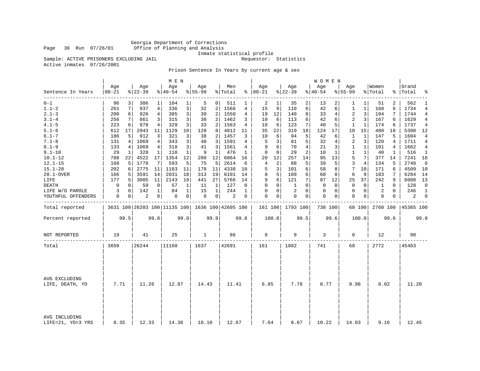Georgia Department of Corrections Office of Planning and Analysis

Inmate statistical profile<br>Requestor: Statistics

Sample: ACTIVE PRISONERS EXCLUDING JAIL Active inmates 07/26/2001

Prison Sentence In Years by current age & sex

| Age<br>Age<br>Age<br>Age<br>Age<br>Men<br>Age<br>Age<br>Age<br>$8155 - 99$<br>$8 22-39$<br>$00 - 21$<br>$8122 - 39$<br>$8140 - 54$<br>% Total<br>$8   00 - 21$<br>$8140 - 54$<br>$8155 - 99$<br>Sentence In Years | Grand<br>Women<br>% Total<br>%   Total | ៖                  |
|-------------------------------------------------------------------------------------------------------------------------------------------------------------------------------------------------------------------|----------------------------------------|--------------------|
| --------<br>$0 - 1$<br>104<br>2<br>1<br>96<br>306<br>1<br>1<br>5<br>0 <sup>1</sup><br>511<br>35<br>2<br>13<br>1<br>1                                                                                              | 2<br>51                                | 562<br>1           |
| $1.1 - 2$<br>7<br>336<br>3<br>1566<br>15<br>9<br>6<br>261<br>937<br>4<br>32<br>2<br>4<br>110<br>42<br>1<br>1<br>6                                                                                                 | 1734<br>168<br>6                       | 4                  |
| $2.1 - 3$<br>3<br>2<br>2<br>12<br>8<br>3<br>200<br>6<br>926<br>4<br>385<br>39<br>1550<br>4<br>19<br>140<br>33<br>4                                                                                                | 7<br>194                               | 1744<br>4          |
| $3.1 - 4$<br>3<br>2<br>256<br>861<br>315<br>30<br>2<br>1462<br>10<br>6<br>113<br>6<br>42<br>3<br>7<br>3<br>3<br>6                                                                                                 | 1629<br>167<br>6                       | 4                  |
| $4.1 - 5$<br>978<br>329<br>3<br>1563<br>123<br>223<br>4<br>33<br>2<br>4<br>10<br>6<br>7<br>40<br>5<br>1<br>1<br>6                                                                                                 | 174<br>1737<br>6                       | 4                  |
| $5.1 - 6$<br>612<br>17<br>2943<br>11<br>1129<br>10<br>128<br>4812<br>11<br>35<br>22<br>319<br>18<br>124<br>17<br>10<br>15<br>8                                                                                    | 488<br>18                              | 5300<br>12         |
| $6.1 - 7$<br>5<br>912<br>3<br>321<br>3<br>2<br>1457<br>10<br>6<br>$\mathbf{1}$<br>186<br>5<br>38<br>3<br>94<br>42<br>1<br>6                                                                                       | 5<br>1604<br>147                       | 4                  |
| $7.1 - 8$<br>1069<br>1591<br>3<br>5<br>131<br>343<br>3<br>48<br>3<br>5<br>81<br>32<br>2<br>3<br>4<br>4<br>4<br>4                                                                                                  | 120<br>1711<br>4                       | 4                  |
| $8.1 - 9$<br>3<br>6<br>318<br>9<br>70<br>$\overline{4}$<br>$\mathbf{1}$<br>133<br>1069<br>4<br>41<br>3<br>1561<br>21<br>3<br>1<br>4<br>4                                                                          | 101<br>4                               | 1662<br>4          |
| $9.1 - 10$<br>$\mathbf{1}$<br>476<br>$\Omega$<br>2<br>29<br>328<br>110<br>9<br>1<br>0<br>29<br>10<br>1<br>1<br>1<br>1<br>1<br>1                                                                                   | 40<br>1                                | 516<br>1           |
| 788<br>4522<br>1354<br>12<br>12<br>6864<br>12<br>257<br>14<br>13<br>5<br>7<br>$10.1 - 12$<br>22<br>17<br>200<br>16<br>20<br>95                                                                                    | 377<br>14                              | 7241<br>16         |
| $\overline{2}$<br>5<br>5<br>3<br>$12.1 - 15$<br>5<br>1778<br>7<br>593<br>75<br>5<br>2614<br>4<br>5<br>4<br>168<br>6<br>88<br>39                                                                                   | 5<br>2748<br>134                       | 6                  |
| 2775<br>3<br>$15.1 - 20$<br>202<br>1183<br>4338<br>6<br>58<br>7<br>10<br>11<br>11<br>178<br>11<br>10<br>5<br>101<br>8<br>6                                                                                        | 171<br>6                               | 4509<br>10         |
| 3591<br>2031<br>18<br>19<br>6101<br>5<br>9<br>20.1-OVER<br>166<br>5<br>14<br>313<br>14<br>8<br>109<br>6<br>60<br>8<br>6                                                                                           | 183<br>7                               | 6284<br>14         |
| 6<br>7<br>19<br>441<br>9<br>12<br>37<br>LIFE<br>177<br>5<br>3005<br>11<br>2143<br>27<br>5766<br>14<br>121<br>87<br>25                                                                                             | 242<br>9                               | 6008<br>13         |
| 57<br>$\Omega$<br>$\Omega$<br>0<br>59<br>$\mathbf 0$<br>1<br>$\mathbf{1}$<br>127<br>$\Omega$<br>1<br>$\mathbf 0$<br>$\Omega$<br>$\mathbf 0$<br>$\mathbf 0$<br>DEATH<br>0<br>11<br>0                               | 1<br>$\Omega$                          | 128<br>$\mathbf 0$ |
| 142<br>84<br>244<br>$\mathbf 0$<br>2<br>$\Omega$<br>$\mathbf 0$<br>LIFE W/O PAROLE<br>3<br>$\mathbf 0$<br>$\mathbf 1$<br>1<br>15<br>1<br>0<br>0<br>0<br>0<br>1                                                    | $\mathbf 0$<br>2                       | 246<br>1           |
| $\overline{2}$<br>$\Omega$<br>0<br>0<br>0<br>$\overline{0}$<br>0<br>0 <sup>1</sup><br>2<br>0<br>0<br>0<br>0<br>YOUTHFUL OFFENDERS<br>0<br>0<br>0<br>0<br>0                                                        | 0<br>0                                 | 2<br>$\mathbf{0}$  |
| 3631 100 26203 100 11135 100   1636 100   42605 100<br>Total reported<br>161 100 1793 100<br>738 100<br>68 100                                                                                                    | 2760 100                               | 45365 100          |
| 99.5<br>99.8<br>100.0<br>99.8<br>99.8<br>99.9<br>99.5<br>99.6<br>100.0<br>Percent reported                                                                                                                        | 99.6                                   | 99.8               |
| 0<br>19<br>25<br>$\mathbf{1}$<br>86<br>9<br>3<br>NOT REPORTED<br>41<br>0                                                                                                                                          | 12                                     | 98                 |
| 26244<br>42691<br>1802<br>741<br>68<br>3650<br>11160<br>1637<br>161<br>Total                                                                                                                                      | 2772<br>45463                          |                    |
|                                                                                                                                                                                                                   |                                        |                    |
| AVG EXCLUDING<br>7.71<br>11.26<br>12.87<br>14.43<br>11.41<br>6.85<br>7.78<br>8.77<br>9.98<br>LIFE, DEATH, YO                                                                                                      | 8.02                                   | 11.20              |
|                                                                                                                                                                                                                   |                                        |                    |
| AVG INCLUDING<br>8.35<br>12.33<br>14.36<br>16.10<br>12.67<br>7.64<br>8.67<br>10.22<br>14.03<br>LIFE=21, YO=3 YRS                                                                                                  | 9.16                                   | 12.45              |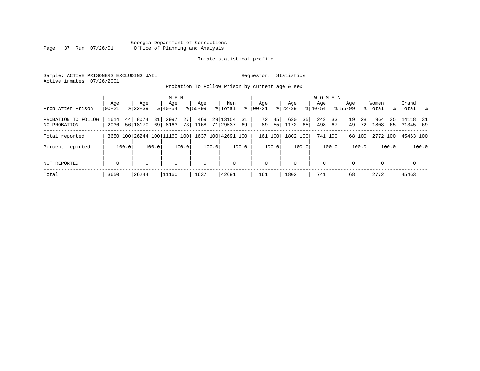# Georgia Department of Corrections Page 37 Run 07/26/01 Office of Planning and Analysis

## Inmate statistical profile

Sample: ACTIVE PRISONERS EXCLUDING JAIL **Requestor:** Statistics Active inmates 07/26/2001

Probation To Follow Prison by current age & sex

|                                     |                  |       |                     |          | M E N                        |          |                    |       |                      |          |                    |          |                    |          | W O M E N        |          |                    |          |                  |          |                         |       |
|-------------------------------------|------------------|-------|---------------------|----------|------------------------------|----------|--------------------|-------|----------------------|----------|--------------------|----------|--------------------|----------|------------------|----------|--------------------|----------|------------------|----------|-------------------------|-------|
| Prob After Prison                   | Age<br>$ 00-21 $ |       | Age<br>$8122 - 39$  |          | Age<br>$8140 - 54$           |          | Age<br>$8155 - 99$ |       | Men<br>% Total       | ႜ        | Age<br>$ 00 - 21 $ |          | Age<br>$8$   22-39 |          | Age<br>$ 40-54 $ |          | Age<br>$8155 - 99$ |          | Women<br>% Total |          | Grand<br>%   Total %    |       |
| PROBATION TO FOLLOW<br>NO PROBATION | 1614<br>2036     |       | 44 8074<br>56 18170 | 31<br>69 | 2997<br>8163                 | 27<br>73 | 469<br>1168        |       | 29 13154<br>71 29537 | 31<br>69 | 72<br>89           | 45<br>55 | 630<br>1172        | 35<br>65 | 243<br>498       | 33<br>67 | 19<br>49           | 28<br>72 | 964<br>1808      | 35<br>65 | $ 14118$ 31<br>31345 69 |       |
| Total reported                      |                  |       |                     |          | 3650 100 26244 100 11160 100 |          |                    |       | 1637 100 42691 100   |          |                    | 161 100  | 1802 100           |          |                  | 741 100  |                    | 68 100   | 2772 100         |          | 45463 100               |       |
| Percent reported                    |                  | 100.0 |                     | 100.0    |                              | 100.0    |                    | 100.0 |                      | 100.0    |                    | 100.0    |                    | 100.0    |                  | 100.0    |                    | 100.0    |                  | 100.0    |                         | 100.0 |
| NOT REPORTED                        | 0                |       |                     |          | 0                            |          | $\mathbf 0$        |       | $\Omega$             |          | 0                  |          | $\mathbf 0$        |          | $\Omega$         |          | $\Omega$           |          |                  |          | $\mathbf 0$             |       |
| Total                               | 3650             |       | 26244               |          | 11160                        |          | 1637               |       | 42691                |          | 161                |          | 1802               |          | 741              |          | 68                 |          | 2772             |          | 45463                   |       |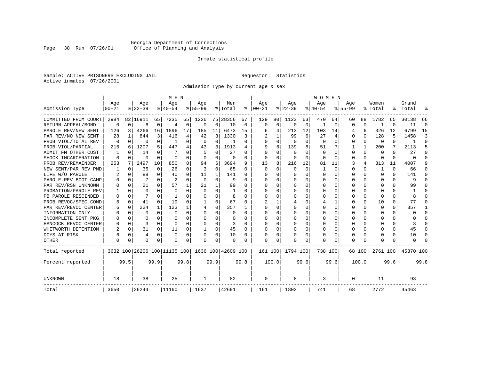# Georgia Department of Corrections Page 38 Run 07/26/01 Office of Planning and Analysis

## Inmate statistical profile

Sample: ACTIVE PRISONERS EXCLUDING JAIL **Requestor:** Statistics Active inmates 07/26/2001

Admission Type by current age & sex

|                      |                  |          |                  |              | M E N                        |              |                  |             |                    |              |                 |              |                 |          | <b>WOMEN</b>    |             |                    |              |                  |          |                |          |
|----------------------|------------------|----------|------------------|--------------|------------------------------|--------------|------------------|-------------|--------------------|--------------|-----------------|--------------|-----------------|----------|-----------------|-------------|--------------------|--------------|------------------|----------|----------------|----------|
| Admission Type       | Age<br>$00 - 21$ |          | Age<br>$8 22-39$ |              | Age<br>$8 40-54$             |              | Age<br>$8 55-99$ |             | Men<br>% Total     | ∻            | Age<br>$ 00-21$ |              | Age<br>$ 22-39$ |          | Age<br>$ 40-54$ |             | Age<br>$8155 - 99$ |              | Women<br>% Total | ွေ       | Grand<br>Total | 옹        |
|                      |                  |          |                  |              |                              |              |                  |             |                    |              |                 |              |                 |          |                 |             |                    |              |                  |          |                |          |
| COMMITTED FROM COURT | 2984             |          | 82 16911         | 65           | 7235                         | 65           | 1226             |             | 75 28356           | 67           | 129             | 80           | 1123            | 63.      | 470             | 64          | 60                 | 88           | 1782             | 65       | 30138          | 66       |
| RETURN APPEAL/BOND   | $\mathbf 0$      | 0        | 6                | 0            | $\overline{4}$               | $\Omega$     | $\Omega$         | 0           | 10                 | 0            | $\Omega$        | $\mathbf 0$  | $\Omega$        | 0        | -1              | 0           | $\Omega$           | 0            |                  | U        | 11             | $\Omega$ |
| PAROLE REV/NEW SENT  | 126              | 3        | 4266             | 16           | 1896                         |              | 185              | 11          | 6473               | 15           |                 | 4            | 213             | 12       | 103             | 14          | 4                  | 6            | 326              | 12       | 6799           | 15       |
| PAR REV/NO NEW SENT  | 28               |          | 844              | 3            | 416                          | 4            | 42               | 3           | 1330               | 3            |                 |              | 99              | 6        | 27              | 4           | 0                  | $\Omega$     | 128              | 5        | 1458           | 3        |
| PROB VIOL/TOTAL REV  | 0                | $\Omega$ | 0                | 0            |                              | 0            | O                | 0           |                    | $\Omega$     |                 | 0            | $\Omega$        | $\Omega$ | 0               | $\Omega$    | 0                  | $\Omega$     | 0                | 0        |                | $\Omega$ |
| PROB VIOL/PARTIAL    | 216              | 6        | 1207             | 5            | 447                          | 4            | 43               | 3           | 1913               | 4            | q               | 6            | 139             | 8        | 51              | 7           |                    | $\mathbf{1}$ | 200              | 7        | 2113           | 5        |
| ADMIT FM OTHER CUST  |                  | $\Omega$ | 14               | 0            | 7                            | O            | 5                | 0           | 27                 | 0            | ∩               | U            | 0               | U        | $\Omega$        | $\Omega$    | $\Omega$           | $\Omega$     | 0                | U        | 27             | $\Omega$ |
| SHOCK INCARCERATION  | $\Omega$         | $\Omega$ | O                | $\Omega$     | $\Omega$                     | 0            | $\Omega$         | 0           | 0                  | $\Omega$     | $\Omega$        | $\Omega$     | $\Omega$        | $\Omega$ | $\Omega$        | $\Omega$    | 0                  | 0            | $\Omega$         | $\Omega$ | $\Omega$       | $\cap$   |
| PROB REV/REMAINDER   | 253              | 7        | 2497             | 10           | 850                          | 8            | 94               | 6           | 3694               | 9            | 13              | 8            | 216             | 12       | 81              | 11          | 3                  | 4            | 313              | 11       | 4007           | 9        |
| NEW SENT/PAR REV PND |                  | $\Omega$ | 35               | $\Omega$     | 26                           | 0            | 3                | $\mathbf 0$ | 65                 | $\Omega$     | $\Omega$        | $\Omega$     | $\Omega$        | $\Omega$ |                 | $\mathbf 0$ | 0                  | 0            |                  | U        | 66             | ∩        |
| LIFE W/O PAROLE      | 2                | $\Omega$ | 88               | $\Omega$     | 40                           | $\Omega$     | 11               | 1           | 141                | $\Omega$     |                 | $\cap$       | $\Omega$        | O        | $\Omega$        | $\Omega$    | 0                  | 0            | $\Omega$         | U        | 141            | n        |
| PAROLE REV BOOT CAMP |                  | $\Omega$ |                  | $\Omega$     | 2                            | $\Omega$     | $\mathbf 0$      | 0           | 9                  | $\Omega$     | n               | $\Omega$     | $\Omega$        | O        | 0               | 0           | O                  | $\Omega$     | $\Omega$         | U        | 9              | n        |
| PAR REV/RSN UNKNOWN  |                  | $\Omega$ | 21               | <sup>n</sup> | 57                           |              | 21               | 1           | 99                 | <sup>0</sup> |                 | $\cap$       | $\Omega$        | O        | O               | $\Omega$    | O                  | 0            | $\Omega$         | 0        | 99             |          |
| PROBATION/PAROLE REV |                  | $\Omega$ | U                | 0            | $\cap$                       | <sup>0</sup> | $\Omega$         | O           |                    | $\Omega$     |                 | $\cap$       | $\Omega$        | O        | $\Omega$        | $\Omega$    | U                  |              | $\Omega$         | 0        |                |          |
| PB PAROLE RESCINDED  |                  | $\Omega$ |                  | U            |                              | O            | $\Omega$         | 0           | 8                  | ∩            | U               | O            | $\Omega$        | O        | $\Omega$        | $\Omega$    | O                  | $\Omega$     | $\Omega$         | U        |                |          |
| PROB REVOC/SPEC COND | 6                | $\Omega$ | 41               | 0            | 19                           | <sup>0</sup> | -1               | O           | 67                 | $\Omega$     |                 |              |                 | U        | 4               | 1           | O                  | 0            | 10               | U        | 77             | n        |
| PAR REV/REVOC CENTER | h                | 0        | 224              | 1            | 123                          |              | 4                | O           | 357                |              |                 | U            | U               | U        | $\Omega$        | 0           | O                  | 0            | $\Omega$         | 0        | 357            |          |
| INFORMATION ONLY     |                  | $\Omega$ | O                | 0            | $\Omega$                     | U            | U                | 0           | $\Omega$           | $\Omega$     | O               | U            | $\Omega$        | U        | 0               | 0           | O                  | 0            | $\Omega$         | U        | $\Omega$       | $\Omega$ |
| INCOMPLETE SENT PKG  |                  | $\Omega$ | N                | 0            | $\cap$                       | 0            | U                | $\Omega$    | $\Omega$           | $\Omega$     | O               | <sup>0</sup> | $\Omega$        | U        | $\Omega$        | 0           | O                  | 0            | $\Omega$         | 0        |                | $\cap$   |
| HANCOCK REVOC CENTER |                  | $\Omega$ | 3                | 0            | $\cap$                       | 0            | U                | $\Omega$    | 3                  | $\Omega$     |                 | 0            | $\Omega$        | U        | $\Omega$        | $\Omega$    | O                  | 0            | $\Omega$         | 0        | 3              | $\cap$   |
| WHITWORTH DETENTION  |                  | $\Omega$ | 31               | 0            | 11                           | 0            | -1               | 0           | 45                 | $\Omega$     |                 | 0            | $\Omega$        | 0        | $\Omega$        | 0           | O                  | 0            | $\Omega$         | U        | 45             | $\Omega$ |
| DCYS AT RISK         | 6                | $\Omega$ | 4                | $\Omega$     | $\Omega$                     | $\Omega$     |                  | 0           | 10                 | 0            |                 | $\Omega$     |                 | 0        | $\Omega$        | 0           | 0                  | 0            | 0                | 0        | 10             | $\cap$   |
| <b>OTHER</b>         | $\Omega$         | 0        | O                | 0            | n                            | 0            | U                | 0           | $\Omega$           | <sup>0</sup> | U               | U            |                 | O        | $\Omega$        | $\Omega$    | $\Omega$           | $\Omega$     | $\Omega$         | U        | ∩              |          |
| Total reported       |                  |          |                  |              | 3632 100 26206 100 11135 100 |              |                  |             | 1636 100 42609 100 |              | 161 100         |              | 1794 100        |          | 738 100         |             |                    | 68 100       | 2761 100         |          | 45370 100      |          |
| Percent reported     |                  | 99.5     |                  | 99.9         |                              | 99.8         |                  | 99.9        |                    | 99.8         |                 | 100.0        |                 | 99.6     |                 | 99.6        |                    | 100.0        |                  | 99.6     |                | 99.8     |
| UNKNOWN              | 18               |          | 38               |              | 25                           |              | 1                |             | 82                 |              | 0               |              | 8               |          | 3               |             | $\mathbf 0$        |              | 11               |          | 93             |          |
| Total                | 3650             |          | 26244            |              | 11160                        |              | 1637             |             | 42691              |              | 161             |              | 1802            |          | 741             |             | 68                 |              | 2772             |          | 45463          |          |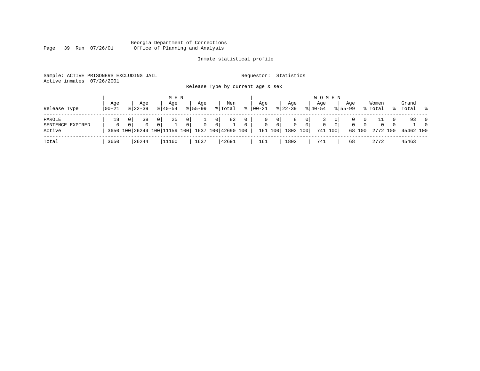#### Georgia Department of Corrections Page 39 Run 07/26/01 Office of Planning and Analysis

# Inmate statistical profile

|                           | Sample: ACTIVE PRISONERS EXCLUDING JAIL | Requestor: Statistics             |  |
|---------------------------|-----------------------------------------|-----------------------------------|--|
| Active inmates 07/26/2001 |                                         |                                   |  |
|                           |                                         | Release Type by current age & sex |  |

| Release Type                         | Age<br>  00-21 | Aqe<br>$8122 - 39$ |                            | M E N<br>Age<br>$8140 - 54$        |                  | Aqe<br>$8155 - 99$ |                                  | Men<br>% Total           | ႜ             | Aqe<br>$00 - 21$             |                                             | Aqe<br>$ 22-39 $              |                | <b>WOMEN</b><br>Age<br>$8 40-54$ |       | Age<br>$8155 - 99$ |                                 | Women<br>% Total |              | Grand<br>%  Total %       |                            |
|--------------------------------------|----------------|--------------------|----------------------------|------------------------------------|------------------|--------------------|----------------------------------|--------------------------|---------------|------------------------------|---------------------------------------------|-------------------------------|----------------|----------------------------------|-------|--------------------|---------------------------------|------------------|--------------|---------------------------|----------------------------|
| PAROLE<br>SENTENCE EXPIRED<br>Active | 18<br>$\Omega$ | 38<br>0            | 0 <sup>1</sup><br>$\Omega$ | 25<br>3650 100 26244 100 11159 100 | $\mathbf 0$<br>0 | $\mathbf{0}$       | 0 <sub>1</sub><br>$\overline{0}$ | 82<br>1637 100 42690 100 | 0<br>$\Omega$ | $\mathbf{0}$<br>$\mathbf{0}$ | $\overline{0}$<br>$\overline{0}$<br>161 100 | 8<br>$\mathbf{0}$<br>1802 100 | 0 <sup>1</sup> | 0<br>741 100                     | - 0 1 | 0                  | 0 I<br>0 <sup>1</sup><br>68 100 | $\mathbf 0$      | $\mathbf{0}$ | 93<br>2772 100  45462 100 | $\overline{0}$<br>$\Omega$ |
| Total                                | 3650           | 26244              |                            | 11160                              |                  | 1637               |                                  | 42691                    |               | 161                          |                                             | 1802                          |                | 741                              |       | 68                 |                                 | 2772             |              | 45463                     |                            |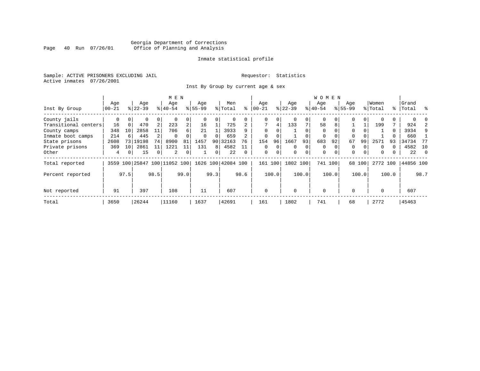# Georgia Department of Corrections Page 40 Run 07/26/01 Office of Planning and Analysis

## Inmate statistical profile

Sample: ACTIVE PRISONERS EXCLUDING JAIL **Requestor:** Statistics Active inmates 07/26/2001

Inst By Group by current age & sex

|                      |          |             |                |          | M E N         |                |          |                |                    |      |             |             |           |          | WOMEN       |          |             |                |          |       |           |      |
|----------------------|----------|-------------|----------------|----------|---------------|----------------|----------|----------------|--------------------|------|-------------|-------------|-----------|----------|-------------|----------|-------------|----------------|----------|-------|-----------|------|
|                      | Age      |             | Age            |          | Age           |                | Age      |                | Men                |      | Age         |             | Age       |          | Age         |          | Age         |                | Women    |       | Grand     |      |
| Inst By Group        | $ 00-21$ |             | $ 22-39 $      |          | $8 40-54$     |                | $ 55-99$ |                | % Total            | ి    | $ 00-21$    |             | $ 22-39 $ |          | $8 40-54$   |          | $8155 - 99$ |                | % Total  |       | %   Total | ွေ   |
| County jails         | 0        | $\Omega$    |                | 0        |               | 0              |          | $\overline{0}$ |                    |      | 0           | 0           |           | $\Omega$ | 0           |          |             | $\overline{0}$ |          |       |           |      |
| Transitional centers | 16       | $\Omega$    | 470            | 2        | 223           | $\overline{a}$ | 16       |                | 725                |      | 7           | 4           | 133       | 7        | 58          | 8        |             |                | 199      |       | 924       |      |
| County camps         | 348      | 10          | 2858           | 11       | 706           | 6              | 21       |                | 3933               |      | $\Omega$    | 0           |           | $\Omega$ | $\Omega$    |          | $\Omega$    |                |          | 0     | 3934      | 9    |
| Inmate boot camps    | 214      |             | 445            |          | $\Omega$      | $\Omega$       | $\Omega$ | $\cap$         | 659                |      | $\Omega$    | 0           |           | $\Omega$ | $\Omega$    |          | $\Omega$    |                |          |       | 660       |      |
| State prisons        | 2608     | 73          | 19198          | 74       | 8900          | 81             | 1457     |                | 90 32163           | 76   | 154         | 96          | 1667      | 93       | 683         | 92       | 67          | 99             | 2571     | 93    | 34734     | 77   |
| Private prisons      | 369      | 10          | 2861           | 11       | 1221          |                | 131      | 8 <sup>1</sup> | 4582               | 11   | $\Omega$    | $\Omega$    | $\Omega$  | $\Omega$ | $\Omega$    |          | 0           |                | $\Omega$ |       | 4582      | - 10 |
| Other                | 4        | $\mathbf 0$ | 15             | $\Omega$ | 2             | 0              |          | 0 <sup>1</sup> | 22                 |      | $\mathbf 0$ | $\mathbf 0$ | $\Omega$  | $\Omega$ | $\mathbf 0$ | $\Omega$ | $\mathbf 0$ | $\overline{0}$ | $\Omega$ | 0     | 22        | - 0  |
| Total reported       |          |             | 3559 100 25847 |          | 100 11052 100 |                |          |                | 1626 100 42084 100 |      | 161         | 100         | 1802 100  |          | 741 100     |          |             | 68 100         | 2772 100 |       | 44856 100 |      |
| Percent reported     |          | 97.5        |                | 98.5     |               | 99.0           |          | 99.3           |                    | 98.6 |             | 100.0       |           | 100.0    |             | 100.0    |             | 100.0          |          | 100.0 |           | 98.7 |
| Not reported         | 91       |             | 397            |          | 108           |                | 11       |                | 607                |      | $\mathbf 0$ |             | $\Omega$  |          | $\Omega$    |          | $\Omega$    |                | $\Omega$ |       | 607       |      |
| Total                | 3650     |             | 26244          |          | 11160         |                | 1637     |                | 42691              |      | 161         |             | 1802      |          | 741         |          | 68          |                | 2772     |       | 45463     |      |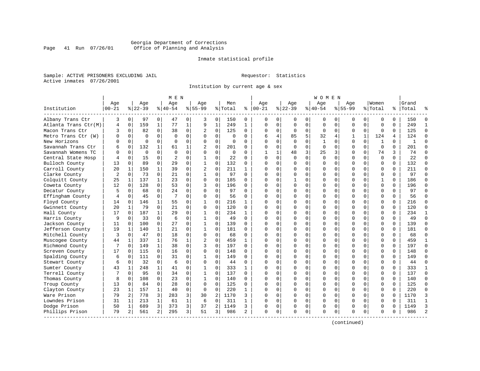# Georgia Department of Corrections Page 41 Run 07/26/01 Office of Planning and Analysis

## Inmate statistical profile

Sample: ACTIVE PRISONERS EXCLUDING JAIL **Requestor:** Statistics Active inmates 07/26/2001

Institution by current age & sex

|                      |                |              |             |                | M E N          |             |                |                |          |              |              |              |              |             | W O M E N    |             |             |              |              |          |              |               |
|----------------------|----------------|--------------|-------------|----------------|----------------|-------------|----------------|----------------|----------|--------------|--------------|--------------|--------------|-------------|--------------|-------------|-------------|--------------|--------------|----------|--------------|---------------|
|                      | Age            |              | Age         |                | Age            |             | Aqe            |                | Men      |              | Age          |              | Aqe          |             | Aqe          |             | Aqe         |              | Women        |          | Grand        |               |
| Institution          | $00 - 21$      |              | $8 22-39$   |                | $8 40-54$      |             | $8155 - 99$    |                | % Total  | နွ           | $ 00-21$     |              | $ 22-39$     |             | $ 40-54$     |             | $8155 - 99$ |              | % Total      |          | %   Total    |               |
| Albany Trans Ctr     | 3              | 0            | 97          | 0              | 47             | 0           | 3              | 0              | 150      | 0            | 0            | $\mathbf{0}$ | 0            | 0           | 0            | 0           | 0           | 0            | 0            | $\Omega$ | 150          | $\Omega$      |
| Atlanta Trans Ctr(M) | 4              | $\mathbf 0$  | 159         | $\mathbf{1}$   | 77             | $\mathbf 1$ | 9              | $1\,$          | 249      | $\mathbf{1}$ | $\Omega$     | $\Omega$     | $\mathbf 0$  | $\mathbf 0$ | $\Omega$     | $\mathbf 0$ | $\Omega$    | $\Omega$     | $\mathbf 0$  | $\Omega$ | 249          | $\mathbf{1}$  |
| Macon Trans Ctr      | 3              | 0            | 82          | 0              | 38             | 0           | 2              | 0              | 125      | 0            | $\Omega$     | $\mathbf{0}$ | 0            | 0           | 0            | 0           | 0           | $\mathbf 0$  | 0            | $\Omega$ | 125          | $\Omega$      |
| Metro Trans Ctr (W)  |                | 0            | $\Omega$    | $\Omega$       | $\Omega$       | $\mathbf 0$ | $\Omega$       | $\mathbf 0$    | $\Omega$ | $\Omega$     | 6            | 4            | 85           | 5           | 32           | 4           | 1           | $\mathbf{1}$ | 124          | 4        | 124          | $\Omega$      |
| New Horizons         | ∩              | $\Omega$     | $\Omega$    | 0              | $\Omega$       | $\Omega$    | $\Omega$       | $\Omega$       | $\Omega$ | $\Omega$     | $\cap$       | $\Omega$     | $\Omega$     | $\Omega$    | $\mathbf{1}$ | $\Omega$    | $\Omega$    | $\Omega$     | $\mathbf{1}$ | $\Omega$ | $\mathbf{1}$ | $\cap$        |
| Savannah Trans Ctr   | 6              | $\Omega$     | 132         | $\mathbf{1}$   | 61             | 1           | $\overline{c}$ | $\Omega$       | 201      | 0            | <sup>0</sup> | $\Omega$     | $\Omega$     | $\Omega$    | $\Omega$     | $\Omega$    | $\Omega$    | $\Omega$     | $\Omega$     | $\Omega$ | 201          | $\Omega$      |
| Savannah Womens TC   | U              | $\mathbf 0$  | $\mathbf 0$ | $\Omega$       | $\Omega$       | $\Omega$    | $\Omega$       | $\mathbf 0$    | $\Omega$ | $\Omega$     |              | $\mathbf{1}$ | 48           | 3           | 25           | 3           | $\Omega$    | $\mathbf 0$  | 74           | 3        | 74           | $\Omega$      |
| Central State Hosp   |                | 0            | 15          | 0              | $\overline{c}$ | 0           | 1              | 0              | 22       | $\Omega$     | $\Omega$     | $\Omega$     | $\Omega$     | $\mathbf 0$ | $\Omega$     | 0           | $\Omega$    | 0            | $\mathbf 0$  | $\Omega$ | 22           | $\cap$        |
| Bulloch County       | 13             | $\mathbf 0$  | 89          | 0              | 29             | 0           | $\mathbf{1}$   | $\mathbf 0$    | 132      | 0            | $\cap$       | $\Omega$     | 0            | 0           | $\Omega$     | 0           | $\Omega$    | $\Omega$     | $\mathbf 0$  | $\Omega$ | 132          | $\Omega$      |
| Carroll County       | 20             | 1            | 150         | $\mathbf{1}$   | 39             | $\Omega$    | $\overline{c}$ | $\Omega$       | 211      | 1            | $\cap$       | $\Omega$     | $\Omega$     | 0           | $\Omega$     | 0           | $\Omega$    | $\Omega$     | $\Omega$     | $\Omega$ | 211          | $\Omega$      |
| Clarke County        | $\overline{c}$ | $\Omega$     | 73          | 0              | 21             | $\Omega$    | 1              | $\Omega$       | 97       | $\Omega$     | $\cap$       | $\Omega$     | $\Omega$     | 0           | $\Omega$     | $\Omega$    | $\Omega$    | $\Omega$     | $\Omega$     | $\Omega$ | 97           | $\Omega$      |
| Colquitt County      | 25             | 1            | 137         | $\mathbf{1}$   | 23             | $\Omega$    | $\Omega$       | $\mathbf 0$    | 185      | $\Omega$     | <sup>0</sup> | $\Omega$     | $\mathbf{1}$ | 0           | $\Omega$     | $\Omega$    | $\Omega$    | $\Omega$     | $\mathbf{1}$ | $\Omega$ | 186          | $\Omega$      |
| Coweta County        | 12             | $\mathbf 0$  | 128         | $\Omega$       | 53             | $\Omega$    | 3              | $\mathbf 0$    | 196      | $\Omega$     | ∩            | $\Omega$     | $\Omega$     | 0           | C            | $\mathbf 0$ | $\Omega$    | $\Omega$     | $\mathbf 0$  | $\Omega$ | 196          | $\Omega$      |
| Decatur County       | 5              | 0            | 68          | $\Omega$       | 24             | $\Omega$    | $\Omega$       | $\Omega$       | 97       | $\Omega$     | $\cap$       | $\Omega$     | 0            | 0           | U            | 0           | $\Omega$    | $\Omega$     | $\Omega$     | $\Omega$ | 97           | $\Omega$      |
| Effingham County     | 4              | 0            | 45          | $\Omega$       | 7              | 0           | $\Omega$       | 0              | 56       | 0            | $\cap$       | $\Omega$     | $\Omega$     | 0           | $\Omega$     | 0           | $\Omega$    | $\Omega$     | $\mathbf 0$  | 0        | 56           | $\Omega$      |
| Floyd County         | 14             | $\mathbf 0$  | 146         | $\mathbf{1}$   | 55             | 0           | 1              | $\mathbf 0$    | 216      | 1            |              | 0            | $\Omega$     | 0           | $\Omega$     | 0           | $\Omega$    | $\Omega$     | $\Omega$     | $\Omega$ | 216          | $\Omega$      |
| Gwinnett County      | 20             | $\mathbf{1}$ | 79          | $\Omega$       | 21             | $\Omega$    | $\Omega$       | $\Omega$       | 120      | $\Omega$     | ∩            | 0            | $\Omega$     | $\Omega$    | $\Omega$     | $\Omega$    | $\Omega$    | $\Omega$     | $\Omega$     | $\Omega$ | 120          | $\Omega$      |
| Hall County          | 17             | $\Omega$     | 187         | $\mathbf{1}$   | 29             | $\mathbf 0$ | 1              | $\mathbf 0$    | 234      | $\mathbf{1}$ |              | $\cap$       | $\Omega$     | $\Omega$    | $\Omega$     | $\Omega$    | $\Omega$    | $\Omega$     | $\Omega$     | $\Omega$ | 234          | -1            |
| Harris County        | 9              | 0            | 33          | $\mathbf 0$    | 6              | $\mathbf 0$ | $\mathbf 1$    | $\mathbf 0$    | 49       | $\Omega$     |              | $\Omega$     | O            | $\mathbf 0$ | C            | $\mathbf 0$ | $\Omega$    | $\Omega$     | $\mathbf 0$  | $\Omega$ | 49           | $\Omega$      |
| Jackson County       | 11             | $\mathbf 0$  | 100         | $\mathbf 0$    | 27             | $\Omega$    | $\mathbf{1}$   | $\mathbf 0$    | 139      | $\Omega$     | ∩            | $\Omega$     | 0            | 0           | U            | 0           | $\Omega$    | $\Omega$     | $\Omega$     | $\Omega$ | 139          | $\Omega$      |
| Jefferson County     | 19             | 1            | 140         | $\mathbf{1}$   | 21             | 0           | $\mathbf{1}$   | 0              | 181      | $\Omega$     | $\cap$       | $\Omega$     | $\Omega$     | 0           | $\Omega$     | 0           | $\Omega$    | $\Omega$     | $\mathbf 0$  | $\Omega$ | 181          | $\Omega$      |
| Mitchell County      | २              | 0            | 47          | $\Omega$       | 18             | $\mathbf 0$ | $\Omega$       | $\mathbf 0$    | 68       | 0            | ∩            | 0            | $\Omega$     | 0           | $\Omega$     | 0           | $\Omega$    | $\Omega$     | $\Omega$     | $\Omega$ | 68           | $\Omega$      |
| Muscogee County      | 44             | 1            | 337         | $\mathbf{1}$   | 76             | 1           | $\overline{2}$ | $\Omega$       | 459      | 1            | ∩            | $\Omega$     | $\Omega$     | 0           | $\Omega$     | $\Omega$    | $\Omega$    | $\Omega$     | $\Omega$     | $\Omega$ | 459          | $\mathbf{1}$  |
| Richmond County      | 7              | 0            | 149         | $\mathbf{1}$   | 38             | 0           | 3              | $\mathbf 0$    | 197      | $\Omega$     | ∩            | 0            | $\Omega$     | $\Omega$    | $\Omega$     | 0           | $\Omega$    | $\Omega$     | $\mathbf 0$  | $\Omega$ | 197          | $\Omega$      |
| Screven County       | 17             | 0            | 115         | $\mathbf 0$    | 16             | $\mathbf 0$ | $\Omega$       | $\mathbf 0$    | 148      | 0            | <sup>0</sup> | $\Omega$     | 0            | $\mathbf 0$ | C            | $\mathbf 0$ | $\Omega$    | $\Omega$     | $\mathbf 0$  | $\Omega$ | 148          | $\Omega$      |
| Spalding County      | 6              | 0            | 111         | 0              | 31             | 0           | 1              | 0              | 149      | $\Omega$     | $\cap$       | $\Omega$     | 0            | 0           | $\Omega$     | 0           | $\Omega$    | $\Omega$     | $\Omega$     | $\Omega$ | 149          | $\Omega$      |
| Stewart County       | 6              | $\mathbf 0$  | 32          | $\Omega$       | 6              | 0           | $\Omega$       | 0              | 44       | $\Omega$     | $\cap$       | $\Omega$     | $\Omega$     | 0           | $\Omega$     | 0           | $\Omega$    | $\Omega$     | $\mathbf 0$  | 0        | 44           | $\Omega$      |
| Sumter County        | 43             | 1            | 248         | $\mathbf{1}$   | 41             | 0           | 1              | $\Omega$       | 333      | 1            |              | 0            | $\Omega$     | 0           | $\Omega$     | 0           | $\Omega$    | $\Omega$     | $\mathbf 0$  | $\Omega$ | 333          | $\mathbf{1}$  |
| Terrell County       |                | $\Omega$     | 95          | $\Omega$       | 34             | $\Omega$    | 1              | $\Omega$       | 137      | $\Omega$     | ∩            | $\cap$       | $\Omega$     | 0           | $\Omega$     | $\Omega$    | $\Omega$    | $\Omega$     | $\Omega$     | $\Omega$ | 137          | $\Omega$      |
| Thomas County        | 8              | 0            | 108         | $\Omega$       | 23             | 0           | $\mathbf{1}$   | 0              | 140      | 0            | ∩            | 0            | $\Omega$     | $\Omega$    | $\Omega$     | 0           | $\Omega$    | $\Omega$     | $\mathbf 0$  | $\Omega$ | 140          | $\Omega$      |
| Troup County         | 13             | 0            | 84          | $\mathbf 0$    | 28             | 0           | 0              | $\mathbf 0$    | 125      | 0            |              | $\Omega$     | $\Omega$     | $\mathbf 0$ | $\Omega$     | $\mathbf 0$ | $\Omega$    | 0            | $\mathbf 0$  | $\Omega$ | 125          | $\Omega$      |
| Clayton County       | 23             | $\mathbf 1$  | 157         | $\mathbf{1}$   | 40             | 0           | $\Omega$       | 0              | 220      | 1            | $\cap$       | 0            | 0            | 0           | $\Omega$     | 0           | $\Omega$    | $\Omega$     | $\mathbf 0$  | $\Omega$ | 220          | $\Omega$      |
| Ware Prison          | 79             | 2            | 778         | 3              | 283            | 3           | 30             | $\overline{a}$ | 1170     | ς            | $\cap$       | $\Omega$     | $\Omega$     | $\Omega$    | $\Omega$     | 0           | $\Omega$    | $\Omega$     | $\Omega$     | $\Omega$ | 1170         | 3             |
| Lowndes Prison       | 31             | 1            | 213         | $\mathbf{1}$   | 61             | $\mathbf 1$ | 6              | $\mathbf 0$    | 311      | 1            | ∩            | 0            | $\Omega$     | 0           | $\Omega$     | $\mathbf 0$ | $\Omega$    | $\Omega$     | $\mathbf 0$  | $\Omega$ | 311          | $\mathbf{1}$  |
| Dodge Prison         | 50             | 1            | 689         | 3              | 373            | 3           | 37             | $\overline{a}$ | 1149     | 3            | <sup>0</sup> | 0            | $\Omega$     | 0           | $\Omega$     | 0           | $\Omega$    | $\Omega$     | $\Omega$     | U        | 1149         | 3             |
| Phillips Prison      | 79             | 2            | 561         | $\overline{a}$ | 295            | 3           | 51             | 3              | 986      | 2            | $\Omega$     | 0            | $\Omega$     | 0           | $\Omega$     | 0           | O           | 0            | $\Omega$     | 0        | 986          | $\mathcal{D}$ |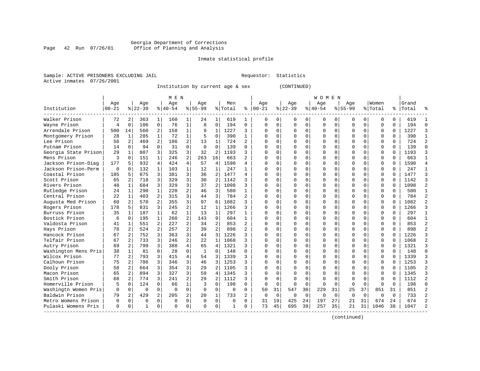#### Georgia Department of Corrections Page 42 Run 07/26/01 Office of Planning and Analysis

# Inmate statistical profile

|  | Sample: ACTIVE PRISONERS EXCLUDING JAII |  |
|--|-----------------------------------------|--|
|  | Active inmates 07/26/2001               |  |

L Bample: Active Prequestor: Statistics

Institution by current age & sex (CONTINUED)

|                      |             |                |          |                | M E N       |                |              |                |              |                |          |             |           |             | W O M E N |             |              |              |          |          |           |            |
|----------------------|-------------|----------------|----------|----------------|-------------|----------------|--------------|----------------|--------------|----------------|----------|-------------|-----------|-------------|-----------|-------------|--------------|--------------|----------|----------|-----------|------------|
|                      | Age         |                | Age      |                | Age         |                | Age          |                | Men          |                | Age      |             | Age       |             | Age       |             | Aqe          |              | Women    |          | Grand     |            |
| Institution          | $00 - 21$   |                | $ 22-39$ |                | $8 40-54$   |                | $8 55-99$    |                | % Total      | ႜ              | $ 00-21$ |             | $8 22-39$ |             | $ 40-54$  |             | $8 55-99$    |              | % Total  |          | %   Total |            |
| Walker Prison        | 72          | 2              | 363      | 1              | 160         |                | 24           |                | 619          | 1              | $\Omega$ | 0           | $\Omega$  | $\Omega$    | 0         | 0           | 0            | $\Omega$     | O        | 0        | 619       |            |
| Wayne Prison         | 4           | $\Omega$       | 106      | 0              | 76          | 1              | 8            | $\Omega$       | 194          | $\Omega$       | $\Omega$ | 0           | $\Omega$  | $\Omega$    | $\Omega$  | $\Omega$    | $\Omega$     | $\Omega$     | $\Omega$ | $\Omega$ | 194       | $\sqrt{ }$ |
| Arrendale Prison     | 500         | 14             | 560      | 2              | 158         | 1              | 9            | $\mathbf{1}$   | 1227         | 3              | $\Omega$ | 0           | $\Omega$  | $\Omega$    | O         | $\Omega$    | <sup>0</sup> | $\Omega$     | $\Omega$ | $\Omega$ | 1227      |            |
| Montgomery Prison    | 28          | 1              | 285      | $\mathbf{1}$   | 72          | $\mathbf{1}$   | 5            | $\Omega$       | 390          | 1              | O        | 0           | $\Omega$  | $\Omega$    | $\Omega$  | $\Omega$    | <sup>0</sup> | $\Omega$     | $\Omega$ | $\Omega$ | 390       |            |
| Lee Prison           | 56          | 2              | 469      | 2              | 186         | $\overline{a}$ | 13           | 1              | 724          | 2              | O        | $\Omega$    | $\Omega$  | $\mathbf 0$ | O         | $\Omega$    |              | $\Omega$     | $\Omega$ | $\Omega$ | 724       |            |
| Putnam Prison        | 14          | $\Omega$       | 94       | $\Omega$       | 31          | 0              | $\mathbf 0$  | $\Omega$       | 139          | $\Omega$       |          | $\Omega$    |           | $\mathbf 0$ | ი         | $\Omega$    |              | $\Omega$     | $\Omega$ | $\Omega$ | 139       |            |
| Georgia State Prison | 29          | 1              | 807      | 3              | 325         | 3              | 32           | 2              | 1193         | 3              | $\cap$   | $\Omega$    | $\Omega$  | $\Omega$    | U         | $\Omega$    | $\cap$       | $\Omega$     | $\Omega$ | $\Omega$ | 1193      |            |
| Mens Prison          | 3           | $\Omega$       | 151      | $\mathbf{1}$   | 246         | $\overline{2}$ | 263          | 16             | 663          | $\mathfrak{D}$ | $\cap$   | 0           | ∩         | $\Omega$    | U         | $\Omega$    | ∩            | 0            | O        | $\Omega$ | 663       |            |
| Jackson Prison-Diag  | 177         | 5              | 932      | 4              | 424         | $\overline{4}$ | 57           | 4              | 1590         | 4              | $\Omega$ | 0           | $\Omega$  | $\Omega$    | 0         | $\Omega$    | <sup>0</sup> | 0            | O        | 0        | 1590      |            |
| Jackson Prison-Perm  | $\mathbf 0$ | 0              | 132      | 1              | 103         | 1              | 12           | 1              | 247          |                | U        | 0           | $\Omega$  | $\Omega$    | 0         | U           |              | 0            | 0        | O        | 247       |            |
| Coastal Prison       | 185         | 5              | 875      | 3              | 381         | 3              | 36           | 2              | 1477         | 4              | n        | U           | $\Omega$  | $\Omega$    | U         | C           | ∩            | <sup>n</sup> | $\Omega$ | $\Omega$ | 1477      |            |
| Scott Prison         | 65          | 2              | 718      | 3              | 329         | 3              | 30           | $\overline{2}$ | 1142         | 3              | n        | 0           | ∩         | $\Omega$    | U         | ∩           | ∩            | 0            | O        | $\Omega$ | 1142      |            |
| Rivers Prison        | 48          | $\mathbf{1}$   | 684      | 3              | 329         | 3              | 37           | $\mathfrak{D}$ | 1098         | 3              | U        | 0           | $\Omega$  | $\Omega$    | 0         | ∩           | <sup>0</sup> | 0            | O        | $\Omega$ | 1098      |            |
| Rutledge Prison      | 24          | 1              | 290      | $\mathbf{1}$   | 220         | $\overline{a}$ | 46           | 3              | 580          | $\mathbf{1}$   | O        | 0           | $\Omega$  | $\Omega$    | 0         | $\Omega$    |              | $\Omega$     | 0        | $\Omega$ | 580       |            |
| Central Prison       | 22          | 1              | 403      | $\overline{a}$ | 315         | 3              | 44           | 3              | 784          | $\overline{a}$ | C        | 0           | $\Omega$  | $\Omega$    | 0         | $\Omega$    | <sup>0</sup> | $\Omega$     | $\Omega$ | $\Omega$ | 784       |            |
| Augusta Med Prison   | 60          | 2              | 570      | 2              | 355         | 3              | 97           | 6              | 1082         | 3              | $\Omega$ | 0           | $\Omega$  | $\Omega$    | U         | $\Omega$    | $\cap$       | $\Omega$     | $\Omega$ | $\Omega$ | 1082      |            |
| Rogers Prison        | 178         | .5             | 831      | 3              | 245         | $\overline{a}$ | 12           | 1              | 1266         | 3              | $\Omega$ | 0           | $\Omega$  | $\Omega$    | O         | $\Omega$    | $\cap$       | $\Omega$     | $\Omega$ | $\Omega$ | 1266      |            |
| Burruss Prison       | 35          | 1              | 187      | $\mathbf{1}$   | 62          | $\mathbf 1$    | 13           | 1              | 297          |                | $\Omega$ | 0           | $\Omega$  | $\Omega$    | 0         | $\Omega$    | $\Omega$     | $\Omega$     | $\Omega$ | $\Omega$ | 297       |            |
| Bostick Prison       | 6           | 0              | 195      | 1              | 260         | 2              | 143          | 9              | 604          | 1              | O        | 0           | $\Omega$  | $\Omega$    | U         | $\Omega$    |              | $\Omega$     | $\Omega$ | O        | 604       |            |
| Valdosta Prison      | 41          | 1              | 551      | 2              | 227         | 2              | 34           | 2              | 853          | 2              | $\Omega$ | 0           | $\Omega$  | $\Omega$    | $\Omega$  | $\Omega$    | $\cap$       | $\Omega$     | $\Omega$ | O        | 853       |            |
| Hays Prison          | 78          | $\overline{a}$ | 524      | $\mathfrak{D}$ | 257         | $\overline{a}$ | 39           | $\mathfrak{D}$ | 898          | 2              | $\cap$   | $\Omega$    | $\Omega$  | $\Omega$    | O         | ∩           | $\cap$       | $\cap$       | $\cap$   | $\Omega$ | 898       |            |
| Hancock Prison       | 67          | $\overline{a}$ | 752      | 3              | 363         | 3              | 44           | 3              | 1226         | 3              | U        | $\Omega$    | ∩         | $\Omega$    | U         | ∩           | ∩            | $\Omega$     | $\Omega$ | $\Omega$ | 1226      |            |
| Telfair Prison       | 67          | 2              | 733      | 3              | 246         | $\overline{2}$ | 22           | $\mathbf{1}$   | 1068         | 3              | O        | 0           | $\Omega$  | $\mathbf 0$ | 0         | $\Omega$    | <sup>0</sup> | $\Omega$     | $\Omega$ | $\Omega$ | 1068      |            |
| Autry Prison         | 69          | 2              | 799      | 3              | 388         | 4              | 65           | $\overline{4}$ | 1321         | 3              | O        | 0           |           | $\mathbf 0$ | ი         | $\Omega$    |              | $\Omega$     | $\Omega$ | $\Omega$ | 1321      |            |
| Washington Mens Pris | 38          | $\mathbf{1}$   | 81       | $\Omega$       | 28          | 0              | $\mathbf{1}$ | $\Omega$       | 148          | $\Omega$       | $\cap$   | 0           | $\Omega$  | $\Omega$    | U         | $\Omega$    | $\cap$       | $\Omega$     | $\Omega$ | $\Omega$ | 148       | $\cap$     |
| Wilcox Prison        | 77          | 2              | 793      | 3              | 415         | 4              | 54           | 3              | 1339         | 3              | $\cap$   | 0           | $\Omega$  | $\Omega$    | 0         | $\Omega$    | ∩            | 0            | 0        | 0        | 1339      |            |
| Calhoun Prison       | 75          | 2              | 786      | 3              | 346         | 3              | 46           | 3              | 1253         | 3              | U        | 0           | $\Omega$  | $\Omega$    | 0         | O           | <sup>0</sup> | 0            | 0        | 0        | 1253      |            |
| Dooly Prison         | 58          | $\mathfrak{D}$ | 664      | 3              | 354         | 3              | 29           | 2              | 1105         | 3              | U        | 0           | $\Omega$  | $\Omega$    | U         | U           |              | 0            | O        | U        | 1105      |            |
| Macon Prison         | 65          | $\overline{2}$ | 894      | 3              | 327         | 3              | 59           | $\overline{4}$ | 1345         | 3              |          | U           | $\Omega$  | $\Omega$    | $\Omega$  | C           |              | $\Omega$     | $\Omega$ | U        | 1345      |            |
| Smith Prison         | 68          | $\mathfrak{D}$ | 774      | 3              | 241         | $\overline{2}$ | 29           | $\mathfrak{D}$ | 1112         | 3              | $\Omega$ | O           | $\Omega$  | $\Omega$    | $\Omega$  | C           | $\cap$       | $\Omega$     | $\Omega$ | U        | 1112      |            |
| Homerville Prison    |             | $\Omega$       | 124      | $\Omega$       | 66          | $\mathbf{1}$   | 3            | $\Omega$       | 198          | $\Omega$       | $\Omega$ | $\Omega$    | $\Omega$  | $\Omega$    | $\Omega$  | $\Omega$    | $\Omega$     | $\Omega$     | $\Omega$ | $\Omega$ | 198       | U          |
| Washingtn Women Pris | 0           | $\mathbf 0$    | $\Omega$ | $\Omega$       | $\Omega$    | $\Omega$       | $\Omega$     | $\Omega$       | $\Omega$     | $\Omega$       | 50       | 31          | 547       | 30          | 229       | 31          | 25           | 37           | 851      | 31       | 851       |            |
| Baldwin Prison       | 79          | 2              | 429      | 2              | 205         | 2              | 20           | 1              | 733          | 2              | 0        | $\mathbf 0$ | 0         | 0           | 0         | $\mathbf 0$ | $\Omega$     | $\Omega$     | $\Omega$ | $\Omega$ | 733       |            |
| Metro Womens Prison  | 0           | 0              | $\Omega$ | $\Omega$       | $\mathbf 0$ | 0              | $\Omega$     | $\mathbf 0$    | $\Omega$     | $\Omega$       | 31       | 19          | 425       | 24          | 197       | 27          | 21           | 31           | 674      | 24       | 674       |            |
| Pulaski Womens Pris  | $\Omega$    | 0              | 1        | 0              | $\cap$      | 0              | ∩            | 0              | $\mathbf{1}$ | 0              | 73       | 45          | 695       | 39          | 257       | 35          | 21           | 31           | 1046     | 38       | 1047      |            |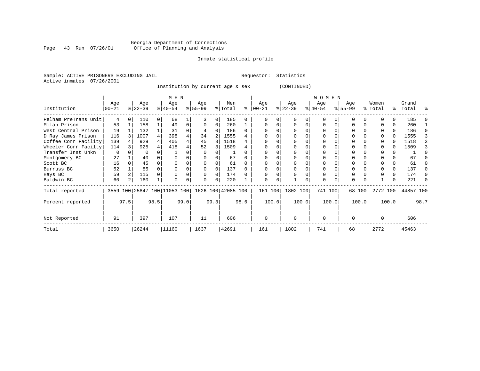# Georgia Department of Corrections Page 43 Run 07/26/01 Office of Planning and Analysis

## Inmate statistical profile

Sample: ACTIVE PRISONERS EXCLUDING JAIL **Requestor:** Statistics Active inmates 07/26/2001

Institution by current age & sex (CONTINUED)

|                      |                   |      |                  |      | M E N                        |      |                 |          |                    |      |                  |          |                  |       | <b>WOMEN</b>     |          |                    |        |                  |       |                    |      |
|----------------------|-------------------|------|------------------|------|------------------------------|------|-----------------|----------|--------------------|------|------------------|----------|------------------|-------|------------------|----------|--------------------|--------|------------------|-------|--------------------|------|
| Institution          | Age<br>$ 00 - 21$ |      | Age<br>$ 22-39 $ |      | Age<br>$8140 - 54$           |      | Age<br>$ 55-99$ |          | Men<br>% Total     | ⊱    | Age<br>$00 - 21$ |          | Age<br>$ 22-39 $ |       | Age<br>$ 40-54 $ |          | Age<br>$8155 - 99$ |        | Women<br>% Total |       | Grand<br>%   Total | ႜ    |
|                      |                   |      |                  |      |                              |      |                 |          |                    |      |                  |          |                  |       |                  |          |                    |        |                  |       |                    |      |
| Pelham PreTrans Unit | 4                 |      | 110              |      | 68                           |      |                 | 0        | 185                |      |                  |          |                  |       | $\Omega$         |          |                    |        |                  |       | 185                |      |
| Milan Prison         | 53                |      | 158              |      | 49                           |      |                 | 0        | 260                |      |                  |          |                  |       | $\Omega$         |          |                    |        |                  | 0     | 260                |      |
| West Central Prison  | 19                |      | 132              |      | 31                           |      |                 |          | 186                |      |                  |          |                  |       |                  |          |                    |        |                  | U     | 186                |      |
| D Ray James Prison   | 116               |      | 1007             |      | 398                          |      | 34              |          | 1555               |      |                  |          |                  |       |                  |          |                    |        |                  | U     | 1555               |      |
| Coffee Corr Facility | 139               |      | 929              |      | 405                          |      | 45              | 3        | 1518               |      |                  |          |                  |       |                  |          |                    |        |                  |       | 1518               |      |
| Wheeler Corr Facilty | 114               |      | 925              |      | 418                          |      | 52              |          | 1509               |      |                  |          |                  |       |                  |          |                    |        |                  |       | 1509               |      |
| Transfer Inst Unkn   | 0                 |      |                  |      |                              |      |                 |          |                    |      |                  |          |                  |       |                  |          |                    |        |                  |       |                    |      |
| Montgomery BC        | 27                |      | 40               |      |                              |      |                 |          | 67                 |      |                  |          |                  |       |                  |          |                    |        |                  |       | 67                 |      |
| Scott BC             | 16                |      | 45               |      |                              |      |                 |          | 61                 |      |                  |          |                  |       |                  |          |                    |        |                  |       | 61                 |      |
| Burruss BC           | 52                |      | 85               |      |                              |      |                 |          | 137                |      |                  |          |                  |       |                  |          |                    |        |                  |       | 137                |      |
| Hays BC              | 59                |      | 115              |      |                              |      |                 | 0        | 174                |      |                  |          |                  |       |                  |          |                    |        |                  |       | 174                |      |
| Baldwin BC           | 60                |      | 160              |      |                              |      | U               | $\Omega$ | 220                |      | O                | $\Omega$ |                  |       | $\Omega$         | $\Omega$ | $\Omega$           |        |                  |       | 221                |      |
| Total reported       |                   |      |                  |      | 3559 100 25847 100 11053 100 |      |                 |          | 1626 100 42085 100 |      | 161 100          |          | 1802 100         |       | 741 100          |          |                    | 68 100 | 2772 100         |       | 44857 100          |      |
| Percent reported     |                   | 97.5 |                  | 98.5 |                              | 99.0 |                 | 99.3     |                    | 98.6 |                  | 100.0    |                  | 100.0 |                  | 100.0    |                    | 100.0  |                  | 100.0 |                    | 98.7 |
| Not Reported         | 91                |      | 397              |      | 107                          |      | 11              |          | 606                |      | $\Omega$         |          | $\Omega$         |       | $\Omega$         |          | $\Omega$           |        |                  |       | 606                |      |
| Total                | 3650              |      | 26244            |      | 11160                        |      | 1637            |          | 42691              |      | 161              |          | 1802             |       | 741              |          | 68                 |        | 2772             |       | 45463              |      |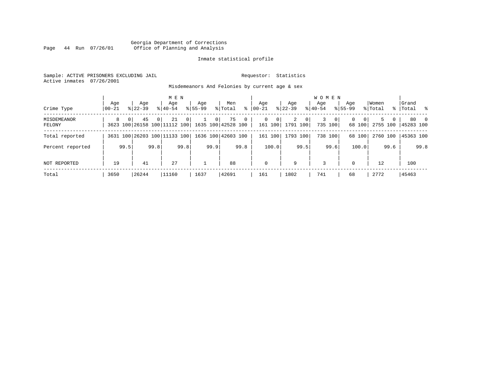# Georgia Department of Corrections Page 44 Run 07/26/01 Office of Planning and Analysis

# Inmate statistical profile

Sample: ACTIVE PRISONERS EXCLUDING JAIL **Requestor:** Statistics Active inmates 07/26/2001

Misdemeanors And Felonies by current age & sex

| Crime Type                   | Age<br>  00-21 |          | Aqe<br>$8122 - 39$                                    |          | M E N<br>Aqe<br>$8140 - 54$ |                | Aqe<br>$8155 - 99$ |                | Men<br>% Total     | ွေ           | Aqe<br>$00 - 21$ |                        | Aqe<br>$ 22-39 $ |                | <b>WOMEN</b><br>Aqe<br>$ 40-54 $ |                         | Age<br>$8155 - 99$ |                    | Women<br>% Total |            | Grand<br>% Total % |                |
|------------------------------|----------------|----------|-------------------------------------------------------|----------|-----------------------------|----------------|--------------------|----------------|--------------------|--------------|------------------|------------------------|------------------|----------------|----------------------------------|-------------------------|--------------------|--------------------|------------------|------------|--------------------|----------------|
| <b>MISDEMEANOR</b><br>FELONY | 8              | $\Omega$ | 45<br>3623 100 26158 100 11112 100 1635 100 42528 100 | $\Omega$ | 21                          | $\overline{0}$ |                    | 0 <sup>1</sup> | 75                 | $\mathbf{0}$ | $\mathbf{0}$     | $\mathbf 0$<br>161 100 | 2<br>1791 100    | 0 <sup>1</sup> | 3                                | $\mathbf{0}$<br>735 100 | $\Omega$           | $\Omega$<br>68 100 | 2755 100         | $5 -$<br>0 | 80<br>45283 100    | $\overline{0}$ |
| Total reported               |                |          | 3631 100 26203 100 11133 100                          |          |                             |                |                    |                | 1636 100 42603 100 |              | 161              | 100                    |                  | 1793 100       |                                  | 738 100                 |                    | 68 100             | 2760 100         |            | 45363 100          |                |
| Percent reported             |                | 99.5     |                                                       | 99.8     |                             | 99.8           |                    | 99.9           |                    | 99.8         |                  | 100.0                  |                  | 99.5           |                                  | 99.6                    |                    | 100.0              |                  | 99.6       |                    | 99.8           |
| NOT REPORTED                 | 19             |          | 41                                                    |          | 27                          |                |                    |                | 88                 |              | $\mathbf 0$      |                        | 9                |                | 3                                |                         | $\Omega$           |                    | 12               |            | 100                |                |
| Total                        | 3650           |          | 26244                                                 |          | 11160                       |                | 1637               |                | 42691              |              | 161              |                        | 1802             |                | 741                              |                         | 68                 |                    | 2772             |            | 45463              |                |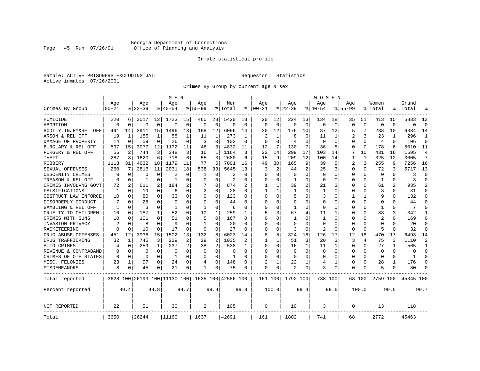# Georgia Department of Corrections<br>Page 45 Run 07/26/01 Office of Planning and Analysis Page 45 Run 07/26/01 Office of Planning and Analysis

## Inmate statistical profile

Sample: ACTIVE PRISONERS EXCLUDING JAIL **Requestor:** Statistics Active inmates 07/26/2001

Crimes By Group by current age & sex

|                      |           |                |           |          | M E N                        |          |                |              |                    |                |              |          |             |          | W O M E N    |             |             |             |                |          |              |                |
|----------------------|-----------|----------------|-----------|----------|------------------------------|----------|----------------|--------------|--------------------|----------------|--------------|----------|-------------|----------|--------------|-------------|-------------|-------------|----------------|----------|--------------|----------------|
|                      | Age       |                | Age       |          | Age                          |          | Aqe            |              | Men                |                | Age          |          | Aqe         |          | Age          |             | Aqe         |             | Women          |          | Grand        |                |
| Crimes By Group      | $00 - 21$ |                | $8 22-39$ |          | $8140 - 54$                  |          | $8155 - 99$    |              | % Total            | ి              | $ 00-21$     |          | $8122 - 39$ |          | $8140 - 54$  |             | $8155 - 99$ |             | % Total        | ి        | Total        |                |
| HOMICIDE             | 220       | 6              | 3017      | 12       | 1723                         | 15       | 460            | 28           | 5420               | 13             | 20           | 12       | 224         | 13       | 134          | 18          | 35          | 51          | 413            | 15       | 5833         | 13             |
| ABORTION             | $\Omega$  | $\mathbf 0$    | 0         | 0        | $\Omega$                     | 0        | 0              | 0            | $\Omega$           | $\Omega$       | $\Omega$     | $\Omega$ | $\mathbf 0$ | 0        | $\Omega$     | $\mathbf 0$ | $\Omega$    | $\mathbf 0$ | $\Omega$       | $\Omega$ | $\Omega$     | $\Omega$       |
| BODILY INJRY&REL OFF | 491       | 14             | 3911      | 15       | 1496                         | 13       | 198            | 12           | 6096               | 14             | 20           | 12       | 176         | 10       | 87           | 12          | 5           | 7           | 288            | 10       | 6384         | 14             |
| ARSON & REL OFF      | 19        | 1              | 185       | 1        | 58                           | 1        | 11             | 1            | 273                | 1              | 2            |          | 8           | 0        | 11           | 1           | 2           | 3           | 23             | 1        | 296          | 1              |
| DAMAGE OF PROPERTY   | 14        | $\Omega$       | 59        | $\Omega$ | 26                           | $\Omega$ | 3              | $\Omega$     | 102                | $\Omega$       | $\Omega$     | $\Omega$ | 4           | $\Omega$ | $\Omega$     | $\Omega$    | O           | $\Omega$    | $\overline{4}$ | $\Omega$ | 106          | $\Omega$       |
| BURGLARY & REL OFF   | 537       | 15             | 3077      | 12       | 1172                         | 11       | 46             | 3            | 4832               | 11             | 12           | 7        | 130         | 7        | 36           | 5           | $\Omega$    | 0           | 178            | 6        | 5010         | 11             |
| FORGERY & REL OFF    | 56        | $\overline{2}$ | 744       | 3        | 348                          | 3        | 16             | $\mathbf{1}$ | 1164               | 3              | 22           | 14       | 299         | 17       | 103          | 14          | 7           | 10          | 431            | 16       | 1595         | 4              |
| THEFT                | 287       | 8              | 1620      | 6        | 718                          | 6        | 55             | 3            | 2680               | 6              | 15           | 9        | 209         | 12       | 100          | 14          | 1           | 1           | 325            | 12       | 3005         | 7              |
| <b>ROBBERY</b>       | 1113      | 31             | 4632      | 18       | 1179                         | 11       | 77             | 5            | 7001               | 16             | 49           | 30       | 165         | 9        | 39           | 5           | 2           | 3           | 255            | 9        | 7256         | 16             |
| SEXUAL OFFENSES      | 260       | 7              | 2816      | 11       | 2031                         | 18       | 538            | 33           | 5645               | 13             | 3            | 2        | 44          | 2        | 25           | 3           | Ω           | 0           | 72             | 3        | 5717         | 13             |
| OBSCENITY CRIMES     | $\Omega$  | $\Omega$       | U         | 0        |                              | O        | 1              | 0            | 3                  | U              | ∩            | ∩        | $\Omega$    | 0        | <sup>0</sup> | $\Omega$    | U           | 0           | $\Omega$       | 0        | 3            | $\Omega$       |
| TREASON & REL OFF    | $\Omega$  | 0              | -1        | 0        | 1                            | $\Omega$ | 0              | 0            | 2                  | O              | O            | $\Omega$ | 1           | 0        | 0            | $\Omega$    | 0           | $\Omega$    | 1              | $\Omega$ | 3            | $\Omega$       |
| CRIMES INVOLVNG GOVT | 72        | 2              | 611       | 2        | 184                          | 2        |                | 0            | 874                | $\overline{c}$ |              |          | 39          | 2        | 21           | 3           | 0           | 0           | 61             | 2        | 935          | $\overline{2}$ |
| FALSIFICATIONS       | 1         | $\Omega$       | 19        | 0        | 6                            | $\Omega$ | $\overline{2}$ | $\Omega$     | 28                 | $\Omega$       | $\mathbf{1}$ |          | 1           | $\Omega$ | $\mathbf{1}$ | $\Omega$    | 0           | 0           | 3              | $\Omega$ | 31           | $\Omega$       |
| OBSTRUCT LAW ENFORCE | 10        | $\Omega$       | 80        | 0        | 33                           | 0        | <sup>0</sup>   | $\Omega$     | 123                | O              | $\Omega$     | $\Omega$ | 5           | O        | 3            | 0           |             | 1           | 9              | O        | 132          | $\Omega$       |
| DISORDERLY CONDUCT   |           | $\Omega$       | 28        | 0        | q                            | O        | O              | 0            | 44                 |                | ∩            |          | 0           | N        |              | O           | Ω           | U           | $\Omega$       |          | 44           | $\Omega$       |
| GAMBLING & REL OFF   | 1         | $\Omega$       | ς         | 0        | -1                           | O        | 1              | $\Omega$     | 6                  | U              | ∩            | ∩        | -1          | O        | <sup>0</sup> | ∩           | U           | 0           | -1             | U        | 7            | $\cap$         |
| CRUELTY TO CHILDREN  | 10        | 0              | 187       | 1        | 52                           | $\Omega$ | 10             | 1            | 259                | -1             | 5            | 3        | 67          | 4        | 11           | 1           | U           | $\Omega$    | 83             | 3        | 342          | 1              |
| CRIMES WITH GUNS     | 10        | 0              | 101       | 0        | 51                           | $\Omega$ | 5              | 0            | 167                | 0              | $\Omega$     | $\Omega$ | 1           | O        | $\mathbf{1}$ | 0           | 0           | 0           | $\overline{c}$ | $\Omega$ | 169          | $\Omega$       |
| INVASION PRIVACY     |           | $\Omega$       | 8         | $\Omega$ | 9                            | $\Omega$ | $\mathbf{1}$   | 0            | 20                 | U              | $\Omega$     | $\Omega$ | $\Omega$    | O        | <sup>0</sup> | $\Omega$    | $\Omega$    | $\Omega$    | $\Omega$       | 0        | 20           | $\Omega$       |
| RACKETEERING         | $\Omega$  | 0              | 10        | 0        | 17                           | O        | $\Omega$       | $\Omega$     | 27                 | $\Omega$       | $\Omega$     | $\Omega$ | 3           | 0        | 2            | $\Omega$    | 0           | $\Omega$    | 5              | O        | 32           | $\Omega$       |
| DRUG ABUSE OFFENSES  | 451       | 12             | 3938      | 15       | 1502                         | 13       | 132            | 8            | 6023               | 14             | 8            | 5        | 324         | 18       | 126          | 17          | 12          | 18          | 470            | 17       | 6493         | 14             |
| DRUG TRAFFICKING     | 32        | 1              | 745       | 3        | 229                          | 2        | 29             | 2            | 1035               |                |              |          | 51          | 3        | 20           | 3           | 3           | 4           | 75             | ζ        | 1110         | $\overline{2}$ |
| AUTO CRIMES          | 4         | 0              | 259       | 1        | 237                          | 2        | 38             | 2            | 538                | 1              | $\Omega$     | $\Omega$ | 16          | 1        | 11           | 1           | 0           | 0           | 27             | 1        | 565          | 1              |
| REVENUE & CONTRABAND |           | 0              | 0         | 0        | $\Omega$                     | $\Omega$ | 0              | 0            | 0                  | $\Omega$       | $\Omega$     | $\Omega$ | $\mathbf 0$ | 0        | 0            | 0           | 0           | 0           | $\Omega$       | $\Omega$ | $\Omega$     | $\Omega$       |
| CRIMES OF OTH STATES | $\Omega$  | 0              | $\Omega$  | 0        | 1                            | 0        | O              | 0            | $\mathbf{1}$       | $\Omega$       | $\Omega$     | $\Omega$ | 0           | $\Omega$ | <sup>0</sup> | 0           | 0           | 0           | $\Omega$       | $\Omega$ | $\mathbf{1}$ | $\Omega$       |
| MISC. FELONIES       | 23        | 1              | 97        | 0        | 24                           | $\Omega$ | 4              | $\Omega$     | 148                | O              |              |          | 22          | 1        | 4            | 1           | 0           | $\Omega$    | 28             |          | 176          | $\Omega$       |
| MISDEMEANORS         | 8         | 0              | 45        | 0        | 21                           | 0        | 1              | 0            | 75                 | 0              | $\Omega$     | 0        | 2           | 0        | 3            | 0           | 0           | 0           | 5              |          | 80           | $\Omega$       |
| Total reported       |           |                |           |          | 3628 100 26193 100 11130 100 |          |                |              | 1635 100 42586 100 |                | 161 100      |          | 1792 100    |          | 738 100      |             |             | 68 100      | 2759 100       |          | 45345 100    |                |
| Percent reported     |           | 99.4           |           | 99.8     |                              | 99.7     |                | 99.9         |                    | 99.8           |              | 100.0    |             | 99.4     |              | 99.6        |             | 100.0       |                | 99.5     |              | 99.7           |
| <b>NOT REPORTED</b>  | 22        |                | 51        |          | 30                           |          | 2              |              | 105                |                | $\Omega$     |          | 10          |          | 3            |             | 0           |             | 13             |          | 118          |                |
| Total                | 3650      |                | 26244     |          | 11160                        |          | 1637           |              | 42691              |                | 161          |          | 1802        |          | 741          |             | 68          |             | 2772           |          | 45463        |                |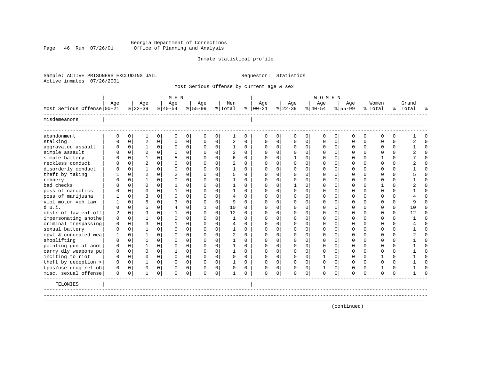# Georgia Department of Corrections Page 46 Run 07/26/01 Office of Planning and Analysis

## Inmate statistical profile

Sample: ACTIVE PRISONERS EXCLUDING JAIL **Requestor:** Statistics Active inmates 07/26/2001

Most Serious Offense by current age & sex

|                            |             |                |                |                | M E N       |                |             |                |                |              |               |             |              |             | <b>WOMEN</b> |             |          |             |          |          |           |          |
|----------------------------|-------------|----------------|----------------|----------------|-------------|----------------|-------------|----------------|----------------|--------------|---------------|-------------|--------------|-------------|--------------|-------------|----------|-------------|----------|----------|-----------|----------|
|                            | Age         |                | Age            |                | Age         |                | Age         |                | Men            |              | Age           |             | Age          |             | Age          |             | Age      |             | Women    |          | Grand     |          |
| Most Serious Offense 00-21 |             |                | $ 22-39 $      |                | $8 40-54$   |                | $8 55-99$   |                | % Total        |              | $8   00 - 21$ |             | $ 22-39 $    |             | $8 40-54$    |             | $ 55-99$ |             | % Total  |          | %   Total |          |
| Misdemeanors               |             |                |                |                |             |                |             |                |                |              |               |             |              |             |              |             |          |             |          |          |           |          |
| abandonment                | $\Omega$    | $\circ$        | 1              | $\overline{0}$ | $\mathbf 0$ | $\circ$        | 0           | 0              | 1              | 0            | 0             | 0           | 0            | 0           | 0            | 0           | 0        | 0           | $\Omega$ | $\Omega$ |           | $\Omega$ |
| stalking                   |             | $\Omega$       | 2              | $\overline{0}$ | $\Omega$    | 0              | $\Omega$    | 0              | $\sqrt{2}$     | $\Omega$     | $\Omega$      | $\Omega$    | 0            | 0           | $\Omega$     | $\mathbf 0$ | $\Omega$ | $\mathbf 0$ | $\Omega$ | $\Omega$ |           | $\Omega$ |
| aggravated assault         | O           | 0 <sup>1</sup> | $\mathbf{1}$   | 0              | $\mathbf 0$ | 0              | $\Omega$    | 0              | 1              | $\Omega$     | $\Omega$      | 0           | 0            | 0           | 0            | $\mathbf 0$ | 0        | $\mathbf 0$ | $\Omega$ | 0        |           | $\Omega$ |
| simple assault             |             | $\Omega$       | 2              | $\Omega$       | $\Omega$    | 0              | $\Omega$    | 0              | $\overline{2}$ | $\Omega$     | $\Omega$      | $\Omega$    | $\Omega$     | 0           | $\Omega$     | $\mathbf 0$ | U        | $\Omega$    | ∩        | $\Omega$ |           | $\cap$   |
| simple battery             |             | $\Omega$       |                | 0              | 5           | $\Omega$       | $\Omega$    | 0              | 6              | $\Omega$     | $\Omega$      | $\Omega$    |              | 0           | $\Omega$     | $\Omega$    | U        | $\Omega$    |          | $\Omega$ |           | $\Omega$ |
| reckless conduct           |             | $\Omega$       | $\overline{2}$ | 0              | $\cap$      | $\Omega$       | $\Omega$    | 0              |                | $\Omega$     | $\Omega$      | $\Omega$    | <sup>0</sup> | 0           | $\Omega$     | $\Omega$    | U        | $\Omega$    | $\Omega$ | $\Omega$ |           | $\Omega$ |
| disorderly conduct         |             | $\Omega$       |                | 0              | $\Omega$    | $\Omega$       | $\Omega$    | 0              |                | <sup>0</sup> | $\Omega$      | $\Omega$    | O            | 0           | O            | $\Omega$    | U        | $\Omega$    | ∩        | $\Omega$ |           | $\Omega$ |
| theft by taking            |             | $\Omega$       | 2              | 0              |             | $\Omega$       | $\Omega$    | 0              |                | <sup>n</sup> | $\Omega$      |             | <sup>0</sup> | 0           | $\Omega$     | $\Omega$    |          | $\Omega$    | ∩        | $\Omega$ |           | $\Omega$ |
| robbery                    |             | <sup>0</sup>   |                | 0              | $\cap$      | 0              | $\Omega$    | 0              |                | <sup>n</sup> |               |             | <sup>0</sup> | 0           |              | 0           |          | $\Omega$    | ∩        | 0        |           | $\Omega$ |
| bad checks                 |             | $\Omega$       | O              | $\Omega$       |             | $\Omega$       | $\Omega$    | 0              |                | U            |               |             |              | U           |              | $\Omega$    |          | $\Omega$    |          | $\Omega$ |           | $\Omega$ |
| poss of narcotics          |             | $\Omega$       | O              | $\Omega$       |             | $\Omega$       | U           | 0              |                | $\cap$       |               |             | ∩            | U           |              | $\Omega$    |          | $\Omega$    | ∩        | $\Omega$ |           | $\cap$   |
| poss of marijuana          |             | $\Omega$       |                | $\Omega$       | $\Omega$    | $\Omega$       | U           | 0              | $\overline{4}$ | $\cap$       | O             |             | $\Omega$     | U           |              | $\Omega$    |          | $\Omega$    | n        | $\Omega$ |           | $\cap$   |
| viol motor yeh law         |             | $\Omega$       | 5              | $\Omega$       | ঽ           | $\Omega$       | $\Omega$    | $\Omega$       | 9              | $\cap$       | ∩             |             | ∩            | U           |              | $\Omega$    |          | $\Omega$    |          | $\Omega$ |           | $\cap$   |
| d.u.i.                     |             | $\cap$         | 5              | $\Omega$       | 4           | $\Omega$       |             | 0              | 10             | $\Omega$     |               |             | ∩            | U           |              | $\Omega$    |          | $\Omega$    |          | $\Omega$ | 10        | $\Omega$ |
| obstr of law enf off       | 2           | $\Omega$       | 9              | 0              |             | 0              | $\Omega$    | 0              | 12             | $\Omega$     |               |             | $\Omega$     | U           |              | $\Omega$    | U        | $\Omega$    | ∩        | $\Omega$ | 12        | $\Omega$ |
| impersonating anothe       | 0           | $\Omega$       |                | <sup>n</sup>   | $\cap$      | 0              | U           | C.             | 1              | $\cap$       |               |             | ∩            | 0           |              | $\Omega$    | ∩        | $\Omega$    | ∩        | $\Omega$ |           | $\cap$   |
| criminal trespassing       | 0           | $\Omega$       | 3              | <sup>n</sup>   |             | 0              |             | 0              | 4              | <sup>n</sup> |               |             | ∩            | U           |              | $\Omega$    |          | $\Omega$    | ∩        | $\Omega$ |           | $\cap$   |
| sexual battery             | 0           | $\Omega$       |                | 0              | $\Omega$    | 0              | U           | 0              |                | $\Omega$     |               | $\Omega$    | <sup>0</sup> | O           |              | $\Omega$    |          | $\Omega$    | $\Omega$ | $\Omega$ |           | $\Omega$ |
| cpwl & concealed wea       |             | $\Omega$       |                | 0              | $\Omega$    | $\Omega$       | U           | 0              | 2              | $\Omega$     | O             |             | n            | O           |              | $\Omega$    | Ω        | $\Omega$    | ∩        | $\Omega$ |           | $\Omega$ |
| shoplifting                | O           | $\Omega$       |                | 0              | U           | 0              | U           | 0              |                | <sup>0</sup> |               | $\Omega$    | $\Omega$     | 0           |              | $\Omega$    | O        | $\Omega$    | ∩        | $\Omega$ |           | U        |
| pointing gun at anot       | 0           | $\overline{0}$ |                | $\Omega$       | $\Omega$    | $\Omega$       | U           | $\Omega$       | 1              | $\Omega$     | $\Omega$      | $\Omega$    | 0            | 0           |              | $\mathbf 0$ | 0        | $\Omega$    | $\Omega$ | $\Omega$ |           | $\cap$   |
| carry dly weapons pu       | 0           | $\overline{0}$ | 0              | $\Omega$       | 1           | $\Omega$       | U           | $\Omega$       | 1              | $\Omega$     | $\Omega$      | $\Omega$    | $\Omega$     | $\Omega$    |              | $\Omega$    | 0        | $\Omega$    | $\Omega$ | $\Omega$ |           | $\cap$   |
| inciting to riot           | O           | $\overline{0}$ | 0              | $\Omega$       | $\Omega$    | $\mathbf 0$    | U           | 0              | $\mathbf 0$    | $\Omega$     | $\Omega$      | $\Omega$    | 0            | $\Omega$    |              | $\mathbf 0$ | U        | $\Omega$    |          | $\Omega$ |           | $\cap$   |
| theft by deception <       | 0           | 0              |                | $\overline{0}$ | $\mathbf 0$ | $\overline{0}$ | 0           | $\overline{0}$ | 1              | $\Omega$     | $\Omega$      | $\Omega$    | $\mathbf 0$  | $\mathbf 0$ | 0            | $\mathbf 0$ | 0        | $\mathbf 0$ | $\Omega$ | $\Omega$ |           | $\cap$   |
| tpos/use drug rel ob       | $\mathbf 0$ | $\overline{0}$ | 0              | $\Omega$       | $\Omega$    | $\overline{0}$ | 0           | 0              |                | $\Omega$     | $\Omega$      | $\Omega$    | $\Omega$     | 0           |              | 0           | 0        | $\Omega$    |          | $\Omega$ |           | $\cap$   |
| misc. sexual offense       | $\Omega$    | 0              | $\mathbf{1}$   | 0              | $\mathbf 0$ | 0              | $\mathbf 0$ | 0              | $\mathbf{1}$   | $\Omega$     | $\mathbf 0$   | $\mathbf 0$ | $\mathbf 0$  | 0           | $\mathbf 0$  | $\mathbf 0$ | $\Omega$ | 0           | $\Omega$ | $\Omega$ |           | $\Omega$ |
| FELONIES                   |             |                |                |                |             |                |             |                |                |              |               |             |              |             |              |             |          |             |          |          |           |          |
|                            |             |                |                |                |             |                |             |                |                |              |               |             |              |             |              |             |          |             |          |          |           |          |
|                            |             |                |                |                |             |                |             |                |                |              |               |             |              |             |              |             |          |             |          |          |           |          |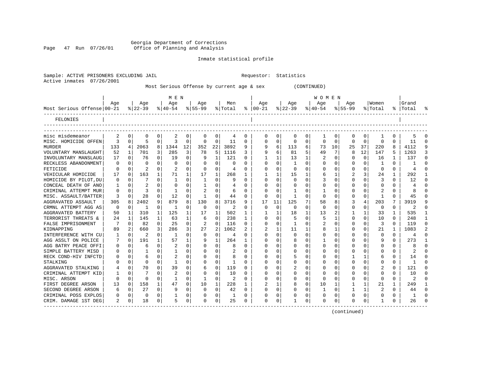Georgia Department of Corrections<br>Page 47 Run 07/26/01 Office of Planning and Analysis Page 47 Run 07/26/01 Office of Planning and Analysis

Sample: ACTIVE PRISONERS EXCLUDING JAIL **Requestor:** Statistics

## Inmate statistical profile

| Active inmates 07/26/2001               |             |              |                  |              |                  |              |                    |              |                                           |             |                      |             |                  |          |                  |          |                |             |                   |              |                    |  |
|-----------------------------------------|-------------|--------------|------------------|--------------|------------------|--------------|--------------------|--------------|-------------------------------------------|-------------|----------------------|-------------|------------------|----------|------------------|----------|----------------|-------------|-------------------|--------------|--------------------|--|
|                                         |             |              |                  |              |                  |              |                    |              | Most Serious Offense by current age & sex |             |                      |             |                  |          | (CONTINUED)      |          |                |             |                   |              |                    |  |
|                                         |             |              |                  |              | M E N            |              |                    |              |                                           |             |                      |             |                  |          | <b>WOMEN</b>     |          |                |             |                   |              |                    |  |
| Most Serious Offense 00-21              | Age         |              | Age<br>$8 22-39$ |              | Age<br>$8 40-54$ |              | Age<br>$8155 - 99$ |              | Men<br>% Total                            |             | Aqe<br>$8   00 - 21$ |             | Age<br>$ 22-39 $ |          | Age<br>$ 40-54 $ |          | Aqe<br>% 55-99 |             | Women <br>% Total |              | Grand<br>%   Total |  |
| FELONIES                                |             |              |                  |              |                  |              |                    |              |                                           |             |                      |             |                  |          |                  |          |                |             |                   |              |                    |  |
|                                         |             |              |                  |              |                  |              |                    |              |                                           |             |                      |             |                  |          |                  |          |                |             |                   |              |                    |  |
| misc misdemeanor                        | 2           | 0            | 0                | 0            | 2                | $\mathbf 0$  | 0                  | 0            | 4                                         | 0           | 0                    | 0           | $\mathbf 0$      | 0        | 1                | 0        | 0              | 0           | 1                 | 0            | 5                  |  |
| MISC. HOMICIDE OFFEN                    | 3           | $\Omega$     | 5                | $\Omega$     | 3                | $\Omega$     | $\Omega$           | $\Omega$     | 11                                        | $\Omega$    | $\Omega$             | $\Omega$    | $\Omega$         | $\Omega$ | $\Omega$         | $\Omega$ | $\Omega$       | $\Omega$    | $\Omega$          | $\Omega$     | 11                 |  |
| <b>MURDER</b>                           | 133         | 4            | 2063             | 8            | 1344             | 12           | 352                | 22           | 3892                                      | 9           | 9                    | 6           | 113              | 6        | 73               | 10       | 25             | 37          | 220               | 8            | 4112               |  |
| VOLUNTARY MANSLAUGHT                    | 52          | $\mathbf{1}$ | 701              | 3            | 285              | 3            | 78                 | 5            | 1116                                      | 3           | 9                    | 6           | 81               | 5        | 49               | 7        | R              | 12          | 147               | 5.           | 1263               |  |
| INVOLUNTARY MANSLAUG                    | 17          | $\Omega$     | 76               | 0            | 19               | $\Omega$     | 9                  | 1            | 121                                       | 0           | 1                    | 1           | 13               | 1        | $\overline{2}$   | 0        | 0              | $\mathbf 0$ | 16                | 1            | 137                |  |
| RECKLESS ABANDONMENT                    | 0           | $\Omega$     | 0                | $\mathbf{0}$ | 0                | $\Omega$     | 0                  | $\Omega$     | $\Omega$                                  | $\Omega$    | $\Omega$             | $\Omega$    | 1                | 0        | 0                | $\Omega$ | O              | $\Omega$    | 1                 | $\Omega$     | 1                  |  |
| FETICIDE                                | $\mathbf 0$ | 0            | 2                | $\mathbf 0$  | 2                | $\Omega$     | $\mathbf 0$        | 0            | 4                                         | $\Omega$    | $\Omega$             | $\Omega$    | $\mathbf 0$      | 0        | 0                | 0        | 0              | 0           | $\mathbf 0$       | $\mathbf{0}$ | 4                  |  |
| VEHICULAR HOMICIDE                      | 17          | $\Omega$     | 163              | 1            | 71               |              | 17                 | 1            | 268                                       | 1           |                      |             | 15               | 1        | 6                | 1        | 2              | 3           | 24                | $\mathbf{1}$ | 292                |  |
| HOMICIDE BY PILOT, DU                   | $\mathbf 0$ | $\Omega$     | 7                | $\Omega$     | 1                | $\Omega$     | 1                  | $\Omega$     | -9                                        | $\Omega$    | $\Omega$             | $\Omega$    | $\Omega$         | $\Omega$ | 3                | $\Omega$ | $\Omega$       | $\Omega$    | 3                 | $\Omega$     | 12                 |  |
| CONCEAL DEATH OF ANO                    | 1           | $\Omega$     | 2                | $\Omega$     | $\Omega$         | $\Omega$     | 1                  | $\Omega$     | 4                                         | $\Omega$    | $\Omega$             | $\Omega$    | $\mathbf 0$      | $\Omega$ | $\Omega$         | $\Omega$ | U              | $\Omega$    | $\Omega$          | $\Omega$     | 4                  |  |
| CRIMINAL ATTEMPT MUR                    | 0           | $\Omega$     | 3                | 0            | 1                | $\Omega$     | $\overline{2}$     | $\Omega$     | 6                                         | $\Omega$    | $\Omega$             | $\Omega$    | 1                | 0        |                  | $\Omega$ | 0              | 0           | $\overline{c}$    | $\Omega$     | 8                  |  |
| MISC. ASSAULT/BATTER                    | 3           | $\Omega$     | 28               | 0            | 12               | $\Omega$     | $\mathbf{1}$       | $\Omega$     | 44                                        | $\Omega$    | $\Omega$             | $\Omega$    | $\mathbf{1}$     | 0        | $\Omega$         | $\Omega$ | 0              | $\Omega$    | $\mathbf{1}$      | $\Omega$     | 45                 |  |
| AGGRAVATED ASSAULT                      | 305         | 8            | 2402             | 9            | 879              | 8            | 130                | 8            | 3716                                      | 9           | 17                   | 11          | 125              | 7        | 58               | 8        | 3              | 4           | 203               | 7            | 3919               |  |
| CRMNL ATTEMPT AGG AS                    | $\mathbf 0$ | $\Omega$     | 1                | $\mathbf 0$  | 1                | $\Omega$     | 0                  | $\Omega$     | 2                                         | $\Omega$    | $\Omega$             | $\Omega$    | 0                | $\Omega$ | $\Omega$         | $\Omega$ | $\Omega$       | $\Omega$    | $\mathbf 0$       | $\Omega$     | 2                  |  |
| AGGRAVATED BATTERY                      | 50          | 1            | 310              | 1            | 125              | $\mathbf{1}$ | 17                 | $\mathbf{1}$ | 502                                       | 1           | 1                    | 1           | 18               | 1        | 13               | 2        | 1              | 1           | 33                | $\mathbf{1}$ | 535                |  |
| TERRORIST THREATS &                     | 24          | $\mathbf{1}$ | 145              | $\mathbf{1}$ | 63               | $\mathbf{1}$ | 6                  | 0            | 238                                       | 1           | $\Omega$             | $\Omega$    | 5                | 0        | 5                | 1        | $\Omega$       | $\Omega$    | 10                | $\Omega$     | 248                |  |
| FALSE IMPRISONMENT                      | 7           | $\Omega$     | 82               | $\mathbf 0$  | 25               | $\Omega$     | 2                  | $\Omega$     | 116                                       | $\Omega$    | $\Omega$             | $\Omega$    | -1               | 0        | 2                | $\Omega$ | O              | 0           | 3                 | $\Omega$     | 119                |  |
| KIDNAPPING                              | 89          | 2            | 660              | 3            | 286              | 3            | 27                 | 2            | 1062                                      |             | $\overline{2}$       |             | 11               | 1        |                  | 1        | 0              | 0           | 21                | 1            | 1083               |  |
| INTERFERENCE WITH CU                    |             | $\Omega$     | 2                | $\Omega$     | $\mathbf{1}$     | $\Omega$     | $\Omega$           | $\Omega$     | 4                                         | $\Omega$    | $\Omega$             | $\Omega$    | $\Omega$         | $\Omega$ | $\Omega$         | $\Omega$ | O              | $\Omega$    | $\Omega$          | $\Omega$     | 4                  |  |
| AGG ASSLT ON POLICE                     | 7           | $\Omega$     | 191              | $\mathbf{1}$ | 57               | $\mathbf{1}$ | 9                  | $\mathbf{1}$ | 264                                       | 1           | $\Omega$             | $\Omega$    | 8                | $\Omega$ |                  | $\Omega$ | U              | $\Omega$    | 9                 | $\Omega$     | 273                |  |
| AGG BATRY PEACE OFFI                    | 0           | 0            | 6                | $\Omega$     | 2                | $\Omega$     | $\Omega$           | $\Omega$     | 8                                         | $\Omega$    | $\Omega$             | $\Omega$    | $\Omega$         | $\Omega$ | $\Omega$         | $\Omega$ | 0              | $\Omega$    | $\mathbf 0$       | $\Omega$     | 8                  |  |
| SIMPLE BATTERY MISD                     | 0           | $\Omega$     | 1                | $\Omega$     | 1                | $\Omega$     | $\Omega$           | 0            | 2                                         | $\Omega$    | $\Omega$             | $\Omega$    | $\Omega$         | 0        | 0                | $\Omega$ | 0              | 0           | $\Omega$          | $\Omega$     | $\mathfrak{D}$     |  |
| RECK COND-HIV INFCTD                    | 0           | $\Omega$     | 6                | 0            |                  | $\Omega$     | $\Omega$           | $\Omega$     |                                           | $\mathbf 0$ | $\Omega$             | $\Omega$    | 5                | 0        |                  | $\Omega$ |                | 1           | 6                 | 0            | 14                 |  |
| STALKING                                | O           | $\Omega$     | $\Omega$         | $\Omega$     | 1                | $\Omega$     | $\Omega$           | 0            | 1                                         | $\Omega$    | $\Omega$             | $\Omega$    | $\Omega$         | $\Omega$ | 0                | $\Omega$ | 0              | 0           | $\Omega$          | $\Omega$     | 1                  |  |
| AGGRAVATED STALKING                     | 4           | $\Omega$     | 70               | $\Omega$     | 39               | $\Omega$     | 6                  | $\Omega$     | 119                                       | $\Omega$    | $\Omega$             | $\Omega$    | 2                | 0        | 0                | $\Omega$ | U              | $\Omega$    | 2                 | 0            | 121                |  |
| CRIMINAL ATTEMPT KID                    |             | $\Omega$     |                  | $\Omega$     |                  | $\Omega$     | $\Omega$           | $\Omega$     | 10                                        | $\Omega$    | $\Omega$             | $\Omega$    | $\Omega$         | $\Omega$ | $\Omega$         | $\Omega$ | O              | $\Omega$    | $\Omega$          | $\Omega$     | 10                 |  |
| MISC. ARSON                             | 0           | $\Omega$     | 0                | 0            | 1                | $\Omega$     | 1                  | 0            | $\overline{2}$                            | 0           | $\Omega$             | 0           | $\mathbf 0$      | 0        | 0                | $\Omega$ | 0              | 0           | $\mathbf 0$       | 0            | 2                  |  |
| FIRST DEGREE ARSON                      | 13          | $\Omega$     | 158              | 1            | 47               | $\Omega$     | 10                 | 1            | 228                                       | 1           |                      |             | 8                | $\Omega$ | 10               | 1        | 1              | $\mathbf 1$ | 21                | 1            | 249                |  |
| SECOND DEGREE ARSON                     | 6           | $\mathbf 0$  | 27               | 0            | 9                | $\Omega$     | $\Omega$           | 0            | 42                                        | 0           | $\Omega$             | $\mathbf 0$ | 0                | 0        | 1                | $\Omega$ | $\mathbf{1}$   | $\mathbf 1$ | $\overline{2}$    | 0            | 44                 |  |
| CRIMINAL POSS EXPLOS                    | O           | $\Omega$     | 0                | 0            |                  | $\Omega$     | $\Omega$           | 0            | 1                                         | $\Omega$    | $\Omega$             | $\Omega$    | $\Omega$         | 0        | $\Omega$         | $\Omega$ | 0              | 0           | $\Omega$          | $\Omega$     | 1                  |  |
| CRIM. DAMAGE 1ST DEG<br>--------------- |             | $\Omega$     | 18               | $\Omega$     | 5                | $\Omega$     | O                  | $\Omega$     | 25                                        | $\Omega$    | $\Omega$             | $\Omega$    | $\mathbf{1}$     | $\Omega$ | <sup>0</sup>     | $\Omega$ | $\Omega$       | $\Omega$    | 1                 | $\Omega$     | 26                 |  |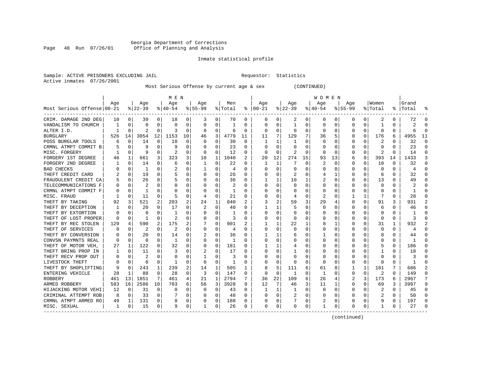# Georgia Department of Corrections Page 48 Run 07/26/01 Office of Planning and Analysis

## Inmate statistical profile

Sample: ACTIVE PRISONERS EXCLUDING JAIL **Requestor:** Statistics Active inmates 07/26/2001

Most Serious Offense by current age & sex (CONTINUED)

|                             |     |             |           |          | M E N    |                |           |             |         |          |              |          |           |          | W O M E N |          |             |          |          |          |           |                |
|-----------------------------|-----|-------------|-----------|----------|----------|----------------|-----------|-------------|---------|----------|--------------|----------|-----------|----------|-----------|----------|-------------|----------|----------|----------|-----------|----------------|
|                             | Age |             | Age       |          | Age      |                | Aqe       |             | Men     |          | Age          |          | Age       |          | Age       |          | Aqe         |          | Women    |          | Grand     |                |
| Most Serious Offense 00-21  |     |             | $8 22-39$ |          | $ 40-54$ |                | $8 55-99$ |             | % Total | ႜ        | $ 00-21$     |          | $ 22-39 $ |          | $ 40-54$  |          | $8155 - 99$ |          | % Total  |          | %   Total |                |
| CRIM. DAMAGE 2ND DEG        | 10  | 0           | 39        | 0        | 18       | 0              | 3         | 0           | 70      | 0        | O            | 0        | 2         | 0        | 0         | 0        | 0           | 0        | 2        | 0        | 72        | O              |
| VANDALISM TO CHURCH         |     | $\Omega$    | U         | 0        | 0        | 0              | 0         | 0           | 1       | 0        | O            | O        | -1        | 0        |           | $\Omega$ | U           | 0        | -1       | 0        | 2         | n              |
| ALTER I.D.                  |     | $\Omega$    | 2         | $\Omega$ | 3        | 0              | O         | 0           | 6       | $\Omega$ | <sup>0</sup> | $\Omega$ | $\Omega$  | $\Omega$ | O         | $\Omega$ | Ω           | $\Omega$ | $\Omega$ | 0        | h         | ∩              |
| BURGLARY                    | 526 | 14          | 3054      | 12       | 1153     | 10             | 46        | 3           | 4779    | 11       | 11           | 7        | 129       | 7        | 36        | 5        |             | $\Omega$ | 176      | 6        | 4955      | 11             |
| POSS BURGLAR TOOLS          | 6   | $\mathbf 0$ | 14        | 0        | 10       | 0              | 0         | $\mathsf 0$ | 30      | 0        |              |          |           | U        |           | $\Omega$ |             | 0        | 2        |          | 32        | $\Omega$       |
| CRMNL ATMPT COMMIT B        |     | $\mathbf 0$ | 9         | O        | 9        | 0              |           | 0           | 23      | $\Omega$ |              | O        |           | U        |           | $\Omega$ |             | U        | $\Omega$ | U        | 23        | $\Omega$       |
| MISC. FORGERY               |     | 0           | 9         | $\Omega$ | 2        | 0              | 0         | 0           | 12      | 0        | O            | 0        | 2         | 0        | ∩         | 0        | Ω           | 0        | 2        | $\Omega$ | 14        | $\Omega$       |
| FORGERY 1ST DEGREE          | 46  | 1           | 661       | 3        | 323      | 3              | 10        | 1           | 1040    | 2        | 20           | 12       | 274       | 15       | 93        | 13       | 6           | 9        | 393      | 14       | 1433      | 3              |
| FORGERY 2ND DEGREE          |     | 0           | 14        | 0        | 6        | 0              | -1        | $\Omega$    | 22      | 0        |              |          |           | 0        | 2         | 0        |             | 0        | 10       | O        | 32        | $\Omega$       |
| <b>BAD CHECKS</b>           |     | 0           | -1        | U        |          | 0              |           | 0           | 4       | $\Omega$ |              |          | C         | U        |           |          |             | U        |          |          | 4         | ∩              |
| THEFT CREDIT CARD           |     | $\Omega$    | 19        | U        |          | 0              | O         | O           | 26      | $\Omega$ |              |          |           | U        |           | -1       |             | U        | 6        | U        | 32        | $\Omega$       |
| FRAUDULENT CREDIT CA        |     | $\Omega$    | 26        | U        |          | 0              |           | U           | 36      | 0        |              |          | 10        |          |           | n        |             | 0        | 13       | 0        | 49        | ∩              |
| TELECOMMUNICATIONS F        |     | 0           | 2         | 0        | 0        | 0              |           | $\Omega$    | 2       | 0        |              | U        | n         | U        |           | n        |             | U        | $\Omega$ |          |           | ∩              |
| CRMNL ATMPT COMMIT F        |     | 0           | 1         | O        |          | 0              |           | 0           |         |          |              |          | O         | O        |           |          |             | 0        |          |          |           | ∩              |
| MISC. FRAUD                 |     | 0           | 11        | 0        | 5        | 0              | 4         | 0           | 21      | $\Omega$ |              | O        |           | U        |           | n        |             | 1        |          | 0        | 28        | ∩              |
| THEFT BY TAKING             | 92  | 3           | 521       | 2        | 203      | $\overline{a}$ | 24        | 1           | 840     | 2        |              | 2        | 59        | 3        | 29        |          | U           | 0        | 91       | 3        | 931       | $\mathfrak{D}$ |
| THEFT BY DECEPTION          |     | $\Omega$    | 20        | U        | 17       | 0              |           | 0           | 40      | $\Omega$ |              |          |           | 0        |           | n        | 0           | 0        | 6        | O        | 46        | $\Omega$       |
| THEFT BY EXTORTION          |     | $\Omega$    | U         | U        | -1       | $\Omega$       | O         | 0           | 1       | O        |              | O        | C         | U        |           | n        |             | U        | O        |          |           | $\Omega$       |
| THEFT OF LOST PROPER        |     | $\mathbf 0$ | 1         | O        |          | 0              |           | 0           | З       |          |              |          | C.        | U        |           |          |             | U        | $\Omega$ |          |           | $\Omega$       |
| THEFT BY REC STOLEN         | 129 | 4           | 590       |          | 175      | 2              |           | $\Omega$    | 901     |          |              |          | 22        |          |           |          |             | U        | 31       | 1        | 932       |                |
| THEFT OF SERVICES           |     | 0           | 2         | U        | 2        | 0              | O         | 0           | 4       | 0        | O            |          | n         | U        |           | n        |             | U        | ∩        | 0        |           | ∩              |
| THEFT BY CONVERSION         |     | $\Omega$    | 20        | 0        | 14       | 0              |           | 0           | 36      | 0        |              |          | 6         | U        |           | n        |             | 0        | 8        | 0        | 44        |                |
| CONVSN PAYMNTS REAL         |     | $\Omega$    | $\Omega$  | 0        | -1       | $\Omega$       | 0         | $\mathbf 0$ | 1       | 0        |              | O        |           | O        |           | O        |             | U        |          | O        |           | ∩              |
| THEFT OF MOTOR VEH,         | 27  | 1           | 122       | 0        | 32       | 0              |           | 0           | 181     | $\Omega$ |              |          |           | 0        |           | 0        |             | 0        |          | 0        | 186       | ∩              |
| THEFT BRING PROP IN         |     | $\Omega$    | 11        | U        | 3        | $\Omega$       |           | $\Omega$    | 17      | $\Omega$ |              | O        |           | U        |           | $\Omega$ |             | U        |          | O        | 18        | ∩              |
| THEFT RECV PROP OUT         |     | $\Omega$    | 2         | U        | 0        | 0              |           | 0           | 3       | $\Omega$ |              | O        | O         | O        |           | n        |             | U        | $\Omega$ | O        |           | $\Omega$       |
| LIVESTOCK THEFT             |     | $\mathbf 0$ | $\Omega$  | $\Omega$ | -1       | 0              | $\Omega$  | 0           | 1       | 0        |              | O        | n         | U        | n         | 0        |             | U        | $\Omega$ | O        |           | $\Omega$       |
| THEFT BY SHOPLIFTING        | 9   | 0           | 243       | 1        | 239      | 2              | 14        | 1           | 505     | 1        |              |          | 111       | 6        | 61        | 8        |             | 1        | 181      |          | 686       |                |
| ENTERING VEHICLE            | 28  | 1           | 88        | 0        | 28       | 0              | 3         | 0           | 147     | $\Omega$ | <sup>0</sup> | $\Omega$ | -1        | U        | 1         |          | 0           | 0        |          | 0        | 149       | $\Omega$       |
| <b>ROBBERY</b>              | 461 | 13          | 1851      | 7        | 461      | 4              | 21        | 1           | 2794    | 7        | 36           | 22       | 109       | 6        | 26        |          | 2           | 3        | 173      | 6        | 2967      | 7              |
| ARMED ROBBERY               | 583 | 16          | 2586      | 10       | 703      | 6              | 56        | 3           | 3928    | 9        | 12           | 7        | 46        | 3        | 11        | 1        | 0           | 0        | 69       | 3        | 3997      | 9              |
| HIJACKING MOTOR VEHI        | 12  | 0           | 31        | $\Omega$ | $\Omega$ | 0              | 0         | $\mathbf 0$ | 43      | $\Omega$ |              |          |           | 0        |           | 0        |             | 0        | 2        | O        | 45        | $\Omega$       |
| CRIMINAL ATTEMPT ROB        | 8   | 0           | 33        | $\Omega$ |          | 0              |           | 0           | 48      | $\Omega$ |              | $\Omega$ | 2         | U        |           | n        |             | 0        | 2        | 0        | 50        | $\Omega$       |
| CRMNL ATMPT ARMED RO        | 49  | 1           | 131       | 0        | 8        | 0              |           | 0           | 188     | $\Omega$ |              | $\Omega$ |           | 0        |           | 0        |             | 0        |          | 0        | 197       | $\Omega$       |
| MISC. SEXUAL<br>----------- | 1   | 0           | 15        | 0        | 9        | 0              | 1         | 0           | 26      | 0        | $\Omega$     | 0        | O         | 0        |           | 0        | O           | 0        |          | 0        | 27        | ∩              |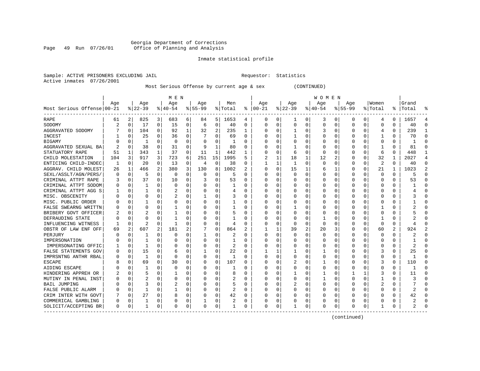#### Georgia Department of Corrections Page 49 Run 07/26/01 Office of Planning and Analysis

# Inmate statistical profile

| Sample: ACTIVE PRISONERS EXCLUDING JAIL | Requestor: Statistics |  |
|-----------------------------------------|-----------------------|--|
| Active inmates 07/26/2001               |                       |  |

# Most Serious Offense by current age & sex (CONTINUED)

|                            |     |             |                |                         | M E N     |          |           |          |                |                |          |          |              |          | W O M E N    |             |             |          |                |          |           |                |
|----------------------------|-----|-------------|----------------|-------------------------|-----------|----------|-----------|----------|----------------|----------------|----------|----------|--------------|----------|--------------|-------------|-------------|----------|----------------|----------|-----------|----------------|
|                            | Age |             | Age            |                         | Age       |          | Age       |          | Men            |                | Age      |          | Age          |          | Aqe          |             | Age         |          | Women          |          | Grand     |                |
| Most Serious Offense 00-21 |     |             | $ 22-39$       |                         | $8 40-54$ |          | $8 55-99$ |          | % Total        | ႜ              | $ 00-21$ |          | $8 22-39$    |          | $8 40-54$    |             | $8155 - 99$ |          | % Total        |          | %   Total | ႜ              |
| RAPE                       | 61  | 2           | 825            | $\overline{\mathbf{3}}$ | 683       | 6        | 84        | 5        | 1653           | 4              | 0        | 0        | 1            | 0        | 3            | 0           | 0           | 0        | 4              | 0        | 1657      | 4              |
| SODOMY                     |     | $\Omega$    | 17             | 0                       | 15        | 0        | 6         | 0        | 40             | $\Omega$       | $\Omega$ | $\Omega$ | $\mathbf 0$  | 0        | <sup>0</sup> | $\Omega$    | O           | 0        | $\Omega$       | $\Omega$ | 40        | $\Omega$       |
| AGGRAVATED SODOMY          |     | $\Omega$    | 104            | 0                       | 92        | 1        | 32        | 2        | 235            | 1              | $\Omega$ | $\Omega$ | -1           | 0        | 3            | $\Omega$    | U           | 0        | 4              | $\Omega$ | 239       | 1              |
| INCEST                     |     | $\Omega$    | 25             | $\Omega$                | 36        | $\Omega$ |           | $\Omega$ | 69             | $\Omega$       |          | $\Omega$ | -1           | 0        |              | $\Omega$    | U           | $\Omega$ | -1             | 0        | 70        | $\Omega$       |
| <b>BIGAMY</b>              |     | $\Omega$    | -1             | 0                       | $\Omega$  | $\Omega$ |           | $\Omega$ | -1             | $\Omega$       |          | $\Omega$ | $\Omega$     | $\Omega$ |              | $\Omega$    | Ω           | 0        | $\Omega$       | $\Omega$ |           | $\Omega$       |
| AGGRAVATED SEXUAL BA       |     | $\Omega$    | 38             | $\Omega$                | 31        | $\Omega$ | 9         | 1        | 80             | $\Omega$       |          | $\Omega$ | $\mathbf{1}$ | $\Omega$ |              | $\Omega$    | U           | $\Omega$ | $\mathbf{1}$   | $\Omega$ | 81        | $\Omega$       |
| STATUATORY RAPE            | 51  | 1           | 343            | $\mathbf{1}$            | 37        | $\Omega$ | 11        | 1        | 442            | 1              | $\Omega$ | $\Omega$ | 6            | $\Omega$ | <sup>0</sup> | $\Omega$    | 0           | $\Omega$ | 6              | $\Omega$ | 448       | $\mathbf{1}$   |
| CHILD MOLESTATION          | 104 | 3           | 917            | 3                       | 723       | 6        | 251       | 15       | 1995           | 5              |          |          | 18           | 1        | 12           | 2           | 0           | $\Omega$ | 32             | 1        | 2027      | 4              |
| ENTICING CHILD-INDEC       | -1  | 0           | 20             | 0                       | 13        | O        | 4         | 0        | 38             | O              |          |          | 1            | $\Omega$ | <sup>0</sup> | $\Omega$    | 0           | O        | 2              | O        | 40        | $\Omega$       |
| AGGRAV. CHILD MOLEST       | 26  | 1           | 466            | 2                       | 380       | 3        | 130       | 8        | 1002           |                | $\Omega$ | $\Omega$ | 15           | 1        |              | 1           | 0           | 0        | 21             |          | 1023      | $\overline{2}$ |
| SEXL/ASSLT/AGN/PERS/       |     | $\Omega$    | 5              | 0                       | $\Omega$  | O        | 0         | U        | 5              | U              | $\Omega$ | $\Omega$ | $\cap$       | O        |              | $\Omega$    | U           | 0        | ∩              | $\Omega$ |           | $\Omega$       |
| CRIMINAL ATTPT RAPE        |     | $\Omega$    | 37             | 0                       | 10        | $\Omega$ | 3         | $\Omega$ | 53             | O              |          | $\Omega$ | C            | 0        |              | $\Omega$    | U           | 0        | $\Omega$       | 0        | 53        | $\Omega$       |
| CRIMINAL ATTPT SODOM       |     | 0           | 1              | 0                       | $\Omega$  | $\Omega$ |           | 0        | -1             | O              |          | $\Omega$ | 0            | $\Omega$ |              | 0           | Ω           | $\Omega$ | $\Omega$       | O        |           | $\Omega$       |
| CRIMINAL ATTPT AGG S       |     | 0           |                | 0                       | 2         | 0        |           | 0        | 4              | $\Omega$       |          | $\Omega$ | O            | 0        |              | 0           | U           | U        | $\Omega$       | $\Omega$ |           | $\Omega$       |
| MISC. OBSCENITY            |     | $\Omega$    | 0              | 0                       | 2         | 0        | -1        | 0        | 3              | $\Omega$       | $\Omega$ | $\Omega$ | 0            | 0        |              | 0           | U           | 0        | ∩              | 0        |           | $\Omega$       |
| MISC. PUBLIC ORDER         |     | 0           |                | U                       | $\Omega$  | O        | U         | 0        |                | O              | O        | 0        | O            | 0        |              | 0           | Ω           | 0        | ∩              | 0        |           | ∩              |
| FALSE SWEARNG WRITTN       |     | 0           | 0              | U                       |           | O        | U         | 0        | 1              | O              | O        | $\Omega$ |              | 0        |              | 0           | Ω           | U        |                | O        |           | $\Omega$       |
| BRIBERY GOVT OFFICER       |     | $\Omega$    | 2              | U                       | -1        | O        | U         | 0        | 5              | O              | ∩        | U        | C            | $\Omega$ |              | $\Omega$    |             | U        | $\Omega$       | $\Omega$ |           | $\Omega$       |
| DEFRAUDING STATE           |     | $\Omega$    | U              | U                       | -1        | O        | U         | O        |                | U              | ∩        | $\Omega$ | $\cap$       | $\Omega$ |              | ∩           | Λ           | $\Omega$ | -1             | $\Omega$ |           | $\Omega$       |
| INFLUENCING WITNESS        |     | $\Omega$    | $\overline{c}$ | $\Omega$                | -1        | $\Omega$ | U         | 0        | 4              | O              | O        | $\Omega$ | $\Omega$     | $\Omega$ | <sup>0</sup> | $\Omega$    | U           | $\Omega$ | $\Omega$       | 0        |           | ∩              |
| OBSTR OF LAW ENF OFF       | 69  | 2           | 607            | 2                       | 181       | 2        |           | 0        | 864            | $\overline{c}$ |          |          | 39           | 2        | 20           | 3           | 0           | $\Omega$ | 60             | 2        | 924       | $\overline{2}$ |
| PERJURY                    |     | $\mathbf 0$ |                | 0                       | $\Omega$  | $\Omega$ | 1         | 0        | 2              | $\Omega$       | $\Omega$ | $\Omega$ | O            | 0        |              | $\mathbf 0$ | 0           | 0        | $\Omega$       | 0        | 2         | $\Omega$       |
| IMPERSONATION              |     | $\Omega$    | 1              | U                       | $\Omega$  | $\Omega$ | U         | $\Omega$ | 1              | $\Omega$       | $\Omega$ | $\Omega$ | O            | O        |              | $\Omega$    | 0           | O        | $\Omega$       | $\Omega$ |           | $\Omega$       |
| IMPERSONATING OFFIC        |     | $\Omega$    | $\mathbf{1}$   | 0                       | $\Omega$  | O        | U         | $\Omega$ | $\overline{2}$ | O              | $\Omega$ | $\Omega$ | C            | O        |              | $\Omega$    | U           | U        | $\Omega$       | $\Omega$ | 2         | $\Omega$       |
| FALSE STATEMENTS GOV       |     | 0           | 15             | 0                       | 6         | O        | -1        | O        | 22             | O              |          |          |              | N        |              | $\Omega$    | Ω           | U        | 3              | O        | 25        | $\Omega$       |
| IMPRSNTNG ANTHR RBAL       |     | $\Omega$    | -1             | 0                       | $\Omega$  | 0        | 0         | 0        | 1              | O              | $\Omega$ | $\Omega$ | O            | 0        |              | $\Omega$    |             | 0        | $\Omega$       | 0        |           | $\Omega$       |
| <b>ESCAPE</b>              |     | $\Omega$    | 69             | 0                       | 30        | O        | 0         | $\Omega$ | 107            | U              | ∩        | $\Omega$ |              | 0        |              | $\Omega$    | Ω           | U        | 3              | $\Omega$ | 110       | $\Omega$       |
| AIDING ESCAPE              |     | $\Omega$    | 1              | 0                       | $\Omega$  | $\Omega$ | U         | $\Omega$ |                | U              | $\Omega$ | $\Omega$ | C            | $\Omega$ |              | $\Omega$    | Ω           | $\Omega$ | $\Omega$       | $\Omega$ |           | $\Omega$       |
| HINDERING APPREH OR        |     | $\Omega$    | 5              | 0                       |           | 0        | U         | $\Omega$ | 8              | O              | $\Omega$ | $\Omega$ |              | 0        |              | $\Omega$    |             | 1        | 3              | $\Omega$ | 11        | $\Omega$       |
| MUTINY IN PENAL INST       |     | $\Omega$    | $\overline{a}$ | 0                       | $\Omega$  | 0        | U         | $\Omega$ | 2              | O              |          | $\Omega$ | $\Omega$     | 0        |              | $\Omega$    | 0           | $\Omega$ | $\mathbf{1}$   | 0        |           | $\Omega$       |
| <b>BAIL JUMPING</b>        |     | 0           | 3              | 0                       |           | 0        |           | 0        | 5              | O              |          | $\Omega$ | 2            | 0        |              | 0           | 0           | 0        | $\overline{2}$ | $\Omega$ |           | $\Omega$       |
| FALSE PUBLIC ALARM         |     | 0           | 1              | 0                       | 1         | 0        |           | 0        | $\overline{2}$ | O              | $\Omega$ | $\Omega$ | C            | 0        |              | 0           | O           | 0        | ∩              | 0        | 2         | $\Omega$       |
| CRIM INTER WITH GOVT       |     | $\Omega$    | 27             | 0                       | 8         | 0        | U         | $\Omega$ | 42             | 0              | $\Omega$ | $\Omega$ | C            | 0        | <sup>0</sup> | $\Omega$    | 0           | 0        | ∩              | $\Omega$ | 42        | $\Omega$       |
| COMMERICAL GAMBLING        |     | 0           |                | 0                       | 0         | 0        |           | 0        | 2              | 0              | 0        | 0        | O            | 0        |              | 0           | 0           | 0        | n              | 0        |           | $\Omega$       |
| SOLICIT/ACCEPTING BR       | 0   | 0           |                | 0                       | $\Omega$  | 0        | 0         | 0        |                | 0              | $\Omega$ | 0        |              | 0        |              | 0           | O           | 0        | -1             | 0        |           | $\Omega$       |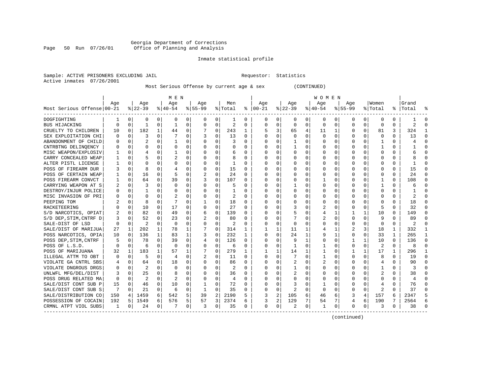# Georgia Department of Corrections<br>Page 50 Run 07/26/01 Office of Planning and Analysis Page 50 Run 07/26/01 Office of Planning and Analysis

## Inmate statistical profile

Sample: ACTIVE PRISONERS EXCLUDING JAIL **Requestor:** Statistics Active inmates 07/26/2001

Most Serious Offense by current age & sex (CONTINUED)

|                            |          |             |                |              | M E N          |          |              |             |          |              |               |                |                |                | <b>WOMEN</b> |             |             |              |                |              |                |          |
|----------------------------|----------|-------------|----------------|--------------|----------------|----------|--------------|-------------|----------|--------------|---------------|----------------|----------------|----------------|--------------|-------------|-------------|--------------|----------------|--------------|----------------|----------|
|                            | Aqe      |             | Age            |              | Aqe            |          | Aqe          |             | Men      |              | Aqe           |                | Aqe            |                | Aqe          |             | Aqe         |              | Women          |              | Grand          |          |
| Most Serious Offense 00-21 |          |             | $8 22-39$      |              | $ 40-54$       |          | $ 55-99$     |             | % Total  |              | $8   00 - 21$ |                | $ 22-39$       |                | $ 40-54$     |             | $8155 - 99$ |              | % Total        |              | %   Total      | ႜ        |
| DOGFIGHTING                |          | 0           | 0              | 0            | 0              | 0        | 0            | 0           | ı        | 0            | 0             | $\mathbf{0}$   | 0              | 0              | 0            | 0           | 0           | 0            | 0              | 0            |                | $\Omega$ |
| BUS HIJACKING              | $\Omega$ | 0           | 1              | 0            | 1              | 0        | $\Omega$     | $\mathbf 0$ | 2        | 0            | $\Omega$      | 0              | $\Omega$       | $\mathbf 0$    | $\mathbf 0$  | 0           | $\Omega$    | $\Omega$     | $\Omega$       | $\Omega$     | 2              | $\Omega$ |
| CRUELTY TO CHILDREN        | 10       | $\Omega$    | 182            | $\mathbf{1}$ | 44             | 0        |              | $\Omega$    | 243      | 1            | 5             | 3              | 65             | $\overline{4}$ | 11           | 1           | $\Omega$    | $\Omega$     | 81             | 3            | 324            | -1       |
| SEX EXPLOITATION CHI       | O        | 0           | 3              | $\Omega$     | 7              | 0        |              | $\Omega$    | 13       | $\Omega$     | $\Omega$      | $\Omega$       | $\Omega$       | $\Omega$       | $\Omega$     | $\Omega$    | $\Omega$    | $\Omega$     | $\Omega$       | $\Omega$     | 13             | $\Omega$ |
| ABANDONMENT OF CHILD       | O        | 0           | $\overline{2}$ | $\Omega$     | $\mathbf{1}$   | $\Omega$ | O            | $\Omega$    | ς        | $\Omega$     | <sup>0</sup>  | $\Omega$       | -1             | 0              | O            | $\mathbf 0$ | $\Omega$    | $\Omega$     | -1             | $\Omega$     |                |          |
| CNTRBTNG DELINOENCY        |          | 0           | $\Omega$       | 0            | $\mathbf 0$    | 0        | O            | $\Omega$    | $\Omega$ | O            |               | 0              | $\mathbf{1}$   | 0              |              | 0           | $\Omega$    | $\Omega$     | $\mathbf{1}$   | $\Omega$     |                |          |
| MISC WEAPON/EXPLOSIV       |          | 0           | 4              | 0            | -1             | $\Omega$ | O            | $\Omega$    | 6        | $\Omega$     | <sup>0</sup>  | 0              | $\Omega$       | 0              | $\Omega$     | 0           | 0           | 0            | 0              | $\Omega$     |                | ∩        |
| CARRY CONCEALED WEAP       | 1        | $\Omega$    | 5              | 0            | $\overline{2}$ | $\Omega$ | O            | $\Omega$    | 8        | $\Omega$     | ∩             | 0              | $\Omega$       | 0              | $\Omega$     | 0           | U           | 0            | <sup>0</sup>   | $\Omega$     |                | $\cap$   |
| ALTER PISTL LICENSE        |          | 0           | 0              | 0            | $\Omega$       | $\Omega$ | O            | $\Omega$    | 1        | $\Omega$     | <sup>0</sup>  | 0              | $\Omega$       | 0              | $\Omega$     | 0           | 0           | 0            | 0              | $\Omega$     |                | ∩        |
| POSS OF FIREARM DUR        |          | $\mathbf 0$ | 8              |              | 4              | 0        | 0            | $\Omega$    | 15       | 0            |               | 0              | 0              | 0              |              | 0           | 0           | O            | O              | N            | 15             |          |
| POSS OF CERTAIN WEAP       |          | $\mathbf 0$ | 16             | U            | 5              | $\Omega$ |              | $\Omega$    | 24       | $\Omega$     | ∩             | $\Omega$       | $\Omega$       | O              | $\Omega$     | 0           | U           | U            | $\Omega$       | 0            | 24             |          |
| POSS FIREARM CONVCT        |          | 0           | 64             | $\Omega$     | 39             | 0        |              | $\mathbf 0$ | 107      | $\Omega$     | <sup>0</sup>  | 0              | $\Omega$       | 0              |              | 0           | O           | 0            | -1             | $\Omega$     | 108            | ∩        |
| CARRYING WEAPON AT S       | 2        | $\Omega$    | 3              | $\Omega$     | $\Omega$       | $\Omega$ | O            | $\Omega$    | 5        | 0            | <sup>0</sup>  | $\Omega$       | -1             | 0              | $\Omega$     | 0           | O           | $\Omega$     | -1             | $\Omega$     | 6              |          |
| DESTROY/INJUR POLICE       |          | 0           | $\mathbf{1}$   | 0            | $\mathbf 0$    | $\Omega$ | 0            | $\mathbf 0$ | 1        | O            |               | $\Omega$       | $\Omega$       | 0              |              | 0           | 0           | $\Omega$     | $\Omega$       | 0            |                |          |
| MISC INVASION OF PRI       | $\Omega$ | 0           | $\Omega$       | 0            | 2              | $\Omega$ | $\Omega$     | $\Omega$    | 2        | $\Omega$     | $\Omega$      | 0              | $\Omega$       | O              | $\Omega$     | 0           | U           | $\Omega$     | $\Omega$       | $\Omega$     |                | $\cap$   |
| PEEPING TOM                |          | 0           | 8              | 0            | 7              | $\Omega$ | 1            | 0           | 18       | $\Omega$     | ∩             | $\Omega$       | $\Omega$       | U              | $\Omega$     | 0           | U           | $\Omega$     | $\Omega$       | 0            | 18             | ∩        |
| RACKETEERING               |          | $\mathbf 0$ | 10             | $\Omega$     | 17             | $\Omega$ | $\Omega$     | $\Omega$    | 27       | $\Omega$     | <sup>0</sup>  | 0              | 3              | O              | 2            | 0           | U           | $\Omega$     | 5              | 0            | 32             | ∩        |
| S/D NARCOTICS, OPIAT       |          | $\mathbf 0$ | 82             | 0            | 49             | $\Omega$ | 6            | 0           | 139      | O            |               | $\Omega$       | 5              | O              | 4            | 1           |             | $\mathbf{1}$ | 10             | O            | 149            |          |
| S/D DEP, STIM, CNTRF D     | 3        | $\Omega$    | 52             | U            | 23             | $\Omega$ |              | $\Omega$    | 80       | $\Omega$     | <sup>0</sup>  | 0              |                | U              |              | $\Omega$    | U           | O            | q              | 0            | 89             |          |
| SALE-DIST OF LSD           | $\Omega$ | $\Omega$    | $\mathfrak{D}$ | U            | $\Omega$       | $\Omega$ | $\Omega$     | $\Omega$    | 2        | $\Omega$     | <sup>0</sup>  | 0              | $\Omega$       | 0              | $\Omega$     | $\Omega$    | 0           | $\Omega$     | $\Omega$       | $\Omega$     | 2              |          |
| SALE/DIST OF MARIJUA       | 27       | 1           | 202            | 1            | 78             | 1        |              | $\mathbf 0$ | 314      | 1            |               | 1              | 11             | 1              | 4            | 1           | 2           | 3            | 18             | 1            | 332            |          |
| POSS NARCOTICS, OPIA       | 10       | 0           | 136            | $\mathbf{1}$ | 83             | 1        | 3            | $\Omega$    | 232      | $\mathbf{1}$ | 0             | $\Omega$       | 24             | 1              |              | 1           | 0           | $\Omega$     | 33             | $\mathbf{1}$ | 265            | -1       |
| POSS DEP, STIM, CNTRF      | 5        | $\mathbf 0$ | 78             | $\Omega$     | 39             | $\Omega$ | 4            | $\mathbf 0$ | 126      | $\Omega$     | $\Omega$      | $\Omega$       | 9              | $\mathbf{1}$   | O            | 0           | 1           | $\mathbf{1}$ | 10             | $\Omega$     | 136            | $\cap$   |
| POSS OF L.S.D.             | ∩        | 0           | 6              | $\Omega$     | $\Omega$       | $\Omega$ | O            | $\mathbf 0$ | 6        | $\Omega$     | $\Omega$      | 0              | -1             | 0              | 1            | 0           | 0           | $\Omega$     | $\overline{2}$ | $\Omega$     | 8              | $\cap$   |
| POSS OF MARIJUANA          | 32       | 1           | 183            | $\mathbf{1}$ | 57             | 1        | 7            | 0           | 279      | 1            |               | 1              | 14             | 1              | 1            | 0           | 1           | $\mathbf{1}$ | 17             | 1            | 296            | -1       |
| ILLEGAL ATTM TO OBT        | 0        | 0           | 5              | 0            | 4              | 0        | 2            | 0           | 11       | O            | <sup>0</sup>  | $\Omega$       |                | O              |              | 0           | U           | $\Omega$     | 8              | 0            | 19             |          |
| VIOLATE GA CNTRL SBS       | 4        | $\mathbf 0$ | 64             | 0            | 18             | $\Omega$ | $\Omega$     | $\Omega$    | 86       | $\Omega$     | $\Omega$      | $\Omega$       |                | O              |              | $\Omega$    | $\Omega$    | O            | 4              | $\Omega$     | 90             | $\cap$   |
| VIOLATE DNGROUS DRGS       |          | $\Omega$    | 2              | U            | $\Omega$       | $\Omega$ | O            | $\Omega$    | 2        | $\Omega$     | ∩             | 0              | 1              | U              | $\Omega$     | $\Omega$    | U           | 0            |                | $\Omega$     | -3             |          |
| UNLWFL MFG/DEL/DIST        | 3        | $\Omega$    | 25             | $\Omega$     | 8              | 0        | O            | $\Omega$    | 36       | $\Omega$     | <sup>0</sup>  | 0              | 2              | 0              | $\Omega$     | $\Omega$    | U           | $\Omega$     | 2              | 0            | 38             |          |
| POSS DRUG RELATED MA       | $\Omega$ | $\Omega$    | 2              | $\Omega$     | $\overline{2}$ | $\Omega$ | O            | $\Omega$    | 4        | $\Omega$     | <sup>0</sup>  | $\Omega$       | $\Omega$       | 0              | $\Omega$     | $\Omega$    | $\Omega$    | $\Omega$     | $\Omega$       | $\Omega$     | $\overline{4}$ |          |
| SALE/DIST CONT SUB P       | 15       | $\mathbf 0$ | 46             | $\Omega$     | 10             | $\Omega$ | 1            | 0           | 72       | 0            | 0             | 0              | 3              | 0              | 1            | 0           | 0           | 0            | 4              | 0            | 76             |          |
| SALE/DIST CONT SUB S       | 7        | $\Omega$    | 21             | $\Omega$     | -6             | $\Omega$ | $\mathbf{1}$ | $\Omega$    | 35       | $\Omega$     | $\Omega$      | $\Omega$       | $\overline{2}$ | $\Omega$       | $\Omega$     | $\Omega$    | O           | $\Omega$     | 2              | $\Omega$     | 37             | ∩        |
| SALE/DISTRIBUTION CO       | 150      | 4           | 1459           | 6            | 542            | 5        | 39           | 2           | 2190     | 5            | 3             | $\overline{a}$ | 105            | 6              | 46           | 6           | 3           | 4            | 157            | 6            | 2347           |          |
| POSSESSION OF COCAIN       | 192      | .5          | 1549           | 6            | 576            | 5        | 57           | 3           | 2374     | 6            | 3             | 2              | 129            | 7              | 54           | 7           | 4           | 6            | 190            | 7            | 2564           | 6        |
| CRMNL ATPT VIOL SUBS       | 1        | 0           | 24             | 0            | -7             | 0        | 3            | 0           | 35       | 0            | $\Omega$      | 0              | 2              | 0              |              | 0           | 0           | 0            | 3              | 0            | 38             |          |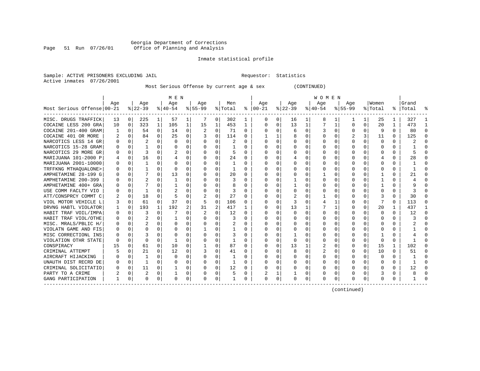# Georgia Department of Corrections Page 51 Run 07/26/01 Office of Planning and Analysis

## Inmate statistical profile

Sample: ACTIVE PRISONERS EXCLUDING JAIL **Requestor:** Statistics Active inmates 07/26/2001

Most Serious Offense by current age & sex (CONTINUED)

|                            |          |                |          |          | M E N     |          |           |          |         |              |               |          |          |   | W O M E N |          |           |          |          |          |           |        |
|----------------------------|----------|----------------|----------|----------|-----------|----------|-----------|----------|---------|--------------|---------------|----------|----------|---|-----------|----------|-----------|----------|----------|----------|-----------|--------|
|                            | Age      |                | Age      |          | Age       |          | Age       |          | Men     |              | Age           |          | Age      |   | Age       |          | Age       |          | Women    |          | l Grand   |        |
| Most Serious Offense 00-21 |          |                | $ 22-39$ |          | $8 40-54$ |          | $8 55-99$ |          | % Total |              | $8   00 - 21$ |          | $ 22-39$ |   | $ 40-54 $ |          | $8 55-99$ |          | % Total  |          | %   Total |        |
| MISC. DRUGS TRAFFICK       | 13       | 0 <sup>1</sup> | 225      | 1        | 57        | 1        |           | 0        | 302     | 1            |               | 0        | 16       | 1 | 8         |          |           | 1        | 25       | 1        | 327       |        |
| COCAINE LESS 200 GRA       | 10       | 0              | 323      | 1        | 105       | 1        | 15        | 1        | 453     | 1            |               | $\Omega$ | 13       | 1 |           | 1        | 0         | 0        | 20       | 1        | 473       |        |
| COCAINE 201-400 GRAM       |          | $\Omega$       | 54       | $\Omega$ | 14        | $\Omega$ |           | $\Omega$ | 71      | $\Omega$     |               | 0        | 6        | O |           | $\Omega$ | U         | $\Omega$ | 9        | $\Omega$ | 80        | ∩      |
| COCAINE 401 OR MORE        |          | 0              | 84       | 0        | 25        | 0        |           | 0        | 114     | $\Omega$     |               |          |          | 0 |           | 0        |           | 3        | 11       | $\Omega$ | 125       |        |
| NARCOTICS LESS 14 GR       |          | 0              |          | 0        | 0         | 0        |           | 0        | 2       | 0            |               |          |          | U |           | 0        |           | 0        | 0        |          |           |        |
| NARCOTICS 15-28 GRAM       |          | $\Omega$       |          | 0        | O         | 0        | O         | $\Omega$ |         | <sup>0</sup> |               | 0        | U        | U |           | 0        | O         | 0        | 0        | 0        |           | n      |
| NARCOTICS 29 MORE GR       | 0        | 0              | 3        | 0        | 2         | 0        |           | 0        | 5       | $\Omega$     |               | 0        |          | 0 |           | 0        |           | 0        | O        | $\Omega$ |           |        |
| MARIJUANA 101-2000 P       |          | 0              | 16       | 0        |           | 0        |           | 0        | 24      | 0            |               |          |          | U |           | $\Omega$ |           |          |          | 0        | 28        |        |
| MARIJUANA 2001-10000       |          | O              | 1        | U        | O         | O        |           | $\Omega$ |         | O            |               | 0        | U        | O |           | O        | O         | U        | O        | 0        |           |        |
| TRFFKNG MTHAOUALONE>       |          | $\Omega$       |          | U        | $\Omega$  | O        | U         | $\Omega$ |         | U            |               | U        | U        | U |           | O        |           |          | n        | 0        |           |        |
| AMPHETAMINE 28-199 G       |          | $\Omega$       |          | U        | 13        | 0        |           | $\Omega$ | 20      | O            |               | U        |          | 0 |           | $\Omega$ |           | O        |          | 0        | 21        |        |
| AMPHETAMINE 200-399        |          | 0              | 2        | U        |           | 0        | O         | $\Omega$ | 3       | 0            | <sup>0</sup>  | 0        |          | U |           | 0        | O         | O        |          | 0        |           |        |
| AMPHETAMINE 400+ GRA       |          | $\Omega$       |          | U        |           | 0        | O         | $\Omega$ | 8       | 0            |               | $\Omega$ |          | O |           | 0        | O         | 0        |          | 0        |           | $\cap$ |
| USE COMM FACLTY VIO        |          | $\Omega$       |          |          |           | 0        |           | $\Omega$ | 3       | O            |               | 0        |          | 0 |           | 0        |           | O        | 0        | 0        |           |        |
| ATT/CONSPRCY COMMT C       | 2        | $\Omega$       | 18       | U        |           |          |           | $\Omega$ | 27      | 0            |               | 0        |          |   |           | $\Omega$ |           |          | 3        | 0        | 30        |        |
| VIOL MOTOR VEHICLE L       |          | $\Omega$       | 61       | $\Omega$ | 37        | O        | 5         | $\Omega$ | 106     | O            |               | $\cap$   |          |   |           |          | U         | U        |          | 0        | 113       |        |
| DRVNG HABTL VIOLATOR       |          | 0              | 193      | 1        | 192       | 2        | 31        | 2        | 417     |              |               | U        | 13       |   |           | 1        | U         | 0        | 20       |          | 437       |        |
| HABIT TRAF VOIL/IMPA       |          | 0              | 3        | U        |           | O        |           | $\Omega$ | 12      | O            |               |          | O        | U |           | 0        | O         | O        | 0        | 0        | 12        | $\cap$ |
| HABIT TRAF VIOL/OTHE       |          | 0              | 2        | $\Omega$ |           | 0        | U         | O        | 3       | 0            |               | 0        | U        | U |           | 0        | O         | $\Omega$ | O        | 0        |           | $\cap$ |
| MISC. MRALS/PBLIC H/       |          | 0              |          | 0        | $\Omega$  | 0        |           | 0        | 2       | 0            |               | 0        |          | 0 |           | 0        |           | O        | O        | 0        |           |        |
| VIOLATN GAME AND FIS       |          | $\Omega$       |          |          |           |          |           | O        |         | O            |               | 0        |          | U |           | O        |           |          | C        |          |           |        |
| MISC CORRECTIONL INS       |          | O              |          |          |           | O        |           | O        | 3       | U            |               | 0        |          | U |           |          | O         |          |          | 0        |           |        |
| VIOLATION OTHR STATE       | $\Omega$ | 0              | $\Omega$ | U        |           | O        |           | O        |         | O            |               | 0        | $\Omega$ | U |           | $\Omega$ | U         | O        | $\Omega$ | $\Omega$ |           |        |
| CONSPIRACY                 |          | 0              | 61       | 0        | 10        | 0        |           | $\Omega$ | 87      | 0            |               | O        | 13       |   | 2         | 0        | O         | $\Omega$ | 15       |          | 102       |        |
| CRIMINAL ATTEMPT           |          | $\Omega$       | 21       | $\Omega$ | 12        | $\Omega$ |           | 0        | 41      | 0            | n             | 0        | 8        | 0 |           | 0        | 0         | $\Omega$ | 10       | 0        | 51        | ∩      |
| AIRCRAFT HIJACKING         |          | $\Omega$       | 1        | $\Omega$ | $\Omega$  | $\Omega$ | 0         | $\Omega$ |         | 0            |               | 0        | $\Omega$ | 0 |           | $\Omega$ | 0         | 0        | $\Omega$ | $\Omega$ |           | ∩      |
| UNAUTH DIST RECRD DE       |          | 0              |          | O        |           |          | O         | 0        |         | O            |               | 0        |          | 0 |           | 0        |           | $\Omega$ |          | O        |           |        |
| CRIMINAL SOLICITATIO       |          | $\Omega$       | 11       | U        |           | 0        | 0         | $\Omega$ | 12      | O            |               | 0        |          | 0 |           | $\Omega$ | 0         | U        | $\left($ | 0        | 12        |        |
| PARTY TO A CRIME           |          | 0              | 2        |          |           | 0        | O         | 0        | 5       | 0            |               |          |          | 0 |           | 0        |           |          |          | 0        |           |        |
| GANG PARTICIPATION         |          | 0              | 0        | 0        | $\Omega$  | 0        | O         | 0        |         | 0            | $\Omega$      | 0        | O        | 0 |           | 0        |           | 0        | O        | 0        |           |        |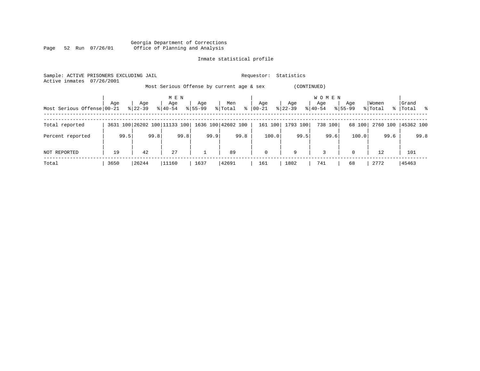|      |  |                 | Georgia Department of Corrections |                                 |  |  |
|------|--|-----------------|-----------------------------------|---------------------------------|--|--|
| Page |  | 52 Run 07/26/01 |                                   | Office of Planning and Analysis |  |  |

| Sample: ACTIVE PRISONERS EXCLUDING JAIL<br>07/26/2001<br>Active inmates |                                                          |           |                              |              |                          | Requestor:  | Statistics |                     |             |          |             |  |  |  |  |
|-------------------------------------------------------------------------|----------------------------------------------------------|-----------|------------------------------|--------------|--------------------------|-------------|------------|---------------------|-------------|----------|-------------|--|--|--|--|
|                                                                         | Most Serious Offense by current age & sex<br>(CONTINUED) |           |                              |              |                          |             |            |                     |             |          |             |  |  |  |  |
|                                                                         | Age                                                      | Age       | M E N<br>Age                 | Age          | Men                      | Age         | Age        | <b>WOMEN</b><br>Age | Age         | Women    | Grand       |  |  |  |  |
| Most Serious Offense 00-21                                              |                                                          | $8 22-39$ | $8140 - 54$                  | $8155 - 99$  | $\frac{8}{6}$<br>% Total | 00-21       | $ 22-39 $  | $8 40-54$           | $8155 - 99$ | % Total  | %   Total % |  |  |  |  |
| Total reported                                                          |                                                          |           | 3631 100 26202 100 11133 100 |              | 1636 100 42602 100       | 161 100     | 1793 100   | 738 100             | 68 100      | 2760 100 | 45362 100   |  |  |  |  |
| Percent reported                                                        | 99.5                                                     | 99.8      | 99.8                         | 99.9         | 99.8                     | 100.0       | 99.5       | 99.6                | 100.0       | 99.6     | 99.8        |  |  |  |  |
| NOT REPORTED                                                            | 19                                                       | 42        | 27                           | $\mathbf{1}$ | 89                       | $\mathbf 0$ | 9          | 3                   | $\Omega$    | 12       | 101         |  |  |  |  |
| Total                                                                   | 3650                                                     | 26244     | 11160                        | 1637         | 42691                    | 161         | 1802       | 741                 | 68          | 2772     | 45463       |  |  |  |  |